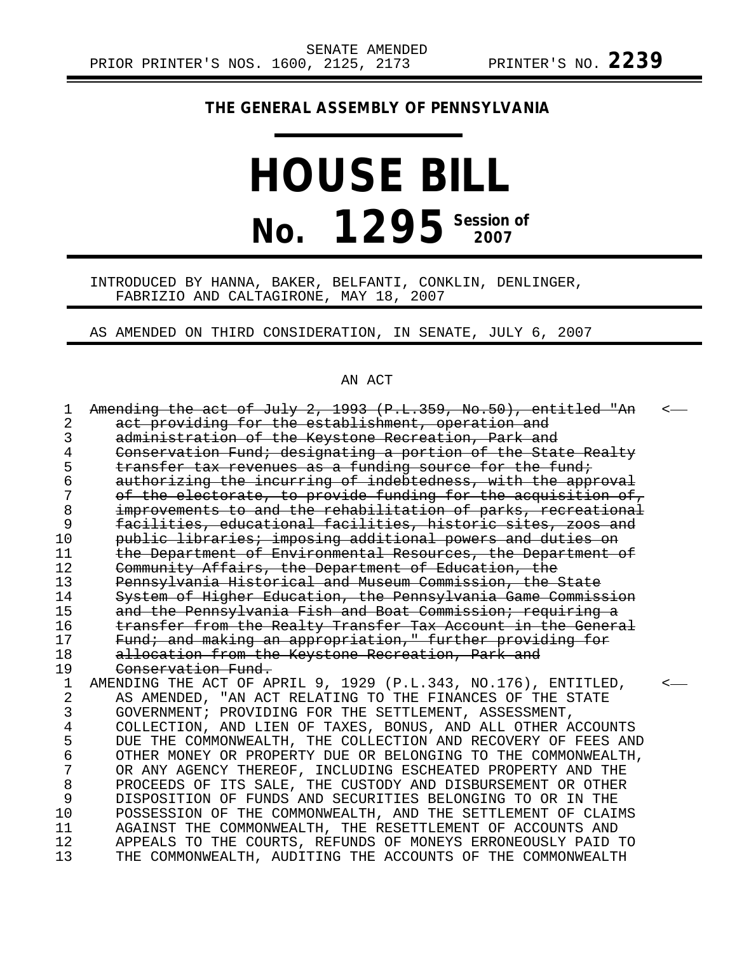# **THE GENERAL ASSEMBLY OF PENNSYLVANIA**

# **HOUSE BILL No. 1295** Session of

INTRODUCED BY HANNA, BAKER, BELFANTI, CONKLIN, DENLINGER, FABRIZIO AND CALTAGIRONE, MAY 18, 2007

AS AMENDED ON THIRD CONSIDERATION, IN SENATE, JULY 6, 2007

# AN ACT

| 1           | Amending the act of July 2, 1993 (P.L.359, No.50), entitled "An | $\overline{<}$ |
|-------------|-----------------------------------------------------------------|----------------|
| 2           | act providing for the establishment, operation and              |                |
| 3           | administration of the Keystone Recreation, Park and             |                |
| 4           | Conservation Fund; designating a portion of the State Realty    |                |
| 5           | transfer tax revenues as a funding source for the fund;         |                |
| 6           | authorizing the incurring of indebtedness, with the approval    |                |
| 7           | of the electorate, to provide funding for the acquisition of,   |                |
| 8           | improvements to and the rehabilitation of parks, recreational   |                |
| 9           | facilities, educational facilities, historic sites, zoos and    |                |
| 10          | public libraries; imposing additional powers and duties on      |                |
| 11          | the Department of Environmental Resources, the Department of    |                |
| 12          | Community Affairs, the Department of Education, the             |                |
| 13          | Pennsylvania Historical and Museum Commission, the State        |                |
| 14          | System of Higher Education, the Pennsylvania Game Commission    |                |
| 15          | and the Pennsylvania Fish and Boat Commission; requiring a      |                |
| 16          | transfer from the Realty Transfer Tax Account in the General    |                |
| 17          | Fund; and making an appropriation," further providing for       |                |
| 18          | allocation from the Keystone Recreation, Park and               |                |
| 19          | Conservation Fund.                                              |                |
| $\mathbf 1$ | AMENDING THE ACT OF APRIL 9, 1929 (P.L.343, NO.176), ENTITLED,  |                |
| 2           | AS AMENDED, "AN ACT RELATING TO THE FINANCES OF THE STATE       |                |
| 3           | GOVERNMENT; PROVIDING FOR THE SETTLEMENT, ASSESSMENT,           |                |
| 4           | COLLECTION, AND LIEN OF TAXES, BONUS, AND ALL OTHER ACCOUNTS    |                |
| 5           | DUE THE COMMONWEALTH, THE COLLECTION AND RECOVERY OF FEES AND   |                |
| б           | OTHER MONEY OR PROPERTY DUE OR BELONGING TO THE COMMONWEALTH,   |                |
| 7           | OR ANY AGENCY THEREOF, INCLUDING ESCHEATED PROPERTY AND THE     |                |
| 8           | PROCEEDS OF ITS SALE, THE CUSTODY AND DISBURSEMENT OR OTHER     |                |
| 9           | DISPOSITION OF FUNDS AND SECURITIES BELONGING TO OR IN THE      |                |
| 10          | POSSESSION OF THE COMMONWEALTH, AND THE SETTLEMENT OF CLAIMS    |                |
| 11          | AGAINST THE COMMONWEALTH, THE RESETTLEMENT OF ACCOUNTS AND      |                |
| 12          | APPEALS TO THE COURTS, REFUNDS OF MONEYS ERRONEOUSLY PAID TO    |                |
| 13          | THE COMMONWEALTH, AUDITING THE ACCOUNTS OF THE COMMONWEALTH     |                |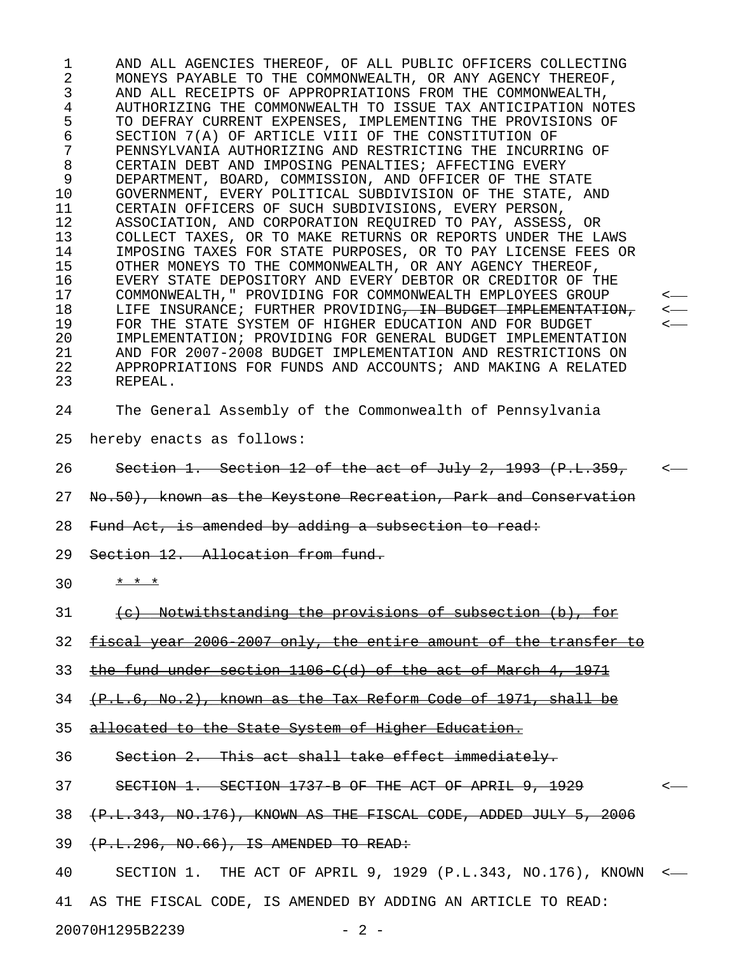1 AND ALL AGENCIES THEREOF, OF ALL PUBLIC OFFICERS COLLECTING 2 MONEYS PAYABLE TO THE COMMONWEALTH, OR ANY AGENCY THEREOF, 3 AND ALL RECEIPTS OF APPROPRIATIONS FROM THE COMMONWEALTH, 4 AUTHORIZING THE COMMONWEALTH TO ISSUE TAX ANTICIPATION NOTES 5 TO DEFRAY CURRENT EXPENSES, IMPLEMENTING THE PROVISIONS OF 6 SECTION 7(A) OF ARTICLE VIII OF THE CONSTITUTION OF 7 PENNSYLVANIA AUTHORIZING AND RESTRICTING THE INCURRING OF 8 CERTAIN DEBT AND IMPOSING PENALTIES; AFFECTING EVERY<br>9 DEPARTMENT, BOARD, COMMISSION, AND OFFICER OF THE ST. 9 DEPARTMENT, BOARD, COMMISSION, AND OFFICER OF THE STATE 10 GOVERNMENT, EVERY POLITICAL SUBDIVISION OF THE STATE, AND 11 CERTAIN OFFICERS OF SUCH SUBDIVISIONS, EVERY PERSON, 12 ASSOCIATION, AND CORPORATION REQUIRED TO PAY, ASSESS, OR 13 COLLECT TAXES, OR TO MAKE RETURNS OR REPORTS UNDER THE LAWS<br>14 IMPOSING TAXES FOR STATE PURPOSES, OR TO PAY LICENSE FEES O 14 IMPOSING TAXES FOR STATE PURPOSES, OR TO PAY LICENSE FEES OR 15 OTHER MONEYS TO THE COMMONWEALTH, OR ANY AGENCY THEREOF, 16 EVERY STATE DEPOSITORY AND EVERY DEBTOR OR CREDITOR OF THE 17 COMMONWEALTH," PROVIDING FOR COMMONWEALTH EMPLOYEES GROUP < 18 LIFE INSURANCE; FURTHER PROVIDING, IN BUDGET IMPLEMENTATION, 19 FOR THE STATE SYSTEM OF HIGHER EDUCATION AND FOR BUDGET<br>20 IMPLEMENTATION; PROVIDING FOR GENERAL BUDGET IMPLEMENTA 20 IMPLEMENTATION; PROVIDING FOR GENERAL BUDGET IMPLEMENTATION 21 AND FOR 2007-2008 BUDGET IMPLEMENTATION AND RESTRICTIONS ON 22 APPROPRIATIONS FOR FUNDS AND ACCOUNTS; AND MAKING A RELATED 23 REPEAL. 24 The General Assembly of the Commonwealth of Pennsylvania 25 hereby enacts as follows: 26 Section 1. Section 12 of the act of July 2, 1993 (P.L.359, 27 No.50), known as the Keystone Recreation, Park and Conservation 28 Fund Act, is amended by adding a subsection to read: 29 Section 12. Allocation from fund. 30 \* \* \* \* 31 (c) Notwithstanding the provisions of subsection (b), for 32 fiscal year 2006 2007 only, the entire amount of the transfer to

33 the fund under section  $1106$  C(d) of the act of March 4, 1971

 $34$   $(+P.L.6, No.2)$ , known as the Tax Reform Code of 1971, shall be

35 allocated to the State System of Higher Education.

36 Section 2. This act shall take effect immediately.

37 SECTION 1. SECTION 1737 B OF THE ACT OF APRIL 9, 1929 <-

38 (P.L.343, NO.176), KNOWN AS THE FISCAL CODE, ADDED JULY 5, 2006

39 (P.L.296, NO.66), IS AMENDED TO READ:

40 SECTION 1. THE ACT OF APRIL 9, 1929 (P.L.343, NO.176), KNOWN < 41 AS THE FISCAL CODE, IS AMENDED BY ADDING AN ARTICLE TO READ: 20070H1295B2239 - 2 -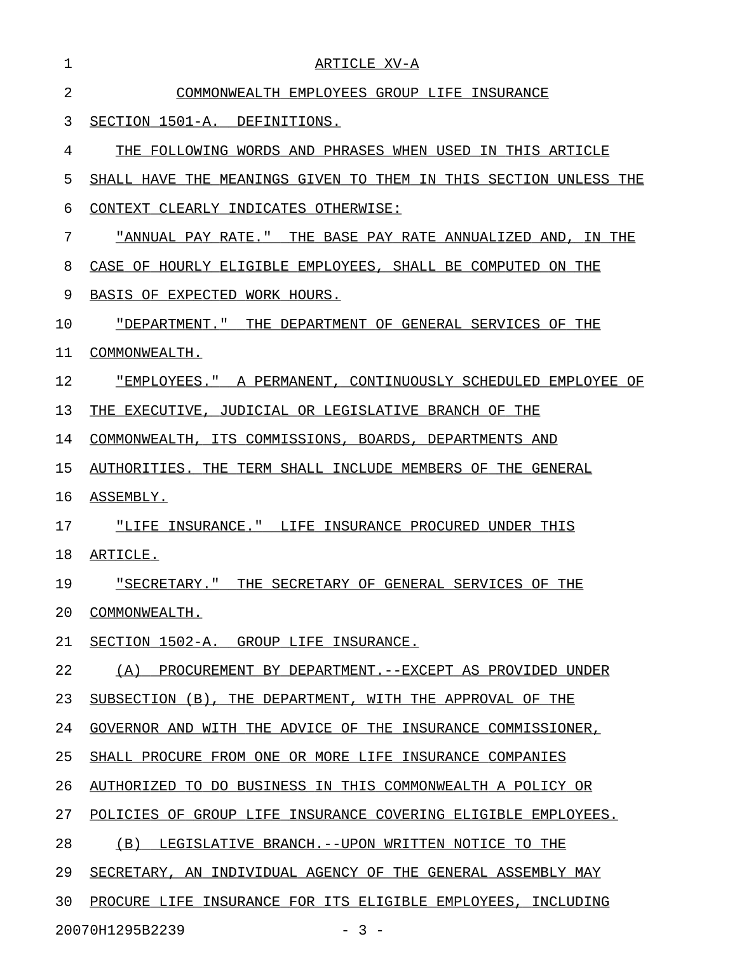| 1  | ARTICLE XV-A                                                       |
|----|--------------------------------------------------------------------|
| 2  | COMMONWEALTH EMPLOYEES GROUP LIFE INSURANCE                        |
| 3  | SECTION 1501-A.<br>DEFINITIONS.                                    |
| 4  | THE FOLLOWING WORDS AND PHRASES WHEN USED IN THIS ARTICLE          |
| 5  | SHALL HAVE THE MEANINGS GIVEN TO THEM IN THIS SECTION UNLESS THE   |
| 6  | CONTEXT CLEARLY INDICATES OTHERWISE:                               |
| 7  | "ANNUAL PAY RATE."<br>THE BASE PAY RATE ANNUALIZED AND,<br>IN THE  |
| 8  | CASE OF HOURLY ELIGIBLE EMPLOYEES, SHALL BE COMPUTED ON THE        |
| 9  | BASIS OF EXPECTED WORK HOURS.                                      |
| 10 | "DEPARTMENT."<br>THE DEPARTMENT OF GENERAL SERVICES OF THE         |
| 11 | COMMONWEALTH.                                                      |
| 12 | "EMPLOYEES."<br>A PERMANENT, CONTINUOUSLY SCHEDULED EMPLOYEE<br>ΟF |
| 13 | JUDICIAL OR LEGISLATIVE BRANCH OF THE<br>THE EXECUTIVE.            |
| 14 | ITS COMMISSIONS, BOARDS,<br>COMMONWEALTH,<br>DEPARTMENTS AND       |
| 15 | AUTHORITIES. THE TERM SHALL INCLUDE MEMBERS OF THE GENERAL         |
| 16 | ASSEMBLY.                                                          |
| 17 | "LIFE INSURANCE." LIFE INSURANCE PROCURED UNDER THIS               |
| 18 | ARTICLE.                                                           |
| 19 | "SECRETARY."<br>THE SECRETARY OF GENERAL SERVICES OF THE           |
| 20 | COMMONWEALTH.                                                      |
| 21 | SECTION 1502-A. GROUP LIFE INSURANCE.                              |
| 22 | (A) PROCUREMENT BY DEPARTMENT. -- EXCEPT AS PROVIDED UNDER         |
| 23 | SUBSECTION (B), THE DEPARTMENT, WITH THE APPROVAL OF THE           |
| 24 | GOVERNOR AND WITH THE ADVICE OF THE INSURANCE COMMISSIONER,        |
| 25 | SHALL PROCURE FROM ONE OR MORE LIFE INSURANCE COMPANIES            |
| 26 | AUTHORIZED TO DO BUSINESS IN THIS COMMONWEALTH A POLICY OR         |
| 27 | POLICIES OF GROUP LIFE INSURANCE COVERING ELIGIBLE EMPLOYEES.      |
| 28 | (B) LEGISLATIVE BRANCH. -- UPON WRITTEN NOTICE TO THE              |
| 29 | SECRETARY, AN INDIVIDUAL AGENCY OF THE GENERAL ASSEMBLY MAY        |
| 30 | PROCURE LIFE INSURANCE FOR ITS ELIGIBLE EMPLOYEES, INCLUDING       |
|    | 20070H1295B2239<br>$-3 -$                                          |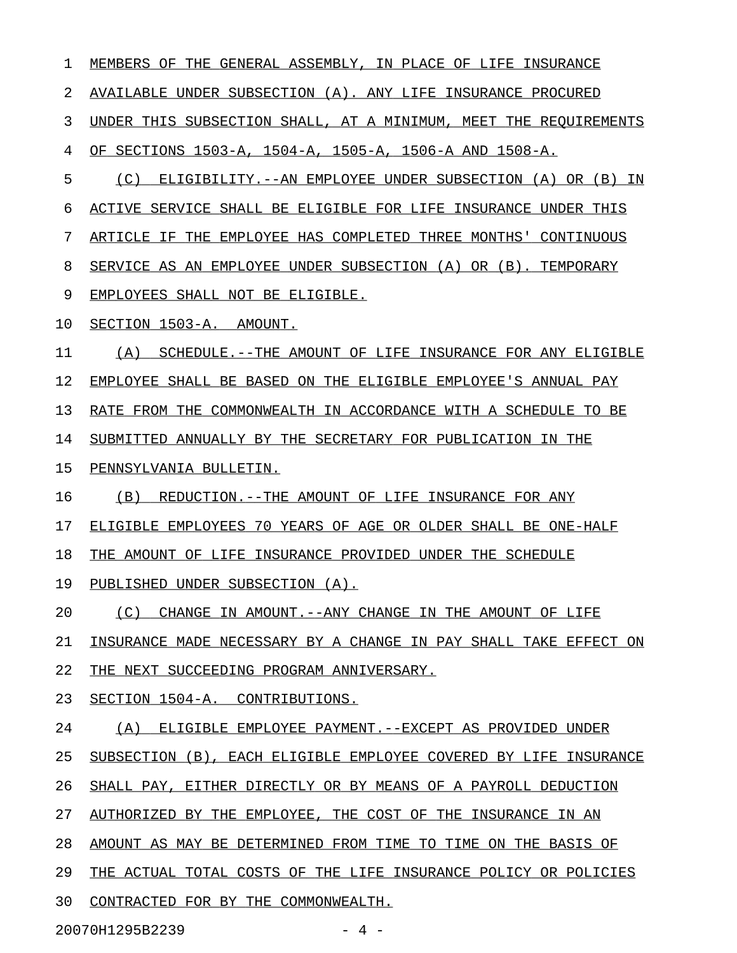1 MEMBERS OF THE GENERAL ASSEMBLY, IN PLACE OF LIFE INSURANCE 2 AVAILABLE UNDER SUBSECTION (A). ANY LIFE INSURANCE PROCURED 3 UNDER THIS SUBSECTION SHALL, AT A MINIMUM, MEET THE REQUIREMENTS 4 OF SECTIONS 1503-A, 1504-A, 1505-A, 1506-A AND 1508-A. 5 (C) ELIGIBILITY.--AN EMPLOYEE UNDER SUBSECTION (A) OR (B) IN 6 ACTIVE SERVICE SHALL BE ELIGIBLE FOR LIFE INSURANCE UNDER THIS 7 ARTICLE IF THE EMPLOYEE HAS COMPLETED THREE MONTHS' CONTINUOUS 8 SERVICE AS AN EMPLOYEE UNDER SUBSECTION (A) OR (B). TEMPORARY 9 EMPLOYEES SHALL NOT BE ELIGIBLE. 10 SECTION 1503-A. AMOUNT. 11 (A) SCHEDULE.--THE AMOUNT OF LIFE INSURANCE FOR ANY ELIGIBLE 12 EMPLOYEE SHALL BE BASED ON THE ELIGIBLE EMPLOYEE'S ANNUAL PAY 13 RATE FROM THE COMMONWEALTH IN ACCORDANCE WITH A SCHEDULE TO BE 14 SUBMITTED ANNUALLY BY THE SECRETARY FOR PUBLICATION IN THE 15 PENNSYLVANIA BULLETIN. 16 (B) REDUCTION.--THE AMOUNT OF LIFE INSURANCE FOR ANY 17 ELIGIBLE EMPLOYEES 70 YEARS OF AGE OR OLDER SHALL BE ONE-HALF 18 THE AMOUNT OF LIFE INSURANCE PROVIDED UNDER THE SCHEDULE 19 PUBLISHED UNDER SUBSECTION (A). 20 (C) CHANGE IN AMOUNT.--ANY CHANGE IN THE AMOUNT OF LIFE 21 INSURANCE MADE NECESSARY BY A CHANGE IN PAY SHALL TAKE EFFECT ON 22 THE NEXT SUCCEEDING PROGRAM ANNIVERSARY. 23 SECTION 1504-A. CONTRIBUTIONS. 24 (A) ELIGIBLE EMPLOYEE PAYMENT. --EXCEPT AS PROVIDED UNDER 25 SUBSECTION (B), EACH ELIGIBLE EMPLOYEE COVERED BY LIFE INSURANCE 26 SHALL PAY, EITHER DIRECTLY OR BY MEANS OF A PAYROLL DEDUCTION 27 AUTHORIZED BY THE EMPLOYEE, THE COST OF THE INSURANCE IN AN 28 AMOUNT AS MAY BE DETERMINED FROM TIME TO TIME ON THE BASIS OF 29 THE ACTUAL TOTAL COSTS OF THE LIFE INSURANCE POLICY OR POLICIES 30 CONTRACTED FOR BY THE COMMONWEALTH. 20070H1295B2239 - 4 -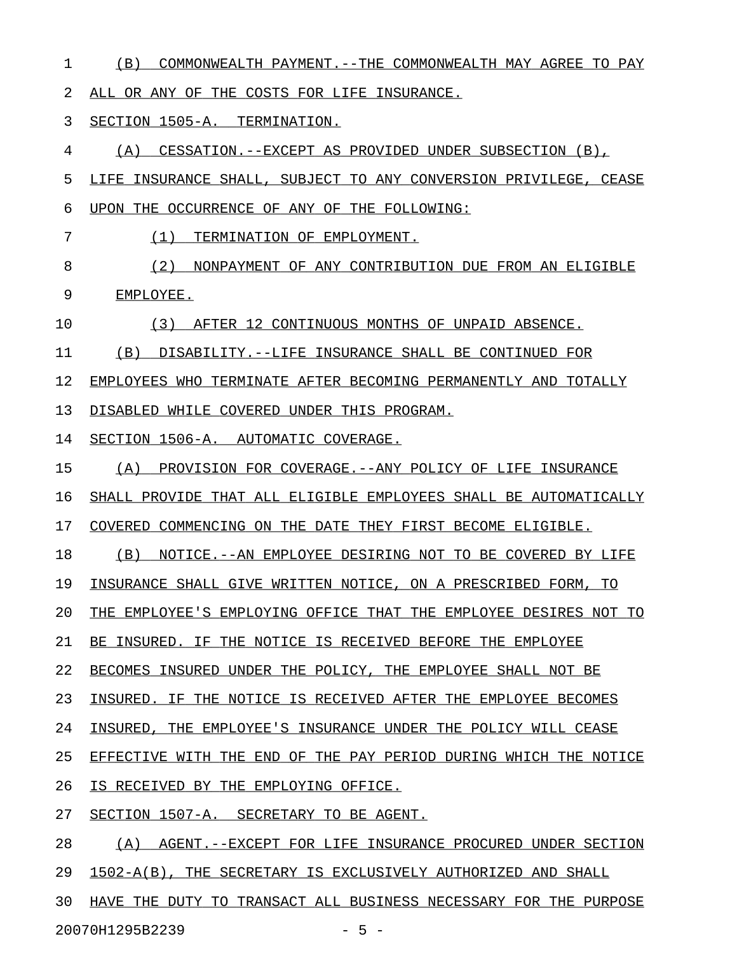1 (B) COMMONWEALTH PAYMENT.--THE COMMONWEALTH MAY AGREE TO PAY

2 ALL OR ANY OF THE COSTS FOR LIFE INSURANCE.

3 SECTION 1505-A. TERMINATION.

4 (A) CESSATION.--EXCEPT AS PROVIDED UNDER SUBSECTION (B),

5 LIFE INSURANCE SHALL, SUBJECT TO ANY CONVERSION PRIVILEGE, CEASE

- 6 UPON THE OCCURRENCE OF ANY OF THE FOLLOWING:
- 

7 (1) TERMINATION OF EMPLOYMENT.

- 8 (2) NONPAYMENT OF ANY CONTRIBUTION DUE FROM AN ELIGIBLE 9 EMPLOYEE.
- 10 (3) AFTER 12 CONTINUOUS MONTHS OF UNPAID ABSENCE.

11 (B) DISABILITY.--LIFE INSURANCE SHALL BE CONTINUED FOR

12 EMPLOYEES WHO TERMINATE AFTER BECOMING PERMANENTLY AND TOTALLY

13 DISABLED WHILE COVERED UNDER THIS PROGRAM.

14 SECTION 1506-A. AUTOMATIC COVERAGE.

- 15 (A) PROVISION FOR COVERAGE. -- ANY POLICY OF LIFE INSURANCE
- 16 SHALL PROVIDE THAT ALL ELIGIBLE EMPLOYEES SHALL BE AUTOMATICALLY
- 17 COVERED COMMENCING ON THE DATE THEY FIRST BECOME ELIGIBLE.

18 (B) NOTICE.--AN EMPLOYEE DESIRING NOT TO BE COVERED BY LIFE

19 INSURANCE SHALL GIVE WRITTEN NOTICE, ON A PRESCRIBED FORM, TO

20 THE EMPLOYEE'S EMPLOYING OFFICE THAT THE EMPLOYEE DESIRES NOT TO

21 BE INSURED. IF THE NOTICE IS RECEIVED BEFORE THE EMPLOYEE

22 BECOMES INSURED UNDER THE POLICY, THE EMPLOYEE SHALL NOT BE

23 INSURED. IF THE NOTICE IS RECEIVED AFTER THE EMPLOYEE BECOMES

24 INSURED, THE EMPLOYEE'S INSURANCE UNDER THE POLICY WILL CEASE

25 EFFECTIVE WITH THE END OF THE PAY PERIOD DURING WHICH THE NOTICE

- 26 IS RECEIVED BY THE EMPLOYING OFFICE.
- 27 SECTION 1507-A. SECRETARY TO BE AGENT.

28 (A) AGENT.--EXCEPT FOR LIFE INSURANCE PROCURED UNDER SECTION

29 1502-A(B), THE SECRETARY IS EXCLUSIVELY AUTHORIZED AND SHALL

30 HAVE THE DUTY TO TRANSACT ALL BUSINESS NECESSARY FOR THE PURPOSE

20070H1295B2239 - 5 -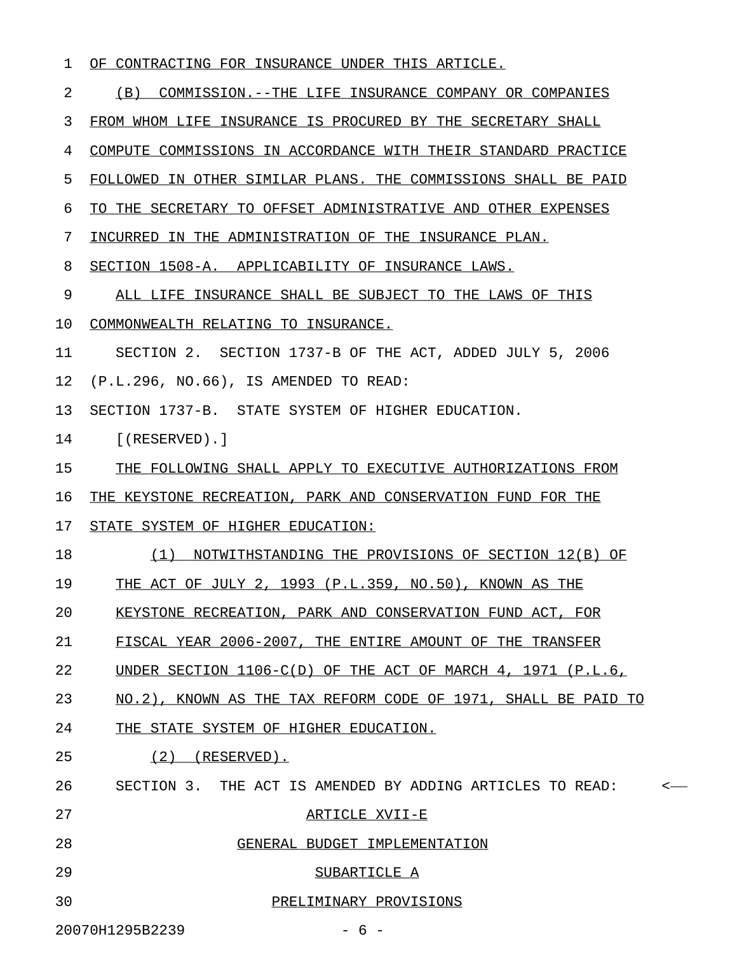#### 1 OF CONTRACTING FOR INSURANCE UNDER THIS ARTICLE.

2 (B) COMMISSION.--THE LIFE INSURANCE COMPANY OR COMPANIES

3 FROM WHOM LIFE INSURANCE IS PROCURED BY THE SECRETARY SHALL

4 COMPUTE COMMISSIONS IN ACCORDANCE WITH THEIR STANDARD PRACTICE

5 FOLLOWED IN OTHER SIMILAR PLANS. THE COMMISSIONS SHALL BE PAID

6 TO THE SECRETARY TO OFFSET ADMINISTRATIVE AND OTHER EXPENSES

7 INCURRED IN THE ADMINISTRATION OF THE INSURANCE PLAN.

8 SECTION 1508-A. APPLICABILITY OF INSURANCE LAWS.

9 ALL LIFE INSURANCE SHALL BE SUBJECT TO THE LAWS OF THIS

10 COMMONWEALTH RELATING TO INSURANCE.

11 SECTION 2. SECTION 1737-B OF THE ACT, ADDED JULY 5, 2006

12 (P.L.296, NO.66), IS AMENDED TO READ:

13 SECTION 1737-B. STATE SYSTEM OF HIGHER EDUCATION.

14 [(RESERVED).]

15 THE FOLLOWING SHALL APPLY TO EXECUTIVE AUTHORIZATIONS FROM

16 THE KEYSTONE RECREATION, PARK AND CONSERVATION FUND FOR THE

17 STATE SYSTEM OF HIGHER EDUCATION:

18 (1) NOTWITHSTANDING THE PROVISIONS OF SECTION 12(B) OF

19 THE ACT OF JULY 2, 1993 (P.L.359, NO.50), KNOWN AS THE

20 KEYSTONE RECREATION, PARK AND CONSERVATION FUND ACT, FOR

21 FISCAL YEAR 2006-2007, THE ENTIRE AMOUNT OF THE TRANSFER

22 UNDER SECTION  $1106-C(D)$  OF THE ACT OF MARCH 4,  $1971$  (P.L.6,

23 NO.2), KNOWN AS THE TAX REFORM CODE OF 1971, SHALL BE PAID TO

24 THE STATE SYSTEM OF HIGHER EDUCATION.

25 (2) (RESERVED).

26 SECTION 3. THE ACT IS AMENDED BY ADDING ARTICLES TO READ: <

27 ARTICLE XVII-E

28 GENERAL BUDGET IMPLEMENTATION

29 SUBARTICLE A

30 PRELIMINARY PROVISIONS \_\_\_\_\_\_\_\_\_\_\_\_\_\_\_\_\_\_\_\_\_\_

20070H1295B2239 - 6 -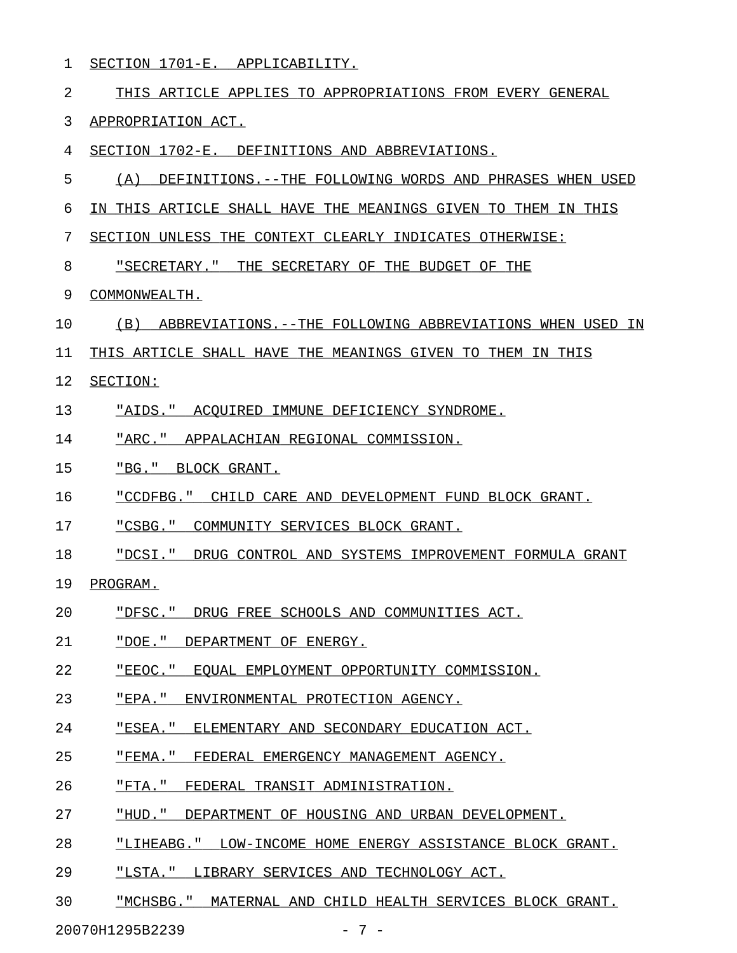1 SECTION 1701-E. APPLICABILITY.

| 2  | THIS ARTICLE APPLIES TO APPROPRIATIONS FROM EVERY GENERAL       |
|----|-----------------------------------------------------------------|
| 3  | APPROPRIATION ACT.                                              |
| 4  | SECTION 1702-E. DEFINITIONS AND ABBREVIATIONS.                  |
| 5  | (A)<br>DEFINITIONS.--THE FOLLOWING WORDS AND PHRASES WHEN USED  |
| 6  | IN THIS ARTICLE SHALL HAVE THE MEANINGS GIVEN TO THEM IN THIS   |
| 7  | SECTION UNLESS THE CONTEXT CLEARLY INDICATES OTHERWISE:         |
| 8  | "SECRETARY." THE SECRETARY OF THE BUDGET OF THE                 |
| 9  | COMMONWEALTH.                                                   |
| 10 | (B)<br>ABBREVIATIONS.--THE FOLLOWING ABBREVIATIONS WHEN USED IN |
| 11 | THIS ARTICLE SHALL HAVE THE MEANINGS GIVEN TO THEM IN THIS      |
| 12 | SECTION:                                                        |
| 13 | "AIDS." ACQUIRED IMMUNE DEFICIENCY SYNDROME.                    |
| 14 | "ARC." APPALACHIAN REGIONAL COMMISSION.                         |
| 15 | "BG." BLOCK GRANT.                                              |
| 16 | "CCDFBG." CHILD CARE AND DEVELOPMENT FUND BLOCK GRANT.          |
| 17 | "CSBG." COMMUNITY SERVICES BLOCK GRANT.                         |
| 18 | "DCSI." DRUG CONTROL AND SYSTEMS IMPROVEMENT FORMULA GRANT      |
| 19 | PROGRAM.                                                        |
| 20 | "DFSC." DRUG FREE SCHOOLS AND COMMUNITIES ACT.                  |
| 21 | "DOE." DEPARTMENT OF ENERGY.                                    |
| 22 | "EEOC." EQUAL EMPLOYMENT OPPORTUNITY COMMISSION.                |
| 23 | "EPA." ENVIRONMENTAL PROTECTION AGENCY.                         |
| 24 | "ESEA." ELEMENTARY AND SECONDARY EDUCATION ACT.                 |
| 25 | "FEMA." FEDERAL EMERGENCY MANAGEMENT AGENCY.                    |
| 26 | "FTA." FEDERAL TRANSIT ADMINISTRATION.                          |
| 27 | "HUD." DEPARTMENT OF HOUSING AND URBAN DEVELOPMENT.             |
| 28 | "LIHEABG." LOW-INCOME HOME ENERGY ASSISTANCE BLOCK GRANT.       |
| 29 | "LSTA." LIBRARY SERVICES AND TECHNOLOGY ACT.                    |

30 "MCHSBG." MATERNAL AND CHILD HEALTH SERVICES BLOCK GRANT.

20070H1295B2239 - 7 -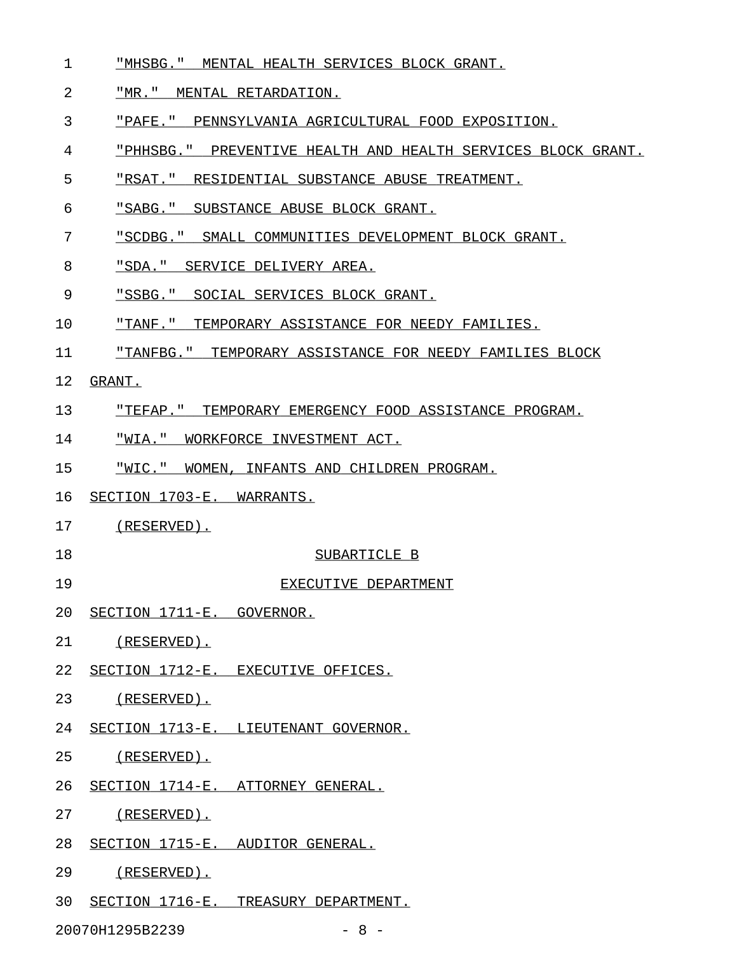- 1 "MHSBG." MENTAL HEALTH SERVICES BLOCK GRANT.
- 2 "MR." MENTAL RETARDATION.
- 3 "PAFE." PENNSYLVANIA AGRICULTURAL FOOD EXPOSITION.
- 4 "PHHSBG." PREVENTIVE HEALTH AND HEALTH SERVICES BLOCK GRANT.
- 5 FREAT." RESIDENTIAL SUBSTANCE ABUSE TREATMENT.
- 6 "SABG." SUBSTANCE ABUSE BLOCK GRANT.
- 7 "SCDBG." SMALL COMMUNITIES DEVELOPMENT BLOCK GRANT.
- 8 "SDA." SERVICE DELIVERY AREA.
- 9 "SSBG." SOCIAL SERVICES BLOCK GRANT.
- 10 THANF." TEMPORARY ASSISTANCE FOR NEEDY FAMILIES.
- 11 "TANFBG." TEMPORARY ASSISTANCE FOR NEEDY FAMILIES BLOCK
- 12 GRANT.
- 13 "TEFAP." TEMPORARY EMERGENCY FOOD ASSISTANCE PROGRAM. \_\_\_\_\_\_\_\_\_\_\_\_\_\_\_\_\_\_\_\_\_\_\_\_\_\_\_\_\_\_\_\_\_\_\_\_\_\_\_\_\_\_\_\_\_\_\_\_\_\_\_\_\_\_
- 14 "WIA." WORKFORCE INVESTMENT ACT.
- 15 "WIC." WOMEN, INFANTS AND CHILDREN PROGRAM.
- 16 SECTION 1703-E. WARRANTS.
- 17 (RESERVED).
- 18 SUBARTICLE B
- 19 EXECUTIVE DEPARTMENT
- 20 SECTION 1711-E. GOVERNOR.
- 21 (RESERVED).
- 22 SECTION 1712-E. EXECUTIVE OFFICES.
- 23 (RESERVED).
- 24 SECTION 1713-E. LIEUTENANT GOVERNOR.
- 25 (RESERVED).
- 26 SECTION 1714-E. ATTORNEY GENERAL.
- 27 (RESERVED).
- 28 SECTION 1715-E. AUDITOR GENERAL.
- 29 (RESERVED).
- 30 SECTION 1716-E. TREASURY DEPARTMENT.

20070H1295B2239 - 8 -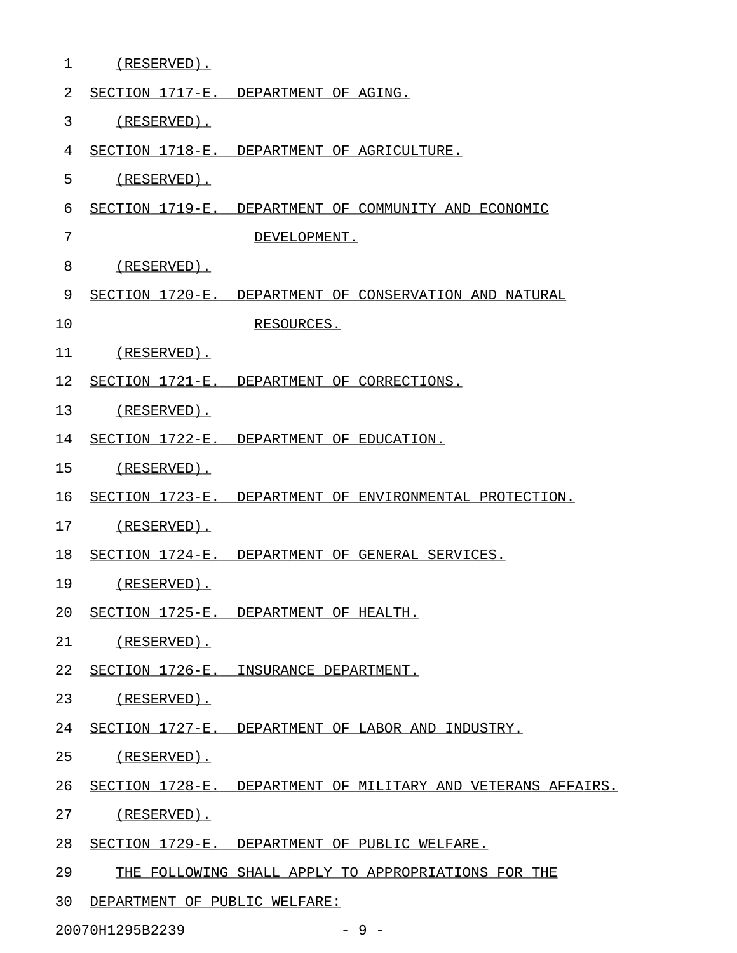| $\mathbf 1$    | (RESERVED).                                          |                                                              |
|----------------|------------------------------------------------------|--------------------------------------------------------------|
| $\overline{2}$ | SECTION 1717-E. DEPARTMENT OF AGING.                 |                                                              |
| 3              | (RESERVED).                                          |                                                              |
| 4              | SECTION 1718-E. DEPARTMENT OF AGRICULTURE.           |                                                              |
| 5              | (RESERVED).                                          |                                                              |
| 6              |                                                      | SECTION 1719-E. DEPARTMENT OF COMMUNITY AND ECONOMIC         |
| 7              |                                                      | DEVELOPMENT.                                                 |
| 8              | (RESERVED).                                          |                                                              |
| 9              |                                                      | SECTION 1720-E. DEPARTMENT OF CONSERVATION AND NATURAL       |
| 10             | RESOURCES.                                           |                                                              |
| 11             | (RESERVED).                                          |                                                              |
| 12             | SECTION 1721-E. DEPARTMENT OF CORRECTIONS.           |                                                              |
| 13             | (RESERVED).                                          |                                                              |
| 14             | SECTION 1722-E. DEPARTMENT OF EDUCATION.             |                                                              |
| 15             | (RESERVED).                                          |                                                              |
| 16             |                                                      | SECTION 1723-E. DEPARTMENT OF ENVIRONMENTAL PROTECTION.      |
| 17             | (RESERVED).                                          |                                                              |
| 18             | SECTION 1724-E. DEPARTMENT OF GENERAL SERVICES.      |                                                              |
| 19             | (RESERVED).                                          |                                                              |
|                | 20 SECTION 1725-E. DEPARTMENT OF HEALTH.             |                                                              |
|                | 21 (RESERVED).                                       |                                                              |
|                | 22 SECTION 1726-E. INSURANCE DEPARTMENT.             |                                                              |
|                | 23 (RESERVED).                                       |                                                              |
|                | 24 SECTION 1727-E. DEPARTMENT OF LABOR AND INDUSTRY. |                                                              |
|                | 25 (RESERVED).                                       |                                                              |
| 26             |                                                      | SECTION 1728-E. DEPARTMENT OF MILITARY AND VETERANS AFFAIRS. |
| 27             | (RESERVED).                                          |                                                              |
| 28             | SECTION 1729-E. DEPARTMENT OF PUBLIC WELFARE.        |                                                              |
| 29             |                                                      | THE FOLLOWING SHALL APPLY TO APPROPRIATIONS FOR THE          |
| 30             | DEPARTMENT OF PUBLIC WELFARE:                        |                                                              |
|                |                                                      |                                                              |

20070H1295B2239 - 9 -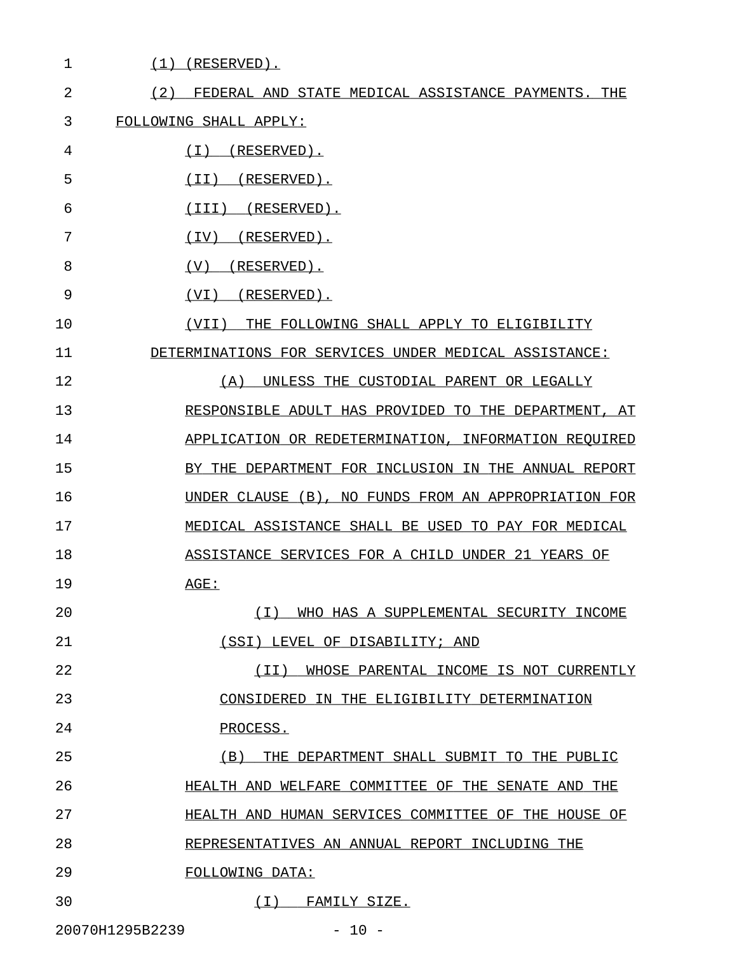| $\mathbf 1$                | $(1)$ (RESERVED).                                      |
|----------------------------|--------------------------------------------------------|
| $\overline{2}$<br>(2)      | FEDERAL AND STATE MEDICAL ASSISTANCE PAYMENTS. THE     |
| 3                          | FOLLOWING SHALL APPLY:                                 |
| 4                          | ( I )<br>$(RESERVED)$ .                                |
| 5                          | (RESERVED).<br>(II)                                    |
| 6                          | (III)<br>(RESERVED).                                   |
| 7                          | (RESERVED).<br>(IV)                                    |
| 8                          | (RESERVED).<br>(V)                                     |
| 9                          | (RESERVED).<br>(VI)                                    |
| 10                         | (VII)<br>THE FOLLOWING SHALL APPLY TO ELIGIBILITY      |
| 11                         | DETERMINATIONS FOR SERVICES UNDER MEDICAL ASSISTANCE:  |
| 12                         | UNLESS THE CUSTODIAL PARENT OR LEGALLY<br>(A)          |
| 13                         | RESPONSIBLE ADULT HAS PROVIDED TO THE DEPARTMENT, AT   |
| 14                         | APPLICATION OR REDETERMINATION, INFORMATION REOUIRED   |
| 15                         | BY THE DEPARTMENT FOR INCLUSION IN THE ANNUAL REPORT   |
| 16                         | UNDER CLAUSE (B), NO FUNDS FROM AN APPROPRIATION FOR   |
| 17                         | MEDICAL ASSISTANCE SHALL BE USED TO PAY FOR MEDICAL    |
| 18                         | ASSISTANCE SERVICES FOR A CHILD UNDER 21 YEARS OF      |
| 19                         | AGE:                                                   |
| 20                         | (T)<br>WHO HAS A SUPPLEMENTAL SECURITY INCOME          |
| 21                         | (SSI) LEVEL OF DISABILITY; AND                         |
| 22                         | (TT)<br>WHOSE PARENTAL INCOME IS NOT CURRENTLY         |
| 23                         | CONSIDERED IN THE ELIGIBILITY DETERMINATION            |
| 24                         | PROCESS.                                               |
| 25                         | (B)<br>THE DEPARTMENT SHALL SUBMIT TO THE PUBLIC       |
| 26                         | HEALTH AND WELFARE COMMITTEE OF THE SENATE AND THE     |
| 27                         | HEALTH AND HUMAN SERVICES COMMITTEE<br>OF THE HOUSE OF |
| 28                         | REPRESENTATIVES AN ANNUAL REPORT INCLUDING THE         |
| 29                         | FOLLOWING DATA:                                        |
| 30                         | ( I )<br>FAMILY SIZE.                                  |
| 20070H1295B2239<br>$-10 -$ |                                                        |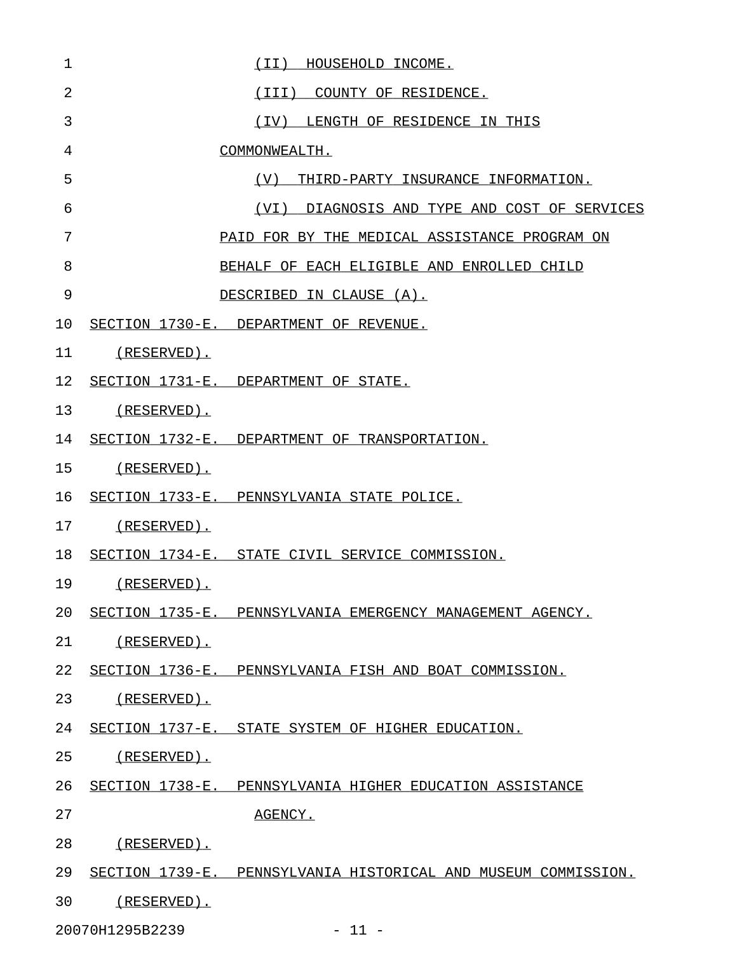| 1  | (II) HOUSEHOLD INCOME.                                         |
|----|----------------------------------------------------------------|
| 2  | (III) COUNTY OF RESIDENCE.                                     |
| 3  | (IV) LENGTH OF RESIDENCE IN THIS                               |
| 4  | COMMONWEALTH.                                                  |
| 5  | (V)<br>THIRD-PARTY INSURANCE INFORMATION.                      |
| 6  | (VI) DIAGNOSIS AND TYPE AND COST OF SERVICES                   |
| 7  | PAID FOR BY THE MEDICAL ASSISTANCE PROGRAM ON                  |
| 8  | BEHALF OF EACH ELIGIBLE AND ENROLLED CHILD                     |
| 9  | DESCRIBED IN CLAUSE (A).                                       |
| 10 | SECTION 1730-E. DEPARTMENT OF REVENUE.                         |
| 11 | (RESERVED).                                                    |
| 12 | SECTION 1731-E. DEPARTMENT OF STATE.                           |
| 13 | (RESERVED).                                                    |
| 14 | SECTION 1732-E. DEPARTMENT OF TRANSPORTATION.                  |
| 15 | (RESERVED).                                                    |
| 16 | SECTION 1733-E. PENNSYLVANIA STATE POLICE.                     |
| 17 | (RESERVED).                                                    |
| 18 | SECTION 1734-E. STATE CIVIL SERVICE COMMISSION.                |
| 19 | (RESERVED).                                                    |
| 20 | SECTION 1735-E. PENNSYLVANIA EMERGENCY MANAGEMENT AGENCY.      |
| 21 | (RESERVED).                                                    |
| 22 | SECTION 1736-E. PENNSYLVANIA FISH AND BOAT COMMISSION.         |
| 23 | (RESERVED).                                                    |
| 24 | SECTION 1737-E. STATE SYSTEM OF HIGHER EDUCATION.              |
| 25 | (RESERVED).                                                    |
| 26 | SECTION 1738-E. PENNSYLVANIA HIGHER EDUCATION ASSISTANCE       |
| 27 | AGENCY.                                                        |
| 28 | (RESERVED).                                                    |
| 29 | SECTION 1739-E. PENNSYLVANIA HISTORICAL AND MUSEUM COMMISSION. |
| 30 | (RESERVED).                                                    |

20070H1295B2239 - 11 -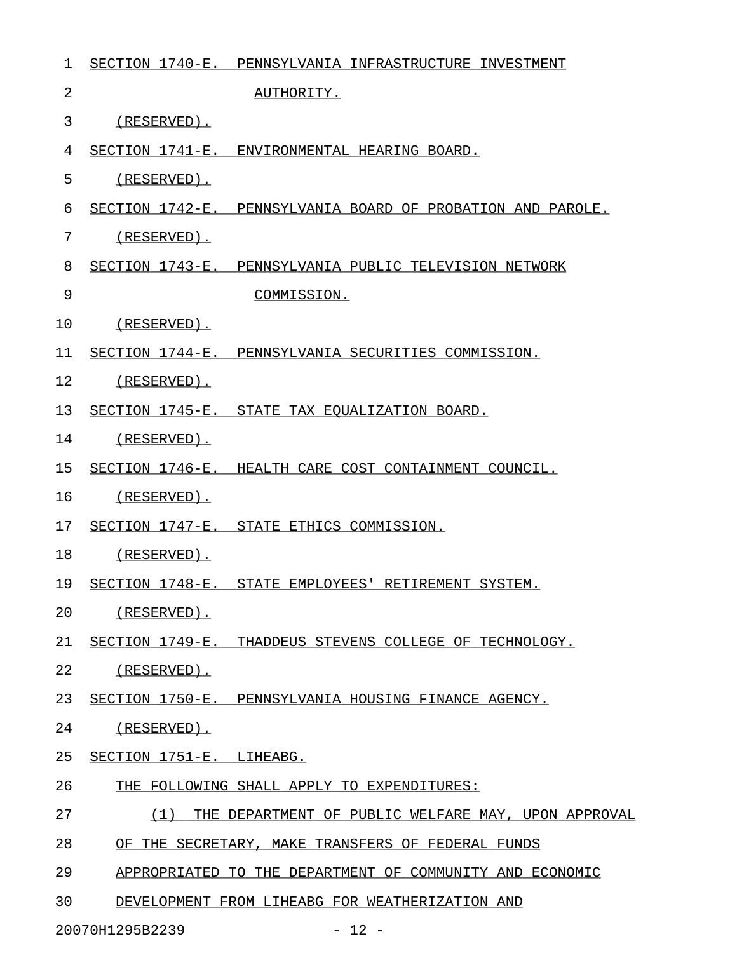| 1  | SECTION 1740-E. PENNSYLVANIA INFRASTRUCTURE INVESTMENT      |
|----|-------------------------------------------------------------|
| 2  | AUTHORITY.                                                  |
| 3  | (RESERVED).                                                 |
| 4  | SECTION 1741-E. ENVIRONMENTAL HEARING BOARD.                |
| 5  | (RESERVED).                                                 |
| 6  | SECTION 1742-E. PENNSYLVANIA BOARD OF PROBATION AND PAROLE. |
| 7  | (RESERVED).                                                 |
| 8  | SECTION 1743-E. PENNSYLVANIA PUBLIC TELEVISION NETWORK      |
| 9  | COMMISSION.                                                 |
| 10 | (RESERVED).                                                 |
| 11 | SECTION 1744-E. PENNSYLVANIA SECURITIES COMMISSION.         |
| 12 | $(RESERVED)$ .                                              |
| 13 | SECTION 1745-E. STATE TAX EQUALIZATION BOARD.               |
| 14 | (RESERVED).                                                 |
| 15 | SECTION 1746-E. HEALTH CARE COST CONTAINMENT COUNCIL.       |
| 16 | $(RESERVED)$ .                                              |
| 17 | SECTION 1747-E. STATE ETHICS COMMISSION.                    |
| 18 | $(RESERVED)$ .                                              |
| 19 | SECTION 1748-E. STATE EMPLOYEES' RETIREMENT SYSTEM.         |
| 20 | (RESERVED).                                                 |
| 21 | SECTION 1749-E. THADDEUS STEVENS COLLEGE OF TECHNOLOGY.     |
| 22 | (RESERVED).                                                 |
| 23 | SECTION 1750-E. PENNSYLVANIA HOUSING FINANCE AGENCY.        |
| 24 | (RESERVED).                                                 |
| 25 | SECTION 1751-E. LIHEABG.                                    |
| 26 | THE FOLLOWING SHALL APPLY TO EXPENDITURES:                  |
| 27 | (1)<br>THE DEPARTMENT OF PUBLIC WELFARE MAY, UPON APPROVAL  |
| 28 | OF THE SECRETARY, MAKE TRANSFERS OF FEDERAL FUNDS           |
| 29 | APPROPRIATED TO THE DEPARTMENT OF COMMUNITY AND ECONOMIC    |
| 30 | DEVELOPMENT FROM LIHEABG FOR WEATHERIZATION AND             |

20070H1295B2239 - 12 -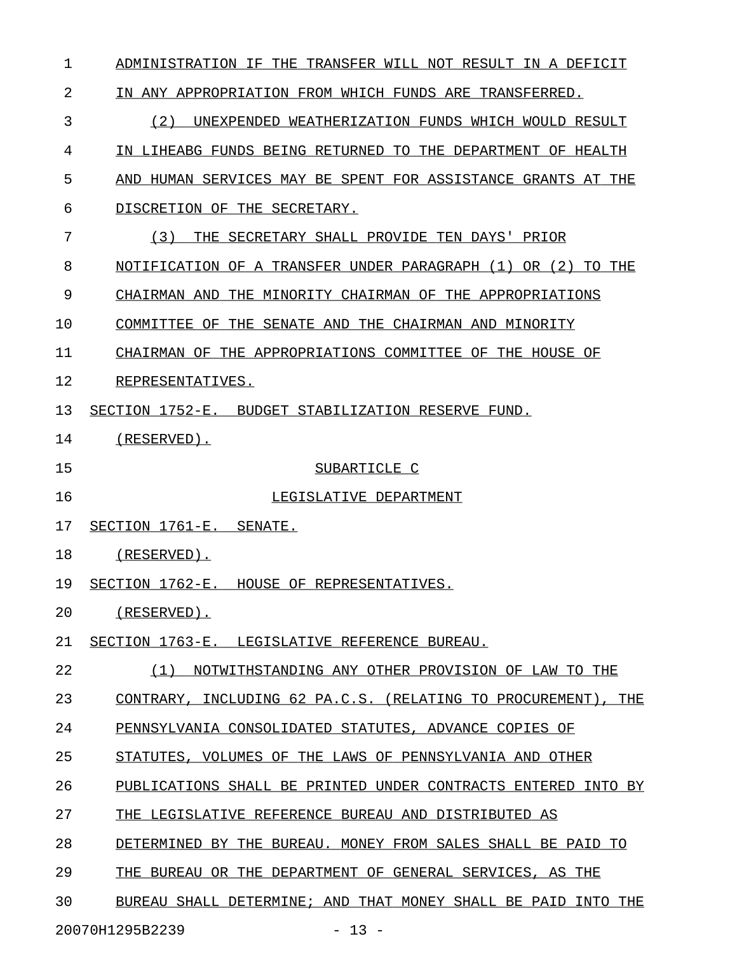| 1  | ADMINISTRATION IF THE TRANSFER WILL NOT RESULT IN A DEFICIT        |
|----|--------------------------------------------------------------------|
| 2  | IN ANY APPROPRIATION FROM WHICH FUNDS ARE TRANSFERRED.             |
| 3  | (2)<br>UNEXPENDED WEATHERIZATION FUNDS WHICH WOULD RESULT          |
| 4  | IN LIHEABG FUNDS BEING RETURNED TO THE DEPARTMENT OF HEALTH        |
| 5  | AND HUMAN SERVICES MAY BE SPENT FOR ASSISTANCE GRANTS AT THE       |
| 6  | DISCRETION OF THE SECRETARY.                                       |
| 7  | (3)<br>THE SECRETARY SHALL PROVIDE TEN DAYS' PRIOR                 |
| 8  | OR (2)<br>NOTIFICATION OF A TRANSFER UNDER PARAGRAPH (1)<br>TO THE |
| 9  | CHAIRMAN AND<br>THE MINORITY CHAIRMAN OF THE APPROPRIATIONS        |
| 10 | COMMITTEE OF THE SENATE AND THE CHAIRMAN AND MINORITY              |
| 11 | CHAIRMAN OF THE APPROPRIATIONS COMMITTEE OF THE HOUSE OF           |
| 12 | REPRESENTATIVES.                                                   |
| 13 | SECTION 1752-E.<br>BUDGET STABILIZATION RESERVE FUND.              |
| 14 | $(RESERVED)$ .                                                     |
| 15 | SUBARTICLE C                                                       |
| 16 | LEGISLATIVE DEPARTMENT                                             |
| 17 | SECTION 1761-E.<br>SENATE.                                         |
| 18 | $(RESERVED)$ .                                                     |
| 19 | SECTION 1762-E. HOUSE OF REPRESENTATIVES.                          |
| 20 | (RESERVED).                                                        |
| 21 | SECTION 1763-E. LEGISLATIVE REFERENCE BUREAU.                      |
| 22 | NOTWITHSTANDING ANY OTHER PROVISION OF LAW TO THE<br>(1)           |
| 23 | CONTRARY, INCLUDING 62 PA.C.S. (RELATING TO PROCUREMENT), THE      |
| 24 | PENNSYLVANIA CONSOLIDATED STATUTES, ADVANCE COPIES OF              |
| 25 | STATUTES, VOLUMES OF THE LAWS OF PENNSYLVANIA AND OTHER            |
| 26 | PUBLICATIONS SHALL BE PRINTED UNDER CONTRACTS ENTERED INTO BY      |
| 27 | THE LEGISLATIVE REFERENCE BUREAU AND DISTRIBUTED AS                |
| 28 | DETERMINED BY THE BUREAU. MONEY FROM SALES SHALL BE PAID TO        |
| 29 | THE BUREAU OR THE DEPARTMENT OF GENERAL SERVICES, AS THE           |
| 30 | BUREAU SHALL DETERMINE; AND THAT MONEY SHALL BE PAID INTO THE      |

20070H1295B2239 - 13 -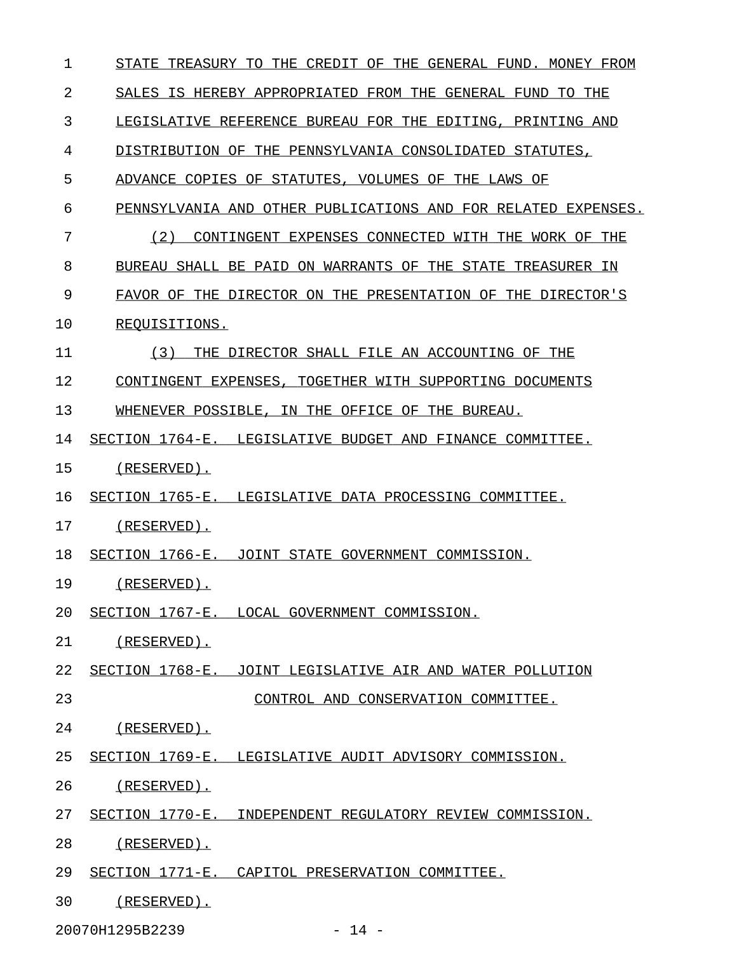| $\mathbf 1$    | STATE TREASURY TO THE CREDIT OF THE GENERAL FUND. MONEY FROM  |
|----------------|---------------------------------------------------------------|
| $\overline{2}$ | SALES IS HEREBY APPROPRIATED FROM THE GENERAL FUND TO THE     |
| 3              | LEGISLATIVE REFERENCE BUREAU FOR THE EDITING, PRINTING AND    |
| 4              | DISTRIBUTION OF THE PENNSYLVANIA CONSOLIDATED STATUTES,       |
| 5              | ADVANCE COPIES OF STATUTES, VOLUMES OF THE LAWS OF            |
| 6              | PENNSYLVANIA AND OTHER PUBLICATIONS AND FOR RELATED EXPENSES. |
| 7              | CONTINGENT EXPENSES CONNECTED WITH THE WORK OF THE<br>(2)     |
| 8              | BUREAU SHALL BE PAID ON WARRANTS OF THE STATE TREASURER IN    |
| 9              | FAVOR OF THE DIRECTOR ON THE PRESENTATION OF THE DIRECTOR'S   |
| 10             | REQUISITIONS.                                                 |
| 11             | THE DIRECTOR SHALL FILE AN ACCOUNTING OF THE<br>(3)           |
| 12             | CONTINGENT EXPENSES, TOGETHER WITH SUPPORTING DOCUMENTS       |
| 13             | WHENEVER POSSIBLE, IN THE OFFICE OF THE BUREAU.               |
| 14             | SECTION 1764-E. LEGISLATIVE BUDGET AND FINANCE COMMITTEE.     |
| 15             | (RESERVED).                                                   |
| 16             | SECTION 1765-E. LEGISLATIVE DATA PROCESSING COMMITTEE.        |
| 17             | (RESERVED).                                                   |
| 18             | SECTION 1766-E. JOINT STATE GOVERNMENT COMMISSION.            |
| 19             | $(RESERVED)$ .                                                |
| 20             | SECTION 1767-E. LOCAL GOVERNMENT COMMISSION.                  |
| 21             | $(RESERVED)$ .                                                |
| 22             | SECTION 1768-E. JOINT LEGISLATIVE AIR AND WATER POLLUTION     |
| 23             | CONTROL AND CONSERVATION COMMITTEE.                           |
| 24             | (RESERVED).                                                   |
| 25             | SECTION 1769-E. LEGISLATIVE AUDIT ADVISORY COMMISSION.        |
| 26             | $(RESERVED)$ .                                                |
| 27             | SECTION 1770-E. INDEPENDENT REGULATORY REVIEW COMMISSION.     |
| 28             | $(RESERVED)$ .                                                |
| 29             | SECTION 1771-E. CAPITOL PRESERVATION COMMITTEE.               |
| 30             | (RESERVED).                                                   |

20070H1295B2239 - 14 -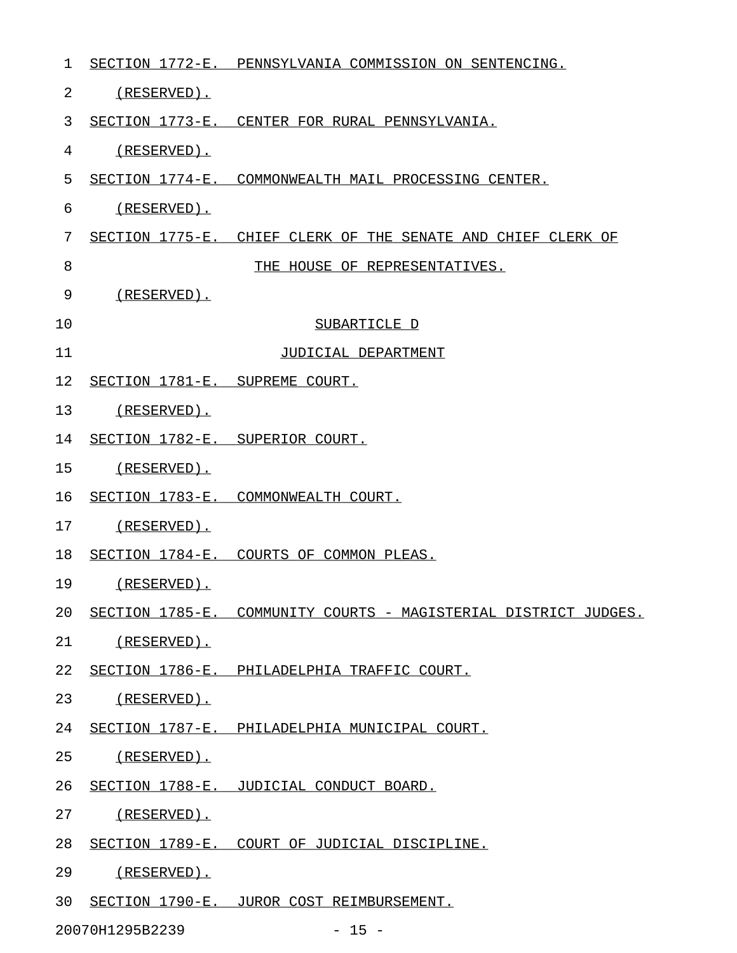| 1  |                                 | SECTION 1772-E. PENNSYLVANIA COMMISSION ON SENTENCING.          |
|----|---------------------------------|-----------------------------------------------------------------|
| 2  | (RESERVED).                     |                                                                 |
| 3  |                                 | SECTION 1773-E. CENTER FOR RURAL PENNSYLVANIA.                  |
| 4  | $(RESERVED)$ .                  |                                                                 |
| 5  |                                 | SECTION 1774-E. COMMONWEALTH MAIL PROCESSING CENTER.            |
| 6  | (RESERVED).                     |                                                                 |
| 7  |                                 | SECTION 1775-E. CHIEF CLERK OF THE SENATE AND CHIEF CLERK OF    |
| 8  |                                 | THE HOUSE OF REPRESENTATIVES.                                   |
| 9  | $(RESERVED)$ .                  |                                                                 |
| 10 |                                 | SUBARTICLE D                                                    |
| 11 |                                 | JUDICIAL DEPARTMENT                                             |
| 12 | SECTION 1781-E. SUPREME COURT.  |                                                                 |
| 13 | (RESERVED).                     |                                                                 |
| 14 | SECTION 1782-E. SUPERIOR COURT. |                                                                 |
| 15 | (RESERVED).                     |                                                                 |
| 16 |                                 | SECTION 1783-E. COMMONWEALTH COURT.                             |
| 17 | (RESERVED).                     |                                                                 |
| 18 |                                 | SECTION 1784-E. COURTS OF COMMON PLEAS.                         |
| 19 | (RESERVED).                     |                                                                 |
| 20 |                                 | SECTION 1785-E. COMMUNITY COURTS - MAGISTERIAL DISTRICT JUDGES. |
| 21 | <u>(RESERVED).</u>              |                                                                 |
| 22 |                                 | SECTION 1786-E. PHILADELPHIA TRAFFIC COURT.                     |
| 23 | <u>(RESERVED).</u>              |                                                                 |
| 24 |                                 | SECTION 1787-E. PHILADELPHIA MUNICIPAL COURT.                   |
| 25 | <u>(RESERVED).</u>              |                                                                 |
| 26 |                                 | SECTION 1788-E. JUDICIAL CONDUCT BOARD.                         |
| 27 | <u>(RESERVED).</u>              |                                                                 |
| 28 |                                 | SECTION 1789-E. COURT OF JUDICIAL DISCIPLINE.                   |
| 29 | (RESERVED).                     |                                                                 |
| 30 |                                 | SECTION 1790-E. JUROR COST REIMBURSEMENT.                       |
|    | 20070H1295B2239                 | $-15 -$                                                         |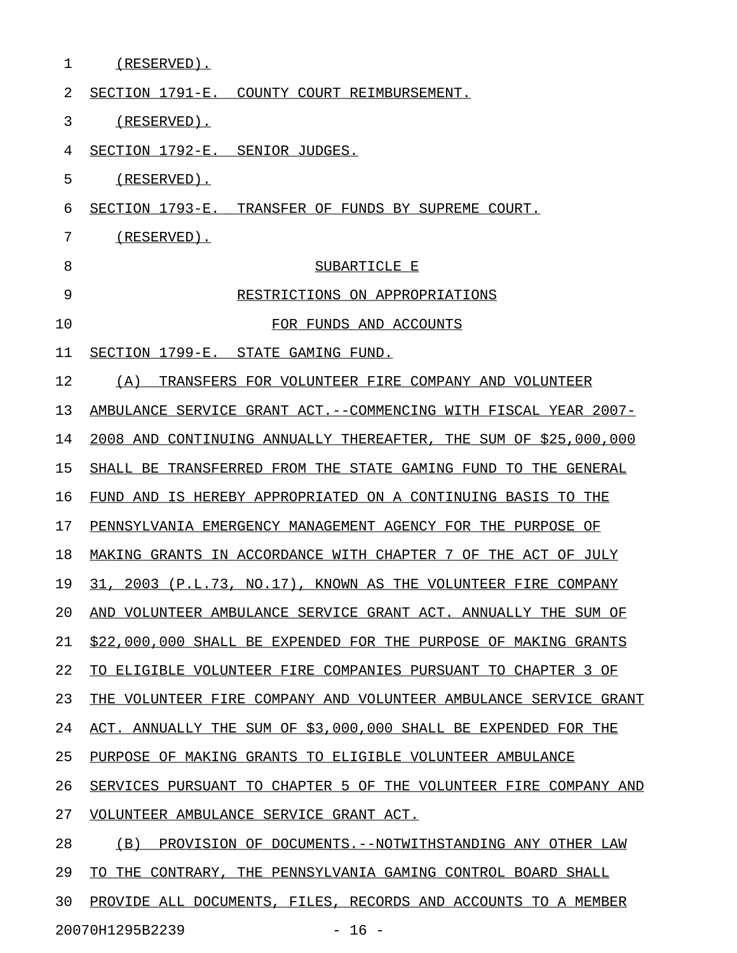| 1  | (RESERVED).                                                         |
|----|---------------------------------------------------------------------|
| 2  | SECTION 1791-E. COUNTY COURT REIMBURSEMENT.                         |
| 3  | $(RESERVED)$ .                                                      |
| 4  | SECTION 1792-E. SENIOR JUDGES.                                      |
| 5  | $(RESERVED)$ .                                                      |
| 6  | SECTION 1793-E. TRANSFER OF FUNDS BY SUPREME COURT.                 |
| 7  | $(RESERVED)$ .                                                      |
| 8  | SUBARTICLE E                                                        |
| 9  | RESTRICTIONS ON APPROPRIATIONS                                      |
| 10 | FOR FUNDS AND ACCOUNTS                                              |
| 11 | SECTION 1799-E.<br>STATE GAMING FUND.                               |
| 12 | TRANSFERS FOR VOLUNTEER FIRE COMPANY AND VOLUNTEER<br>(A)           |
| 13 | AMBULANCE SERVICE GRANT ACT.--COMMENCING WITH FISCAL YEAR 2007-     |
| 14 | THE SUM OF \$25,000,000<br>2008 AND CONTINUING ANNUALLY THEREAFTER, |
| 15 | TRANSFERRED FROM THE STATE GAMING FUND TO THE GENERAL<br>SHALL BE   |
| 16 | FUND AND IS HEREBY APPROPRIATED ON A CONTINUING BASIS TO THE        |
| 17 | PENNSYLVANIA EMERGENCY MANAGEMENT AGENCY FOR THE PURPOSE OF         |
| 18 | MAKING GRANTS IN ACCORDANCE WITH CHAPTER 7 OF THE ACT OF JULY       |
| 19 | 2003 (P.L.73, NO.17), KNOWN AS THE VOLUNTEER FIRE COMPANY<br>31,    |
| 20 | AND VOLUNTEER AMBULANCE SERVICE GRANT ACT. ANNUALLY THE SUM OF      |
| 21 | \$22,000,000 SHALL BE EXPENDED FOR THE PURPOSE OF MAKING GRANTS     |
| 22 | TO ELIGIBLE VOLUNTEER FIRE COMPANIES PURSUANT TO CHAPTER 3 OF       |
| 23 | THE VOLUNTEER FIRE COMPANY AND VOLUNTEER AMBULANCE SERVICE GRANT    |
| 24 | ACT. ANNUALLY THE SUM OF \$3,000,000 SHALL BE EXPENDED FOR THE      |
| 25 | PURPOSE OF MAKING GRANTS TO ELIGIBLE VOLUNTEER AMBULANCE            |
| 26 | SERVICES PURSUANT TO CHAPTER 5 OF THE VOLUNTEER FIRE COMPANY AND    |
| 27 | VOLUNTEER AMBULANCE SERVICE GRANT ACT.                              |
| 28 | (B) PROVISION OF DOCUMENTS. -- NOTWITHSTANDING ANY OTHER LAW        |
| 29 | TO THE CONTRARY, THE PENNSYLVANIA GAMING CONTROL BOARD SHALL        |
| 30 | PROVIDE ALL DOCUMENTS, FILES, RECORDS AND ACCOUNTS TO A MEMBER      |

20070H1295B2239 - 16 -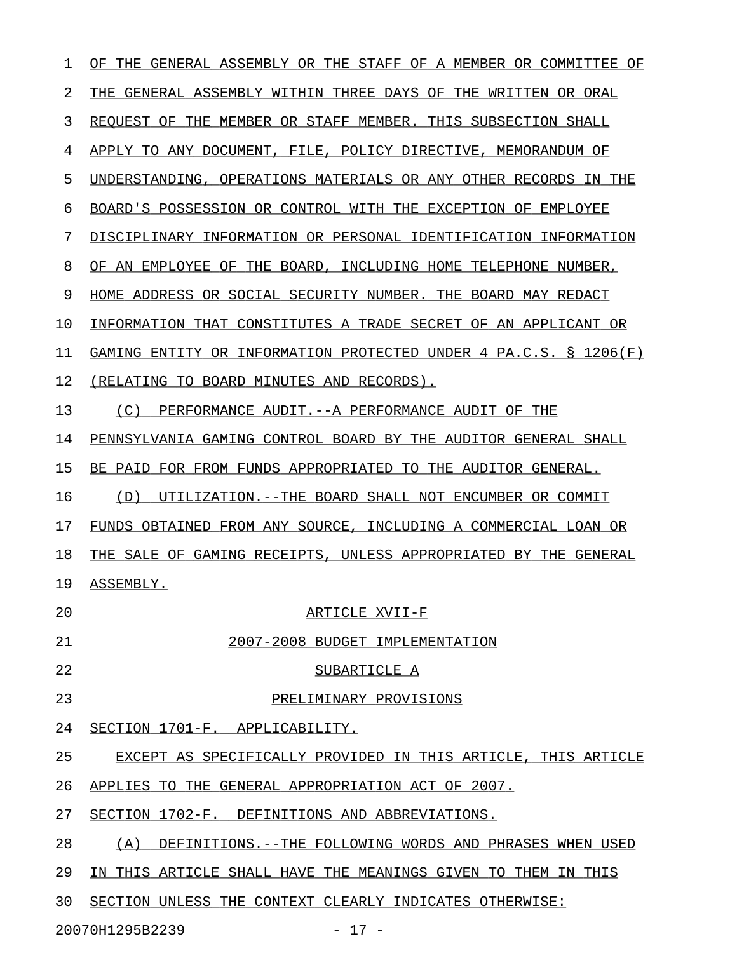| 1  | THE GENERAL ASSEMBLY OR THE STAFF OF A MEMBER OR COMMITTEE<br>ΟF    |
|----|---------------------------------------------------------------------|
| 2  | THE GENERAL ASSEMBLY WITHIN THREE DAYS OF THE WRITTEN OR ORAL       |
| 3  | REOUEST OF THE MEMBER OR STAFF MEMBER. THIS SUBSECTION SHALL        |
| 4  | APPLY TO ANY DOCUMENT, FILE, POLICY DIRECTIVE, MEMORANDUM OF        |
| 5  | UNDERSTANDING, OPERATIONS MATERIALS OR ANY OTHER RECORDS IN THE     |
| 6  | BOARD'S POSSESSION OR CONTROL WITH THE EXCEPTION OF EMPLOYEE        |
| 7  | DISCIPLINARY INFORMATION OR PERSONAL IDENTIFICATION INFORMATION     |
| 8  | OF AN EMPLOYEE OF THE BOARD, INCLUDING HOME TELEPHONE NUMBER,       |
| 9  | HOME ADDRESS OR SOCIAL SECURITY NUMBER. THE BOARD MAY REDACT        |
| 10 | INFORMATION THAT CONSTITUTES A TRADE SECRET OF AN APPLICANT OR      |
| 11 | GAMING ENTITY OR INFORMATION PROTECTED UNDER 4 PA.C.S. $\S$ 1206(F) |
| 12 | (RELATING TO BOARD MINUTES AND RECORDS).                            |
| 13 | (C)<br>PERFORMANCE AUDIT.--A PERFORMANCE AUDIT OF THE               |
| 14 | PENNSYLVANIA GAMING CONTROL BOARD BY THE AUDITOR GENERAL SHALL      |
| 15 | BE PAID FOR FROM FUNDS APPROPRIATED TO THE AUDITOR GENERAL.         |
| 16 | (D)<br>UTILIZATION.--THE BOARD SHALL NOT ENCUMBER OR COMMIT         |
| 17 | FUNDS OBTAINED FROM ANY SOURCE, INCLUDING A COMMERCIAL LOAN OR      |
| 18 | THE SALE OF GAMING RECEIPTS, UNLESS APPROPRIATED BY THE GENERAL     |
| 19 | ASSEMBLY.                                                           |
| 20 | ARTICLE XVII-F                                                      |
| 21 | 2007-2008 BUDGET IMPLEMENTATION                                     |
| 22 | SUBARTICLE A                                                        |
| 23 | PRELIMINARY PROVISIONS                                              |
| 24 | SECTION 1701-F. APPLICABILITY.                                      |
| 25 | EXCEPT AS SPECIFICALLY PROVIDED IN THIS ARTICLE, THIS ARTICLE       |
| 26 | APPLIES TO THE GENERAL APPROPRIATION ACT OF 2007.                   |
| 27 | SECTION 1702-F. DEFINITIONS AND ABBREVIATIONS.                      |
| 28 | (A)<br>DEFINITIONS. -- THE FOLLOWING WORDS AND PHRASES WHEN USED    |
| 29 | IN THIS ARTICLE SHALL HAVE THE MEANINGS GIVEN TO THEM IN THIS       |
| 30 | SECTION UNLESS THE CONTEXT CLEARLY INDICATES OTHERWISE:             |

20070H1295B2239 - 17 -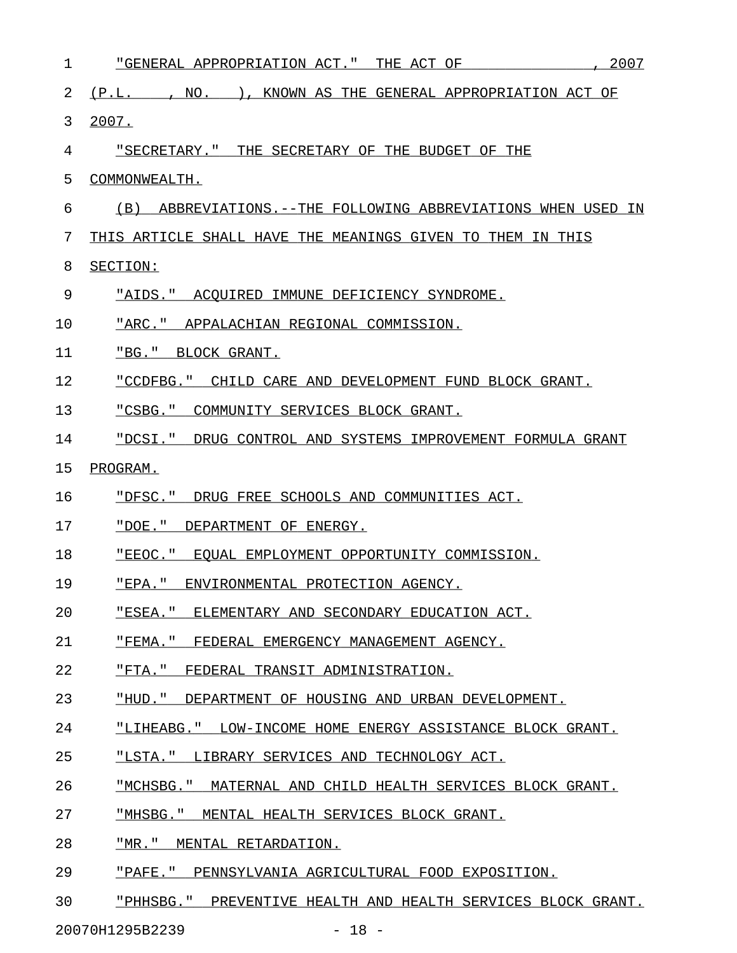| 1  | 2007<br>"GENERAL APPROPRIATION ACT." THE ACT OF              |
|----|--------------------------------------------------------------|
| 2  | (P.L. , NO. ), KNOWN AS THE GENERAL APPROPRIATION ACT OF     |
| 3  | 2007.                                                        |
| 4  | "SECRETARY." THE SECRETARY OF THE BUDGET OF THE              |
| 5  | COMMONWEALTH.                                                |
| 6  | (B) ABBREVIATIONS.--THE FOLLOWING ABBREVIATIONS WHEN USED IN |
| 7  | THIS ARTICLE SHALL HAVE THE MEANINGS GIVEN TO THEM IN THIS   |
| 8  | SECTION:                                                     |
| 9  | "AIDS." ACQUIRED IMMUNE DEFICIENCY SYNDROME.                 |
| 10 | "ARC." APPALACHIAN REGIONAL COMMISSION.                      |
| 11 | "BG." BLOCK GRANT.                                           |
| 12 | "CCDFBG." CHILD CARE AND DEVELOPMENT FUND BLOCK GRANT.       |
| 13 | "CSBG." COMMUNITY SERVICES BLOCK GRANT.                      |
| 14 | "DCSI." DRUG CONTROL AND SYSTEMS IMPROVEMENT FORMULA GRANT   |
| 15 | <u>PROGRAM.</u>                                              |
| 16 | "DFSC." DRUG FREE SCHOOLS AND COMMUNITIES ACT.               |
| 17 | "DOE." DEPARTMENT OF ENERGY.                                 |
| 18 | "EEOC." EQUAL EMPLOYMENT OPPORTUNITY COMMISSION.             |
| 19 | "EPA." ENVIRONMENTAL PROTECTION AGENCY.                      |
| 20 | "ESEA." ELEMENTARY AND SECONDARY EDUCATION ACT.              |
| 21 | "FEMA." FEDERAL EMERGENCY MANAGEMENT AGENCY.                 |
| 22 | "FTA." FEDERAL TRANSIT ADMINISTRATION.                       |
| 23 | "HUD." DEPARTMENT OF HOUSING AND URBAN DEVELOPMENT.          |
| 24 | "LIHEABG." LOW-INCOME HOME ENERGY ASSISTANCE BLOCK GRANT.    |
| 25 | "LSTA." LIBRARY SERVICES AND TECHNOLOGY ACT.                 |
| 26 | "MCHSBG." MATERNAL AND CHILD HEALTH SERVICES BLOCK GRANT.    |
| 27 | "MHSBG." MENTAL HEALTH SERVICES BLOCK GRANT.                 |
| 28 | "MR." MENTAL RETARDATION.                                    |
| 29 | "PAFE." PENNSYLVANIA AGRICULTURAL FOOD EXPOSITION.           |

30 "PHHSBG." PREVENTIVE HEALTH AND HEALTH SERVICES BLOCK GRANT.

20070H1295B2239 - 18 -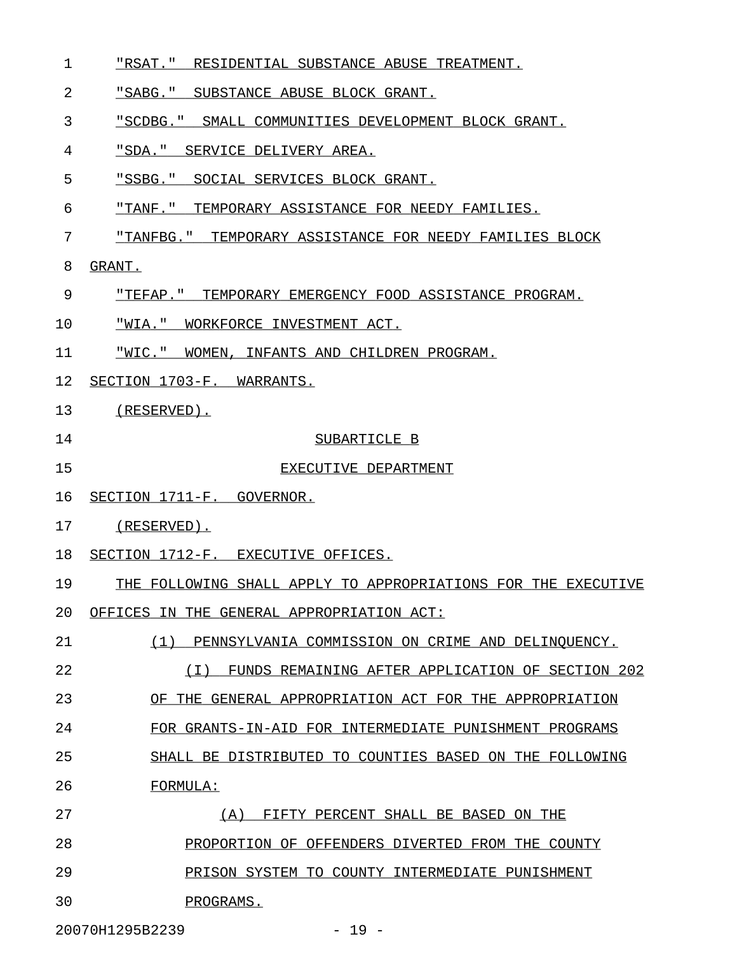- 1 "RSAT." RESIDENTIAL SUBSTANCE ABUSE TREATMENT.
- 2 "SABG." SUBSTANCE ABUSE BLOCK GRANT.
- 3 "SCDBG." SMALL COMMUNITIES DEVELOPMENT BLOCK GRANT.
- 4 "SDA." SERVICE DELIVERY AREA.
- 5 "SSBG." SOCIAL SERVICES BLOCK GRANT.
- 6 "TANF." TEMPORARY ASSISTANCE FOR NEEDY FAMILIES.
- 7 "TANFBG." TEMPORARY ASSISTANCE FOR NEEDY FAMILIES BLOCK
- 8 GRANT.
- 9 "TEFAP." TEMPORARY EMERGENCY FOOD ASSISTANCE PROGRAM.
- 10 "WIA." WORKFORCE INVESTMENT ACT.
- 11 "WIC." WOMEN, INFANTS AND CHILDREN PROGRAM.
- 12 SECTION 1703-F. WARRANTS.
- 13 (RESERVED).
- 
- 14 SUBARTICLE B
- 15 EXECUTIVE DEPARTMENT

20 OFFICES IN THE GENERAL APPROPRIATION ACT:

- 16 SECTION 1711-F. GOVERNOR.
- 17 (RESERVED).
- 18 SECTION 1712-F. EXECUTIVE OFFICES.

19 THE FOLLOWING SHALL APPLY TO APPROPRIATIONS FOR THE EXECUTIVE

- 
- 21 (1) PENNSYLVANIA COMMISSION ON CRIME AND DELINQUENCY.

22 (I) FUNDS REMAINING AFTER APPLICATION OF SECTION 202 \_\_\_\_\_\_\_\_\_\_\_\_\_\_\_\_\_\_\_\_\_\_\_\_\_\_\_\_\_\_\_\_\_\_\_\_\_\_\_\_\_\_\_\_\_\_\_\_\_\_\_\_\_

23 OF THE GENERAL APPROPRIATION ACT FOR THE APPROPRIATION

24 FOR GRANTS-IN-AID FOR INTERMEDIATE PUNISHMENT PROGRAMS

- 25 SHALL BE DISTRIBUTED TO COUNTIES BASED ON THE FOLLOWING
- 26 FORMULA:
- 27 (A) FIFTY PERCENT SHALL BE BASED ON THE
- 28 PROPORTION OF OFFENDERS DIVERTED FROM THE COUNTY
- 29 PRISON SYSTEM TO COUNTY INTERMEDIATE PUNISHMENT
- 30 PROGRAMS.

20070H1295B2239 - 19 -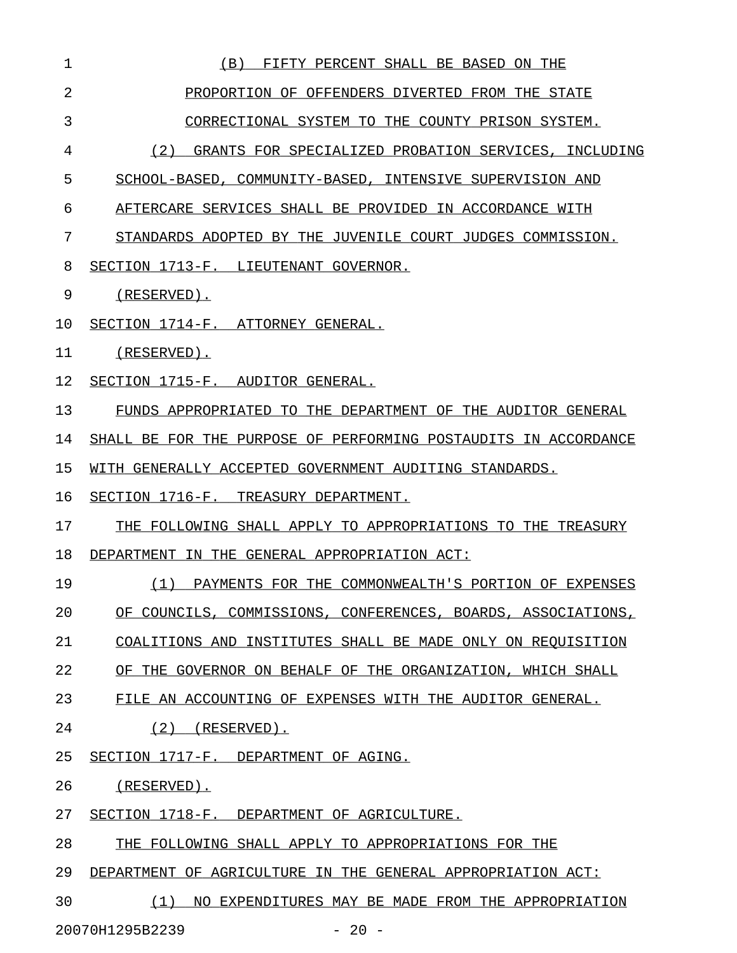| $\mathbf{1}$ | FIFTY PERCENT SHALL BE BASED ON THE<br>(B)                      |
|--------------|-----------------------------------------------------------------|
| 2            | PROPORTION OF OFFENDERS DIVERTED FROM THE STATE                 |
| 3            | CORRECTIONAL SYSTEM TO THE COUNTY PRISON SYSTEM.                |
| 4            | (2) GRANTS FOR SPECIALIZED PROBATION SERVICES, INCLUDING        |
| 5            | SCHOOL-BASED, COMMUNITY-BASED, INTENSIVE SUPERVISION AND        |
| 6            | AFTERCARE SERVICES SHALL BE PROVIDED IN ACCORDANCE WITH         |
| 7            | STANDARDS ADOPTED BY THE JUVENILE COURT JUDGES COMMISSION.      |
| 8            | SECTION 1713-F. LIEUTENANT GOVERNOR.                            |
| 9            | (RESERVED).                                                     |
| 10           | SECTION 1714-F. ATTORNEY GENERAL.                               |
| 11           | (RESERVED).                                                     |
| 12           | SECTION 1715-F. AUDITOR GENERAL.                                |
| 13           | FUNDS APPROPRIATED TO THE DEPARTMENT OF THE AUDITOR GENERAL     |
| 14           | SHALL BE FOR THE PURPOSE OF PERFORMING POSTAUDITS IN ACCORDANCE |
| 15           | WITH GENERALLY ACCEPTED GOVERNMENT AUDITING STANDARDS.          |
| 16           | SECTION 1716-F. TREASURY DEPARTMENT.                            |
| 17           | THE FOLLOWING SHALL APPLY TO APPROPRIATIONS TO THE TREASURY     |
| 18           | DEPARTMENT IN THE GENERAL APPROPRIATION ACT:                    |
| 19           | (1) PAYMENTS FOR THE COMMONWEALTH'S PORTION OF EXPENSES         |
| 20           | OF COUNCILS, COMMISSIONS, CONFERENCES, BOARDS, ASSOCIATIONS,    |
| 21           | COALITIONS AND INSTITUTES SHALL BE MADE ONLY ON REQUISITION     |
| 22           | OF THE GOVERNOR ON BEHALF OF THE ORGANIZATION, WHICH SHALL      |
| 23           | FILE AN ACCOUNTING OF EXPENSES WITH THE AUDITOR GENERAL.        |
| 24           | (2)<br>(RESERVED).                                              |
| 25           | SECTION 1717-F. DEPARTMENT OF AGING.                            |
| 26           | $(RESERVED)$ .                                                  |
| 27           | SECTION 1718-F. DEPARTMENT OF AGRICULTURE.                      |
| 28           | THE FOLLOWING SHALL APPLY TO APPROPRIATIONS FOR THE             |
| 29           | DEPARTMENT OF AGRICULTURE IN THE GENERAL APPROPRIATION ACT:     |
| 30           | (1)<br>NO EXPENDITURES MAY BE MADE FROM THE APPROPRIATION       |

20070H1295B2239 - 20 -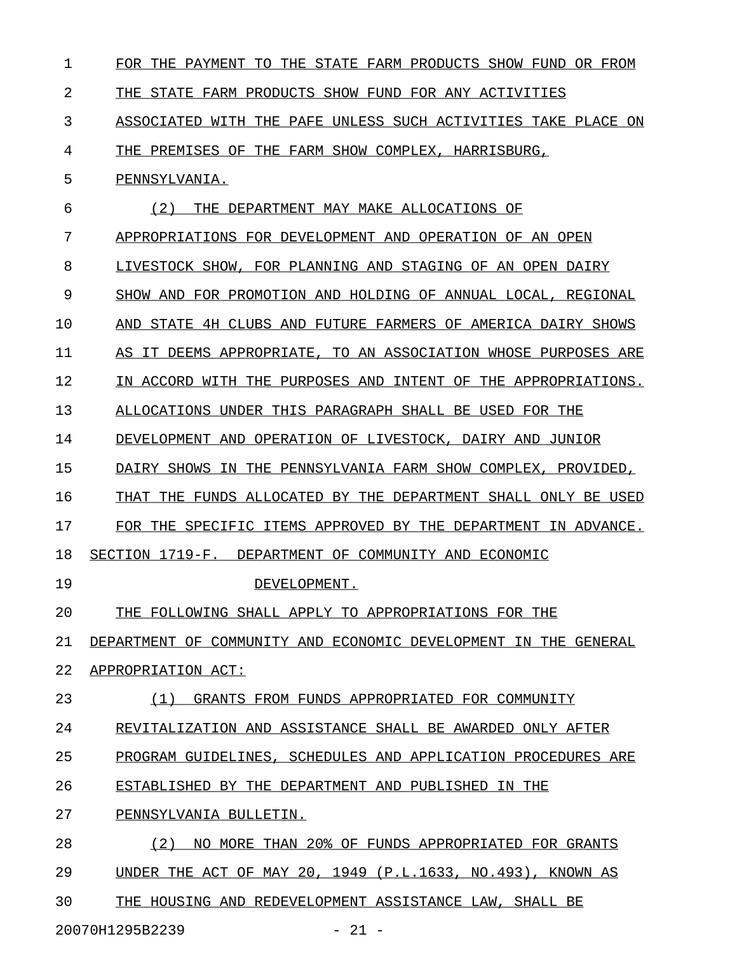| $\mathbf 1$ | FOR THE PAYMENT<br>THE STATE FARM PRODUCTS SHOW FUND<br>OR FROM<br>TО |
|-------------|-----------------------------------------------------------------------|
| 2           | THE STATE FARM PRODUCTS SHOW FUND FOR ANY ACTIVITIES                  |
| 3           | WITH THE PAFE UNLESS SUCH ACTIVITIES TAKE PLACE ON<br>ASSOCIATED      |
| 4           | THE PREMISES OF<br>THE FARM SHOW COMPLEX, HARRISBURG,                 |
| 5           | PENNSYLVANIA.                                                         |
| 6           | (2)<br>THE DEPARTMENT MAY MAKE ALLOCATIONS OF                         |
| 7           | APPROPRIATIONS FOR DEVELOPMENT AND OPERATION OF AN OPEN               |
| 8           | LIVESTOCK SHOW, FOR PLANNING AND STAGING OF AN OPEN DAIRY             |
| 9           | SHOW AND FOR PROMOTION AND HOLDING OF ANNUAL LOCAL,<br>REGIONAL       |
| 10          | AND STATE 4H CLUBS AND FUTURE FARMERS OF AMERICA DAIRY SHOWS          |
| 11          | IT DEEMS APPROPRIATE, TO AN ASSOCIATION WHOSE PURPOSES ARE<br>AS.     |
| 12          | IN ACCORD WITH THE PURPOSES AND INTENT OF THE APPROPRIATIONS.         |
| 13          | ALLOCATIONS UNDER THIS PARAGRAPH SHALL BE USED FOR THE                |
| 14          | OPERATION OF LIVESTOCK, DAIRY AND<br>DEVELOPMENT AND<br>JUNIOR        |
| 15          | THE PENNSYLVANIA FARM SHOW COMPLEX,<br>DAIRY SHOWS IN<br>PROVIDED,    |
| 16          | THAT THE FUNDS ALLOCATED BY THE DEPARTMENT SHALL ONLY BE USED         |
| 17          | FOR THE SPECIFIC ITEMS APPROVED BY THE DEPARTMENT IN ADVANCE.         |
| 18          | SECTION 1719-F.<br>DEPARTMENT OF COMMUNITY AND ECONOMIC               |
| 19          | DEVELOPMENT.                                                          |
| 20          | THE FOLLOWING SHALL APPLY TO APPROPRIATIONS FOR THE                   |
| 21          | DEPARTMENT OF COMMUNITY AND ECONOMIC DEVELOPMENT IN THE GENERAL       |
| 22          | APPROPRIATION ACT:                                                    |
| 23          | (1) GRANTS FROM FUNDS APPROPRIATED FOR COMMUNITY                      |
| 24          | REVITALIZATION AND ASSISTANCE SHALL BE AWARDED ONLY AFTER             |
| 25          | PROGRAM GUIDELINES, SCHEDULES AND APPLICATION PROCEDURES ARE          |
| 26          | ESTABLISHED BY THE DEPARTMENT AND PUBLISHED IN THE                    |
| 27          | PENNSYLVANIA BULLETIN.                                                |
| 28          | NO MORE THAN 20% OF FUNDS APPROPRIATED FOR GRANTS<br>(2)              |
| 29          | UNDER THE ACT OF MAY 20, 1949 (P.L.1633, NO.493), KNOWN AS            |
| 30          | THE HOUSING AND REDEVELOPMENT ASSISTANCE LAW, SHALL BE                |
|             |                                                                       |

20070H1295B2239 - 21 -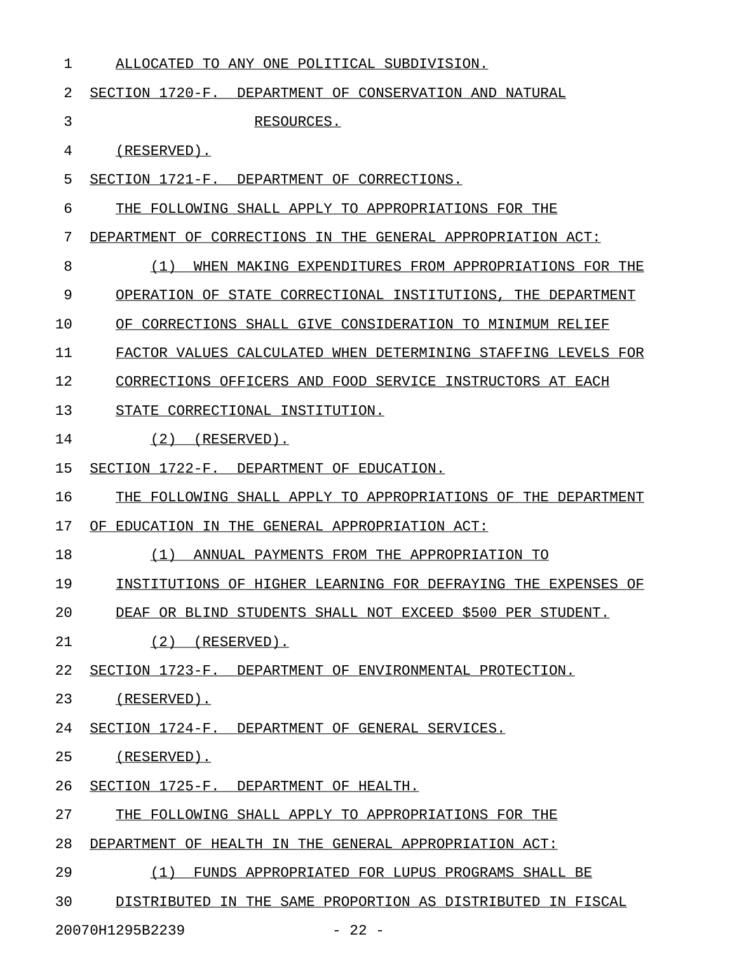| 1  | ALLOCATED TO ANY ONE POLITICAL SUBDIVISION.                     |
|----|-----------------------------------------------------------------|
| 2  | SECTION 1720-F. DEPARTMENT OF CONSERVATION AND NATURAL          |
| 3  | RESOURCES.                                                      |
| 4  | $(RESERVED)$ .                                                  |
| 5  | SECTION 1721-F. DEPARTMENT OF CORRECTIONS.                      |
| 6  | THE FOLLOWING SHALL APPLY TO APPROPRIATIONS FOR THE             |
| 7  | DEPARTMENT OF CORRECTIONS IN THE GENERAL APPROPRIATION ACT:     |
| 8  | (1)<br>WHEN MAKING EXPENDITURES FROM APPROPRIATIONS FOR THE     |
| 9  | OPERATION OF STATE CORRECTIONAL INSTITUTIONS.<br>THE DEPARTMENT |
| 10 | OF CORRECTIONS SHALL GIVE CONSIDERATION TO MINIMUM RELIEF       |
| 11 | FACTOR VALUES CALCULATED WHEN DETERMINING STAFFING LEVELS FOR   |
| 12 | CORRECTIONS OFFICERS AND FOOD SERVICE INSTRUCTORS AT EACH       |
| 13 | STATE CORRECTIONAL INSTITUTION.                                 |
| 14 | (2)<br>(RESERVED).                                              |
| 15 | SECTION 1722-F. DEPARTMENT OF EDUCATION.                        |
| 16 | THE FOLLOWING SHALL APPLY TO APPROPRIATIONS OF THE DEPARTMENT   |
| 17 | OF<br>EDUCATION IN THE GENERAL APPROPRIATION ACT:               |
| 18 | (1)<br>ANNUAL PAYMENTS FROM THE APPROPRIATION TO                |
| 19 | INSTITUTIONS OF HIGHER LEARNING FOR DEFRAYING THE EXPENSES OF   |
| 20 | DEAF OR BLIND STUDENTS SHALL NOT EXCEED \$500 PER STUDENT.      |
| 21 | $(2)$ (RESERVED).                                               |
| 22 | SECTION 1723-F. DEPARTMENT OF ENVIRONMENTAL PROTECTION.         |
| 23 | (RESERVED).                                                     |
| 24 | SECTION 1724-F. DEPARTMENT OF GENERAL SERVICES.                 |
| 25 | (RESERVED).                                                     |
| 26 | SECTION 1725-F. DEPARTMENT OF HEALTH.                           |
| 27 | THE FOLLOWING SHALL APPLY TO APPROPRIATIONS FOR THE             |
| 28 | DEPARTMENT OF HEALTH IN THE GENERAL APPROPRIATION ACT:          |
| 29 | (1) FUNDS APPROPRIATED FOR LUPUS PROGRAMS SHALL BE              |
| 30 | DISTRIBUTED IN THE SAME PROPORTION AS DISTRIBUTED IN FISCAL     |
|    |                                                                 |

20070H1295B2239 - 22 -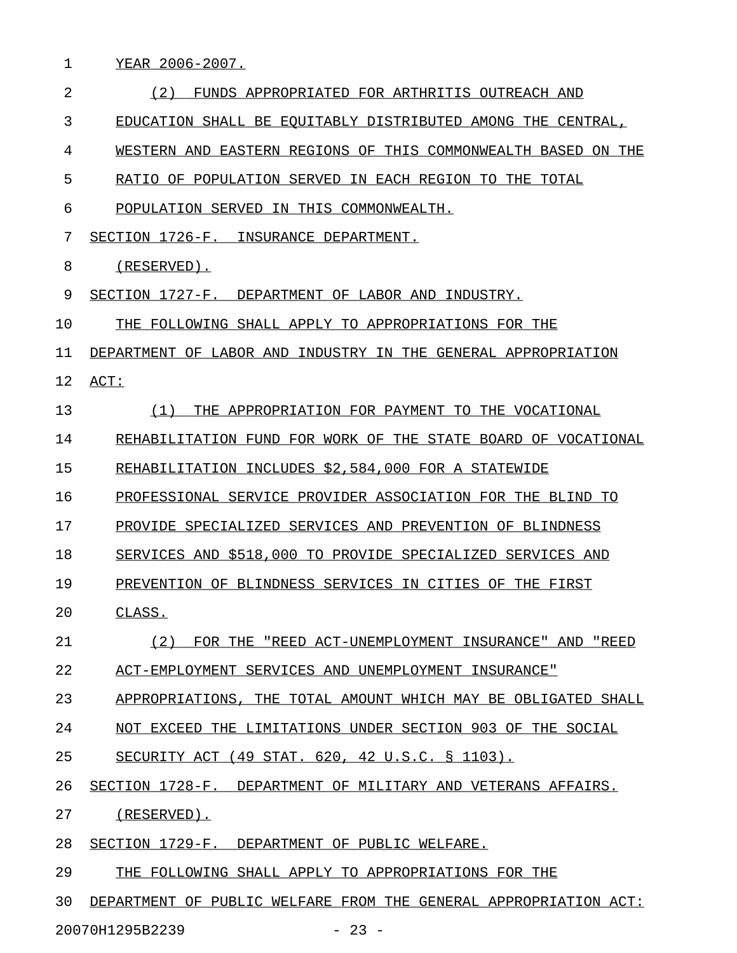|  | EAR 2006-2007. |  |  |
|--|----------------|--|--|
|  |                |  |  |

| $\overline{2}$ | (2)<br>FUNDS APPROPRIATED FOR ARTHRITIS OUTREACH AND             |
|----------------|------------------------------------------------------------------|
| 3              | EDUCATION SHALL BE EQUITABLY DISTRIBUTED AMONG THE CENTRAL,      |
| 4              | WESTERN AND EASTERN REGIONS OF THIS COMMONWEALTH BASED ON THE    |
| 5              | RATIO OF POPULATION SERVED IN EACH REGION TO THE TOTAL           |
| 6              | POPULATION SERVED IN THIS COMMONWEALTH.                          |
| 7              | SECTION 1726-F. INSURANCE DEPARTMENT.                            |
| 8              | (RESERVED).                                                      |
| 9              | SECTION 1727-F. DEPARTMENT OF LABOR AND INDUSTRY.                |
| $10 \,$        | THE FOLLOWING SHALL APPLY TO APPROPRIATIONS FOR THE              |
| 11             | DEPARTMENT OF LABOR AND INDUSTRY IN THE GENERAL APPROPRIATION    |
| 12             | ACT:                                                             |
| 13             | (1)<br>THE APPROPRIATION FOR PAYMENT TO THE VOCATIONAL           |
| 14             | REHABILITATION FUND FOR WORK OF THE STATE BOARD OF VOCATIONAL    |
| 15             | REHABILITATION INCLUDES \$2,584,000 FOR A STATEWIDE              |
| 16             | PROFESSIONAL SERVICE PROVIDER ASSOCIATION FOR THE BLIND TO       |
| 17             | PROVIDE SPECIALIZED SERVICES AND PREVENTION OF BLINDNESS         |
| 18             | SERVICES AND \$518,000 TO PROVIDE SPECIALIZED SERVICES AND       |
| 19             | PREVENTION OF BLINDNESS SERVICES IN CITIES OF THE FIRST          |
| 20             | CLASS.                                                           |
| 21             | (2)<br>FOR THE "REED ACT-UNEMPLOYMENT INSURANCE" AND "REED       |
| 22             | ACT-EMPLOYMENT SERVICES AND UNEMPLOYMENT INSURANCE"              |
| 23             | APPROPRIATIONS, THE TOTAL AMOUNT WHICH MAY BE OBLIGATED SHALL    |
| 24             | NOT EXCEED THE LIMITATIONS UNDER SECTION 903 OF THE SOCIAL       |
| 25             | SECURITY ACT (49 STAT. 620, 42 U.S.C. § 1103).                   |
| 26             | SECTION 1728-F. DEPARTMENT OF MILITARY AND VETERANS AFFAIRS.     |
| 27             | (RESERVED).                                                      |
| 28             | SECTION 1729-F. DEPARTMENT OF PUBLIC WELFARE.                    |
| 29             | THE FOLLOWING SHALL APPLY TO APPROPRIATIONS FOR THE              |
| 30             | DEPARTMENT OF PUBLIC WELFARE FROM THE GENERAL APPROPRIATION ACT: |
|                | 20070H1295B2239<br>$-23 -$                                       |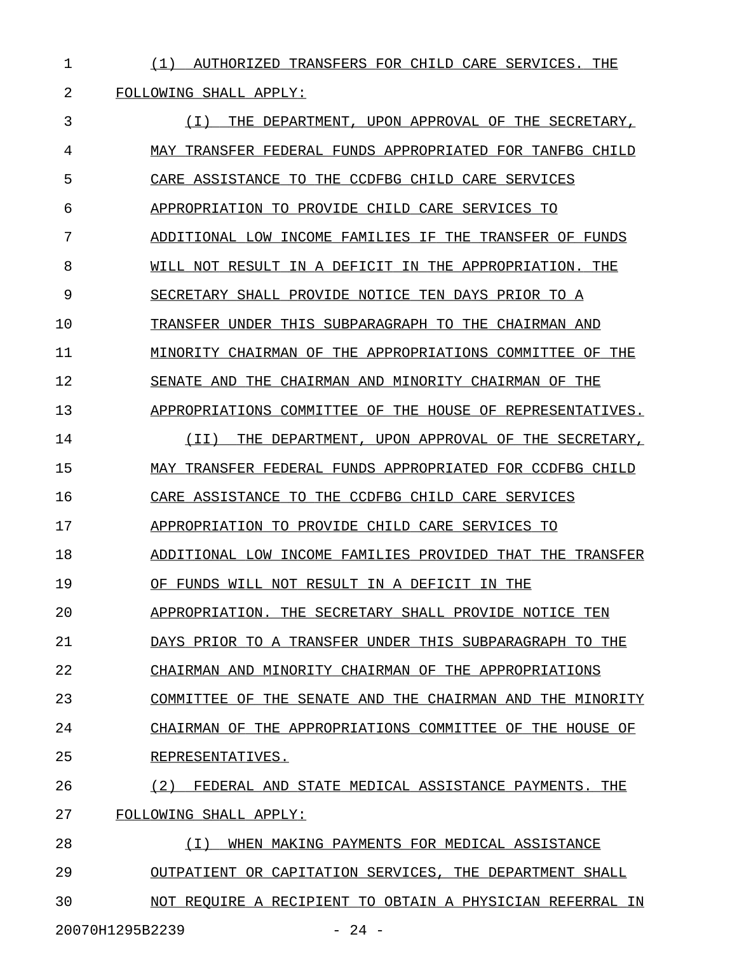1 (1) AUTHORIZED TRANSFERS FOR CHILD CARE SERVICES. THE

2 FOLLOWING SHALL APPLY:

3  $(1)$  THE DEPARTMENT, UPON APPROVAL OF THE SECRETARY, 4 MAY TRANSFER FEDERAL FUNDS APPROPRIATED FOR TANFBG CHILD 5 CARE ASSISTANCE TO THE CCDFBG CHILD CARE SERVICES 6 APPROPRIATION TO PROVIDE CHILD CARE SERVICES TO 7 ADDITIONAL LOW INCOME FAMILIES IF THE TRANSFER OF FUNDS 8 WILL NOT RESULT IN A DEFICIT IN THE APPROPRIATION. THE 9 SECRETARY SHALL PROVIDE NOTICE TEN DAYS PRIOR TO A 10 TRANSFER UNDER THIS SUBPARAGRAPH TO THE CHAIRMAN AND 11 MINORITY CHAIRMAN OF THE APPROPRIATIONS COMMITTEE OF THE 12 SENATE AND THE CHAIRMAN AND MINORITY CHAIRMAN OF THE 13 APPROPRIATIONS COMMITTEE OF THE HOUSE OF REPRESENTATIVES. 14 (II) THE DEPARTMENT, UPON APPROVAL OF THE SECRETARY, 15 MAY TRANSFER FEDERAL FUNDS APPROPRIATED FOR CCDFBG CHILD 16 CARE ASSISTANCE TO THE CCDFBG CHILD CARE SERVICES 17 APPROPRIATION TO PROVIDE CHILD CARE SERVICES TO 18 ADDITIONAL LOW INCOME FAMILIES PROVIDED THAT THE TRANSFER 19 OF FUNDS WILL NOT RESULT IN A DEFICIT IN THE 20 APPROPRIATION. THE SECRETARY SHALL PROVIDE NOTICE TEN 21 DAYS PRIOR TO A TRANSFER UNDER THIS SUBPARAGRAPH TO THE 22 CHAIRMAN AND MINORITY CHAIRMAN OF THE APPROPRIATIONS 23 COMMITTEE OF THE SENATE AND THE CHAIRMAN AND THE MINORITY 24 CHAIRMAN OF THE APPROPRIATIONS COMMITTEE OF THE HOUSE OF 25 REPRESENTATIVES. 26 (2) FEDERAL AND STATE MEDICAL ASSISTANCE PAYMENTS. THE 27 FOLLOWING SHALL APPLY: 28 (I) WHEN MAKING PAYMENTS FOR MEDICAL ASSISTANCE \_\_\_\_\_\_\_\_\_\_\_\_\_\_\_\_\_\_\_\_\_\_\_\_\_\_\_\_\_\_\_\_\_\_\_\_\_\_\_\_\_\_\_\_\_\_\_\_ 29 OUTPATIENT OR CAPITATION SERVICES, THE DEPARTMENT SHALL 30 NOT REQUIRE A RECIPIENT TO OBTAIN A PHYSICIAN REFERRAL IN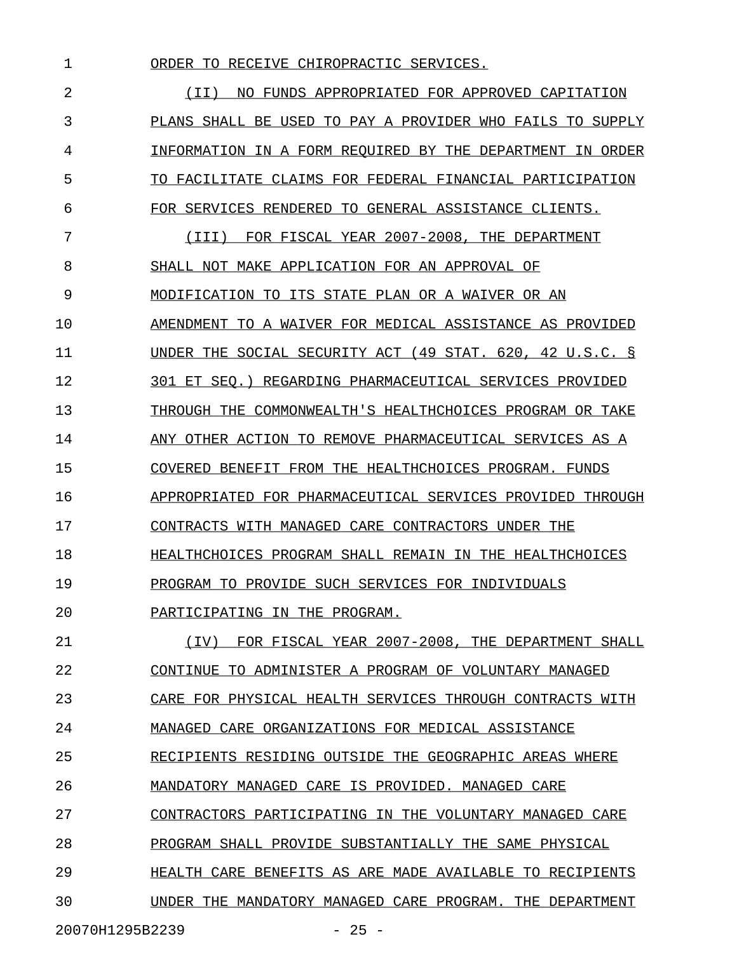1 ORDER TO RECEIVE CHIROPRACTIC SERVICES. 2 1I) NO FUNDS APPROPRIATED FOR APPROVED CAPITATION 3 PLANS SHALL BE USED TO PAY A PROVIDER WHO FAILS TO SUPPLY 4 INFORMATION IN A FORM REQUIRED BY THE DEPARTMENT IN ORDER 5 TO FACILITATE CLAIMS FOR FEDERAL FINANCIAL PARTICIPATION 6 FOR SERVICES RENDERED TO GENERAL ASSISTANCE CLIENTS. 7 (III) FOR FISCAL YEAR 2007-2008, THE DEPARTMENT \_\_\_\_\_\_\_\_\_\_\_\_\_\_\_\_\_\_\_\_\_\_\_\_\_\_\_\_\_\_\_\_\_\_\_\_\_\_\_\_\_\_\_\_\_\_\_\_ 8 SHALL NOT MAKE APPLICATION FOR AN APPROVAL OF 9 MODIFICATION TO ITS STATE PLAN OR A WAIVER OR AN \_\_\_\_\_\_\_\_\_\_\_\_\_\_\_\_\_\_\_\_\_\_\_\_\_\_\_\_\_\_\_\_\_\_\_\_\_\_\_\_\_\_\_\_\_\_\_\_ 10 AMENDMENT TO A WAIVER FOR MEDICAL ASSISTANCE AS PROVIDED 11 UNDER THE SOCIAL SECURITY ACT (49 STAT. 620, 42 U.S.C. § 12 301 ET SEQ.) REGARDING PHARMACEUTICAL SERVICES PROVIDED 13 THROUGH THE COMMONWEALTH'S HEALTHCHOICES PROGRAM OR TAKE 14 ANY OTHER ACTION TO REMOVE PHARMACEUTICAL SERVICES AS A 15 COVERED BENEFIT FROM THE HEALTHCHOICES PROGRAM. FUNDS 16 APPROPRIATED FOR PHARMACEUTICAL SERVICES PROVIDED THROUGH 17 CONTRACTS WITH MANAGED CARE CONTRACTORS UNDER THE 18 **HEALTHCHOICES PROGRAM SHALL REMAIN IN THE HEALTHCHOICES** 19 PROGRAM TO PROVIDE SUCH SERVICES FOR INDIVIDUALS 20 PARTICIPATING IN THE PROGRAM. 21 (IV) FOR FISCAL YEAR 2007-2008, THE DEPARTMENT SHALL 22 CONTINUE TO ADMINISTER A PROGRAM OF VOLUNTARY MANAGED 23 CARE FOR PHYSICAL HEALTH SERVICES THROUGH CONTRACTS WITH 24 MANAGED CARE ORGANIZATIONS FOR MEDICAL ASSISTANCE 25 RECIPIENTS RESIDING OUTSIDE THE GEOGRAPHIC AREAS WHERE 26 MANDATORY MANAGED CARE IS PROVIDED. MANAGED CARE 27 CONTRACTORS PARTICIPATING IN THE VOLUNTARY MANAGED CARE 28 PROGRAM SHALL PROVIDE SUBSTANTIALLY THE SAME PHYSICAL 29 **HEALTH CARE BENEFITS AS ARE MADE AVAILABLE TO RECIPIENTS** 

30 UNDER THE MANDATORY MANAGED CARE PROGRAM. THE DEPARTMENT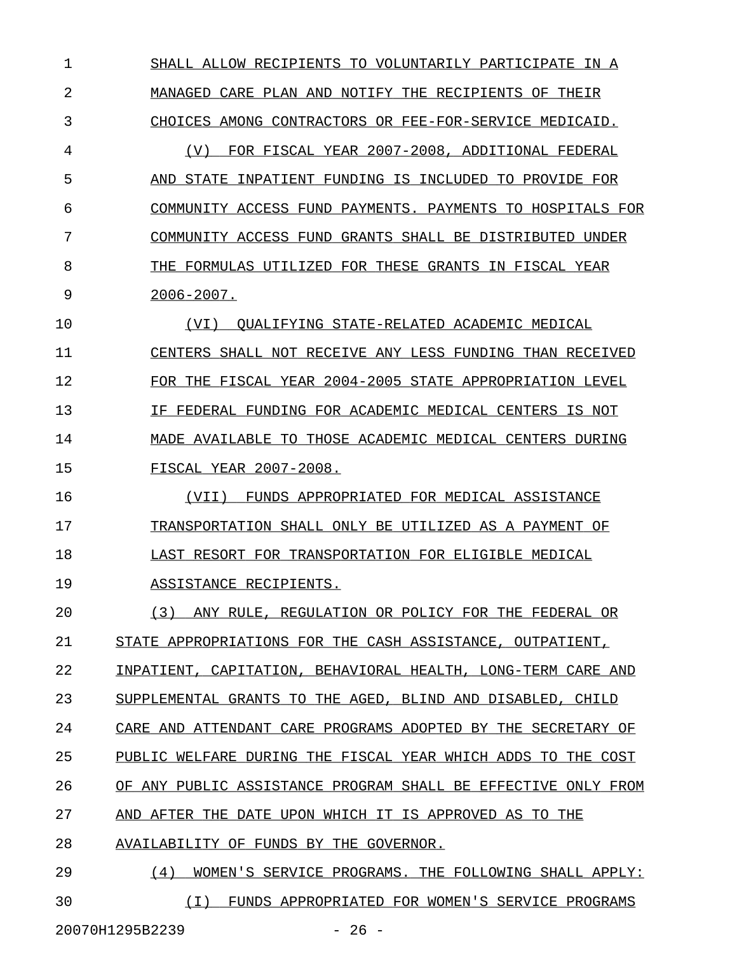1 SHALL ALLOW RECIPIENTS TO VOLUNTARILY PARTICIPATE IN A 2 MANAGED CARE PLAN AND NOTIFY THE RECIPIENTS OF THEIR 3 CHOICES AMONG CONTRACTORS OR FEE-FOR-SERVICE MEDICAID. 4 (V) FOR FISCAL YEAR 2007-2008, ADDITIONAL FEDERAL 5 AND STATE INPATIENT FUNDING IS INCLUDED TO PROVIDE FOR 6 COMMUNITY ACCESS FUND PAYMENTS. PAYMENTS TO HOSPITALS FOR 7 COMMUNITY ACCESS FUND GRANTS SHALL BE DISTRIBUTED UNDER 8 THE FORMULAS UTILIZED FOR THESE GRANTS IN FISCAL YEAR 9 2006-2007. 10 (VI) QUALIFYING STATE-RELATED ACADEMIC MEDICAL \_\_\_\_\_\_\_\_\_\_\_\_\_\_\_\_\_\_\_\_\_\_\_\_\_\_\_\_\_\_\_\_\_\_\_\_\_\_\_\_\_\_\_\_\_\_\_ 11 CENTERS SHALL NOT RECEIVE ANY LESS FUNDING THAN RECEIVED \_\_\_\_\_\_\_\_\_\_\_\_\_\_\_\_\_\_\_\_\_\_\_\_\_\_\_\_\_\_\_\_\_\_\_\_\_\_\_\_\_\_\_\_\_\_\_\_\_\_\_\_\_\_\_\_ 12 FOR THE FISCAL YEAR 2004-2005 STATE APPROPRIATION LEVEL 13 IF FEDERAL FUNDING FOR ACADEMIC MEDICAL CENTERS IS NOT 14 MADE AVAILABLE TO THOSE ACADEMIC MEDICAL CENTERS DURING 15 FISCAL YEAR 2007-2008. 16 (VII) FUNDS APPROPRIATED FOR MEDICAL ASSISTANCE 17 TRANSPORTATION SHALL ONLY BE UTILIZED AS A PAYMENT OF 18 LAST RESORT FOR TRANSPORTATION FOR ELIGIBLE MEDICAL 19 ASSISTANCE RECIPIENTS. 20 (3) ANY RULE, REGULATION OR POLICY FOR THE FEDERAL OR 21 STATE APPROPRIATIONS FOR THE CASH ASSISTANCE, OUTPATIENT, 22 INPATIENT, CAPITATION, BEHAVIORAL HEALTH, LONG-TERM CARE AND 23 SUPPLEMENTAL GRANTS TO THE AGED, BLIND AND DISABLED, CHILD 24 CARE AND ATTENDANT CARE PROGRAMS ADOPTED BY THE SECRETARY OF 25 PUBLIC WELFARE DURING THE FISCAL YEAR WHICH ADDS TO THE COST 26 OF ANY PUBLIC ASSISTANCE PROGRAM SHALL BE EFFECTIVE ONLY FROM 27 AND AFTER THE DATE UPON WHICH IT IS APPROVED AS TO THE 28 AVAILABILITY OF FUNDS BY THE GOVERNOR. 29 (4) WOMEN'S SERVICE PROGRAMS. THE FOLLOWING SHALL APPLY:

30  $(I)$  FUNDS APPROPRIATED FOR WOMEN'S SERVICE PROGRAMS

20070H1295B2239 - 26 -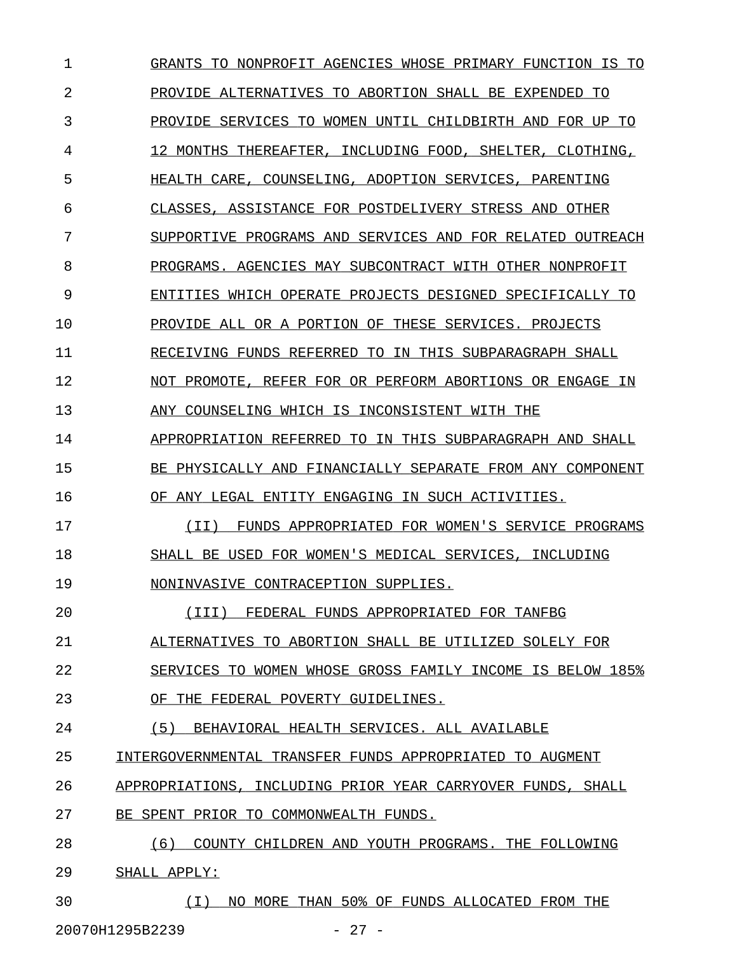1 GRANTS TO NONPROFIT AGENCIES WHOSE PRIMARY FUNCTION IS TO 2 PROVIDE ALTERNATIVES TO ABORTION SHALL BE EXPENDED TO 3 PROVIDE SERVICES TO WOMEN UNTIL CHILDBIRTH AND FOR UP TO 4 12 MONTHS THEREAFTER, INCLUDING FOOD, SHELTER, CLOTHING, 5 HEALTH CARE, COUNSELING, ADOPTION SERVICES, PARENTING 6 CLASSES, ASSISTANCE FOR POSTDELIVERY STRESS AND OTHER 7 SUPPORTIVE PROGRAMS AND SERVICES AND FOR RELATED OUTREACH 8 PROGRAMS. AGENCIES MAY SUBCONTRACT WITH OTHER NONPROFIT 9 ENTITIES WHICH OPERATE PROJECTS DESIGNED SPECIFICALLY TO 10 PROVIDE ALL OR A PORTION OF THESE SERVICES. PROJECTS 11 RECEIVING FUNDS REFERRED TO IN THIS SUBPARAGRAPH SHALL 12 NOT PROMOTE, REFER FOR OR PERFORM ABORTIONS OR ENGAGE IN 13 ANY COUNSELING WHICH IS INCONSISTENT WITH THE 14 APPROPRIATION REFERRED TO IN THIS SUBPARAGRAPH AND SHALL 15 BE PHYSICALLY AND FINANCIALLY SEPARATE FROM ANY COMPONENT 16 OF ANY LEGAL ENTITY ENGAGING IN SUCH ACTIVITIES. 17 (II) FUNDS APPROPRIATED FOR WOMEN'S SERVICE PROGRAMS \_\_\_\_\_\_\_\_\_\_\_\_\_\_\_\_\_\_\_\_\_\_\_\_\_\_\_\_\_\_\_\_\_\_\_\_\_\_\_\_\_\_\_\_\_\_\_\_\_\_\_\_\_ 18 SHALL BE USED FOR WOMEN'S MEDICAL SERVICES, INCLUDING 19 NONINVASIVE CONTRACEPTION SUPPLIES. 20 (III) FEDERAL FUNDS APPROPRIATED FOR TANFBG \_\_\_\_\_\_\_\_\_\_\_\_\_\_\_\_\_\_\_\_\_\_\_\_\_\_\_\_\_\_\_\_\_\_\_\_\_\_\_\_\_\_\_\_ 21 ALTERNATIVES TO ABORTION SHALL BE UTILIZED SOLELY FOR 22 SERVICES TO WOMEN WHOSE GROSS FAMILY INCOME IS BELOW 185% 23 OF THE FEDERAL POVERTY GUIDELINES. 24 (5) BEHAVIORAL HEALTH SERVICES. ALL AVAILABLE 25 INTERGOVERNMENTAL TRANSFER FUNDS APPROPRIATED TO AUGMENT 26 APPROPRIATIONS, INCLUDING PRIOR YEAR CARRYOVER FUNDS, SHALL 27 BE SPENT PRIOR TO COMMONWEALTH FUNDS. 28 (6) COUNTY CHILDREN AND YOUTH PROGRAMS. THE FOLLOWING 29 SHALL APPLY: 30 (I) NO MORE THAN 50% OF FUNDS ALLOCATED FROM THE \_\_\_\_\_\_\_\_\_\_\_\_\_\_\_\_\_\_\_\_\_\_\_\_\_\_\_\_\_\_\_\_\_\_\_\_\_\_\_\_\_\_\_\_\_\_\_\_\_

20070H1295B2239 - 27 -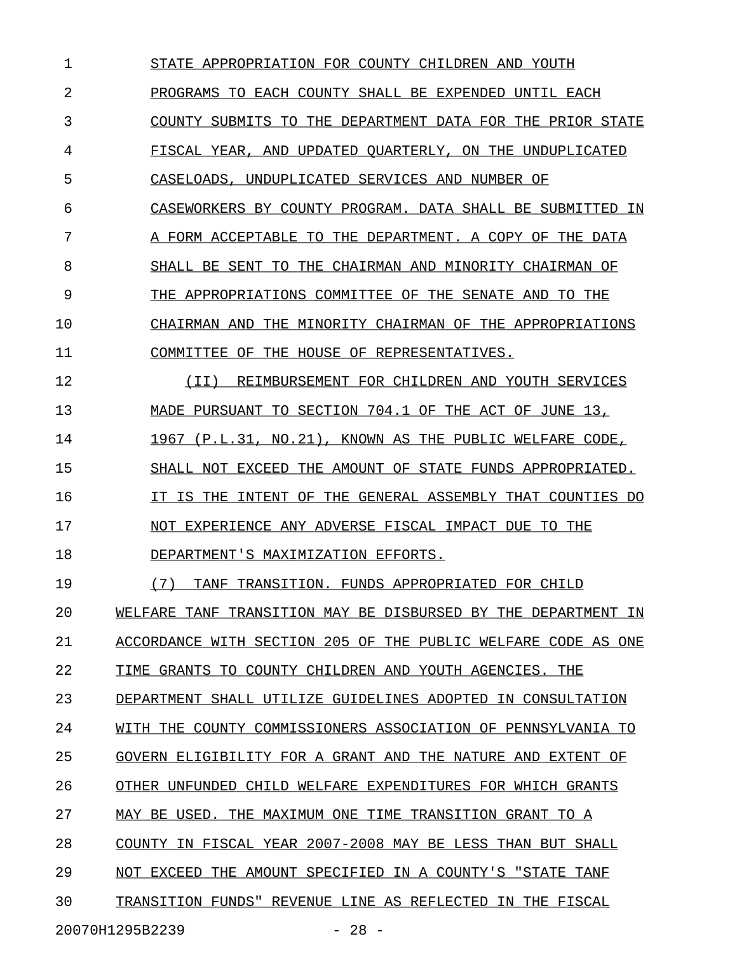1 STATE APPROPRIATION FOR COUNTY CHILDREN AND YOUTH 2 PROGRAMS TO EACH COUNTY SHALL BE EXPENDED UNTIL EACH 3 COUNTY SUBMITS TO THE DEPARTMENT DATA FOR THE PRIOR STATE 4 FISCAL YEAR, AND UPDATED QUARTERLY, ON THE UNDUPLICATED 5 CASELOADS, UNDUPLICATED SERVICES AND NUMBER OF 6 CASEWORKERS BY COUNTY PROGRAM. DATA SHALL BE SUBMITTED IN 7 A FORM ACCEPTABLE TO THE DEPARTMENT. A COPY OF THE DATA 8 SHALL BE SENT TO THE CHAIRMAN AND MINORITY CHAIRMAN OF 9 THE APPROPRIATIONS COMMITTEE OF THE SENATE AND TO THE 10 CHAIRMAN AND THE MINORITY CHAIRMAN OF THE APPROPRIATIONS 11 COMMITTEE OF THE HOUSE OF REPRESENTATIVES. 12 (II) REIMBURSEMENT FOR CHILDREN AND YOUTH SERVICES \_\_\_\_\_\_\_\_\_\_\_\_\_\_\_\_\_\_\_\_\_\_\_\_\_\_\_\_\_\_\_\_\_\_\_\_\_\_\_\_\_\_\_\_\_\_\_\_\_\_\_ 13 MADE PURSUANT TO SECTION 704.1 OF THE ACT OF JUNE 13, 14 1967 (P.L.31, NO.21), KNOWN AS THE PUBLIC WELFARE CODE, 15 SHALL NOT EXCEED THE AMOUNT OF STATE FUNDS APPROPRIATED. 16 IT IS THE INTENT OF THE GENERAL ASSEMBLY THAT COUNTIES DO 17 NOT EXPERIENCE ANY ADVERSE FISCAL IMPACT DUE TO THE 18 DEPARTMENT'S MAXIMIZATION EFFORTS. 19 (7) TANF TRANSITION. FUNDS APPROPRIATED FOR CHILD 20 WELFARE TANF TRANSITION MAY BE DISBURSED BY THE DEPARTMENT IN 21 ACCORDANCE WITH SECTION 205 OF THE PUBLIC WELFARE CODE AS ONE 22 TIME GRANTS TO COUNTY CHILDREN AND YOUTH AGENCIES. THE 23 DEPARTMENT SHALL UTILIZE GUIDELINES ADOPTED IN CONSULTATION 24 WITH THE COUNTY COMMISSIONERS ASSOCIATION OF PENNSYLVANIA TO 25 GOVERN ELIGIBILITY FOR A GRANT AND THE NATURE AND EXTENT OF 26 OTHER UNFUNDED CHILD WELFARE EXPENDITURES FOR WHICH GRANTS 27 MAY BE USED. THE MAXIMUM ONE TIME TRANSITION GRANT TO A 28 COUNTY IN FISCAL YEAR 2007-2008 MAY BE LESS THAN BUT SHALL 29 NOT EXCEED THE AMOUNT SPECIFIED IN A COUNTY'S "STATE TANF 30 TRANSITION FUNDS" REVENUE LINE AS REFLECTED IN THE FISCAL 20070H1295B2239 - 28 -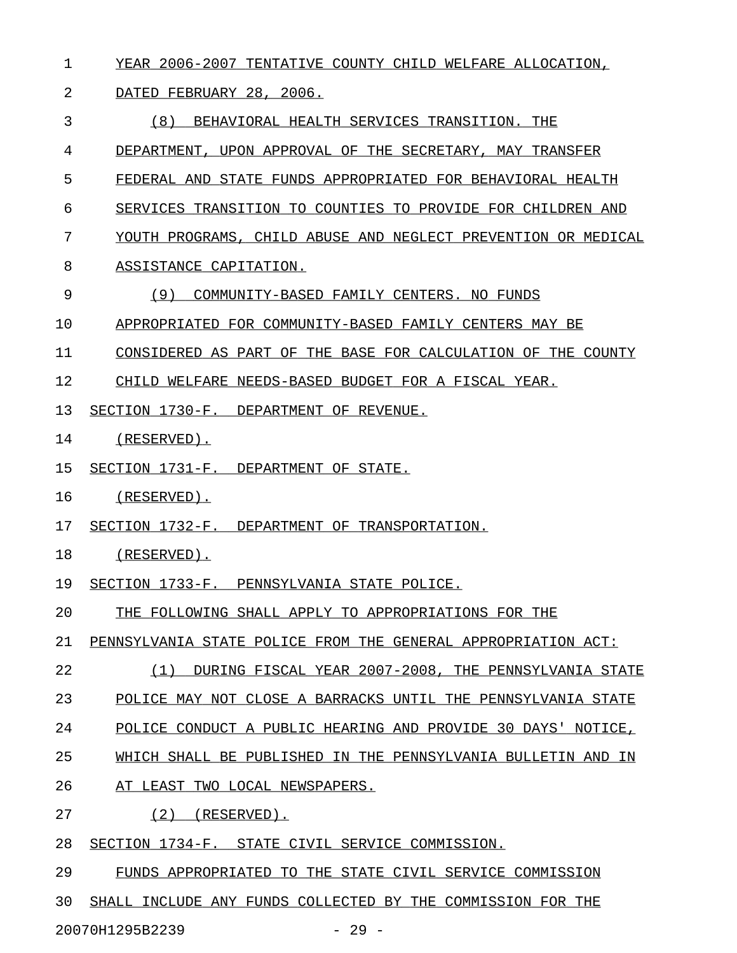1 YEAR 2006-2007 TENTATIVE COUNTY CHILD WELFARE ALLOCATION,

## 2 DATED FEBRUARY 28, 2006.

3 6 (8) BEHAVIORAL HEALTH SERVICES TRANSITION. THE

4 DEPARTMENT, UPON APPROVAL OF THE SECRETARY, MAY TRANSFER

- 5 FEDERAL AND STATE FUNDS APPROPRIATED FOR BEHAVIORAL HEALTH
- 6 SERVICES TRANSITION TO COUNTIES TO PROVIDE FOR CHILDREN AND
- 7 YOUTH PROGRAMS, CHILD ABUSE AND NEGLECT PREVENTION OR MEDICAL
- 8 ASSISTANCE CAPITATION.
- 9 (9) COMMUNITY-BASED FAMILY CENTERS. NO FUNDS
- 10 APPROPRIATED FOR COMMUNITY-BASED FAMILY CENTERS MAY BE

11 CONSIDERED AS PART OF THE BASE FOR CALCULATION OF THE COUNTY

12 CHILD WELFARE NEEDS-BASED BUDGET FOR A FISCAL YEAR.

13 SECTION 1730-F. DEPARTMENT OF REVENUE.

- 14 (RESERVED).
- 15 SECTION 1731-F. DEPARTMENT OF STATE.
- 16 (RESERVED).
- 17 SECTION 1732-F. DEPARTMENT OF TRANSPORTATION.

## 18 (RESERVED).

- 19 SECTION 1733-F. PENNSYLVANIA STATE POLICE.
- 20 THE FOLLOWING SHALL APPLY TO APPROPRIATIONS FOR THE
- 21 PENNSYLVANIA STATE POLICE FROM THE GENERAL APPROPRIATION ACT:
- 22 (1) DURING FISCAL YEAR 2007-2008, THE PENNSYLVANIA STATE \_\_\_\_\_\_\_\_\_\_\_\_\_\_\_\_\_\_\_\_\_\_\_\_\_\_\_\_\_\_\_\_\_\_\_\_\_\_\_\_\_\_\_\_\_\_\_\_\_\_\_\_\_\_\_\_\_
- 23 POLICE MAY NOT CLOSE A BARRACKS UNTIL THE PENNSYLVANIA STATE
- 24 POLICE CONDUCT A PUBLIC HEARING AND PROVIDE 30 DAYS' NOTICE,
- 25 WHICH SHALL BE PUBLISHED IN THE PENNSYLVANIA BULLETIN AND IN
- 26 AT LEAST TWO LOCAL NEWSPAPERS.
- 27 (2) (RESERVED).
- 28 SECTION 1734-F. STATE CIVIL SERVICE COMMISSION.
- 29 FUNDS APPROPRIATED TO THE STATE CIVIL SERVICE COMMISSION
- 30 SHALL INCLUDE ANY FUNDS COLLECTED BY THE COMMISSION FOR THE

20070H1295B2239 - 29 -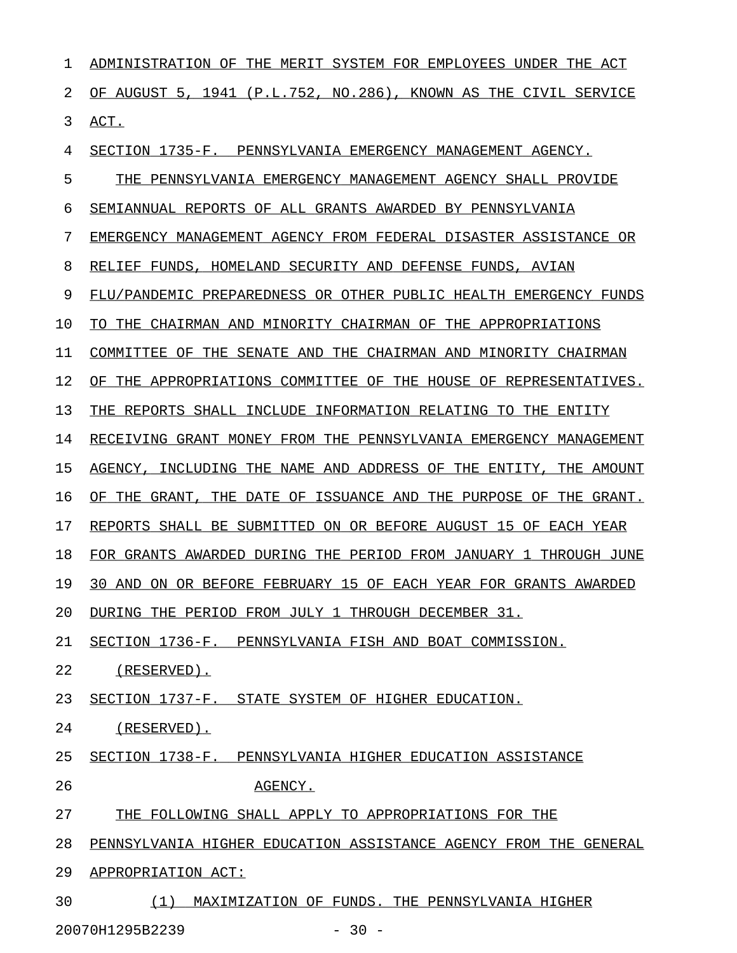| 1  | ADMINISTRATION OF<br>THE MERIT SYSTEM FOR EMPLOYEES UNDER THE ACT         |
|----|---------------------------------------------------------------------------|
| 2  | OF AUGUST 5, 1941 (P.L.752, NO.286), KNOWN AS THE CIVIL SERVICE           |
| 3  | ACT.                                                                      |
| 4  | SECTION 1735-F. PENNSYLVANIA EMERGENCY MANAGEMENT AGENCY.                 |
| 5  | THE PENNSYLVANIA EMERGENCY MANAGEMENT AGENCY SHALL PROVIDE                |
| 6  | SEMIANNUAL REPORTS OF ALL GRANTS AWARDED BY PENNSYLVANIA                  |
| 7  | EMERGENCY MANAGEMENT AGENCY FROM FEDERAL DISASTER ASSISTANCE OR           |
| 8  | RELIEF FUNDS, HOMELAND SECURITY AND DEFENSE FUNDS, AVIAN                  |
| 9  | FLU/PANDEMIC PREPAREDNESS OR OTHER PUBLIC HEALTH EMERGENCY FUNDS          |
| 10 | TO THE CHAIRMAN AND MINORITY CHAIRMAN OF THE APPROPRIATIONS               |
| 11 | COMMITTEE OF THE SENATE AND THE CHAIRMAN AND MINORITY CHAIRMAN            |
| 12 | THE APPROPRIATIONS COMMITTEE OF THE HOUSE OF REPRESENTATIVES.<br>ΟF       |
| 13 | THE REPORTS SHALL INCLUDE INFORMATION RELATING TO THE ENTITY              |
| 14 | RECEIVING GRANT MONEY FROM THE PENNSYLVANIA EMERGENCY MANAGEMENT          |
| 15 | AGENCY, INCLUDING THE NAME AND ADDRESS OF THE ENTITY, THE AMOUNT          |
| 16 | THE DATE OF ISSUANCE AND THE PURPOSE OF THE GRANT.<br>THE<br>GRANT,<br>ΟF |
| 17 | REPORTS SHALL BE SUBMITTED ON OR BEFORE AUGUST 15 OF EACH YEAR            |
| 18 | FOR GRANTS AWARDED DURING THE PERIOD FROM JANUARY 1 THROUGH JUNE          |
| 19 | ON OR BEFORE FEBRUARY 15 OF EACH YEAR FOR GRANTS AWARDED<br>30 AND        |
| 20 | DURING THE PERIOD FROM JULY 1 THROUGH DECEMBER 31.                        |
| 21 | SECTION 1736-F. PENNSYLVANIA FISH AND BOAT COMMISSION.                    |
| 22 | (RESERVED).                                                               |
| 23 | SECTION 1737-F. STATE SYSTEM OF HIGHER EDUCATION.                         |
| 24 | (RESERVED).                                                               |
| 25 | SECTION 1738-F. PENNSYLVANIA HIGHER EDUCATION ASSISTANCE                  |
| 26 | AGENCY.                                                                   |
| 27 | THE FOLLOWING SHALL APPLY TO APPROPRIATIONS FOR THE                       |
| 28 | PENNSYLVANIA HIGHER EDUCATION ASSISTANCE AGENCY FROM THE GENERAL          |
| 29 | APPROPRIATION ACT:                                                        |
| 30 | MAXIMIZATION OF FUNDS. THE PENNSYLVANIA HIGHER<br>(1)                     |

20070H1295B2239 - 30 -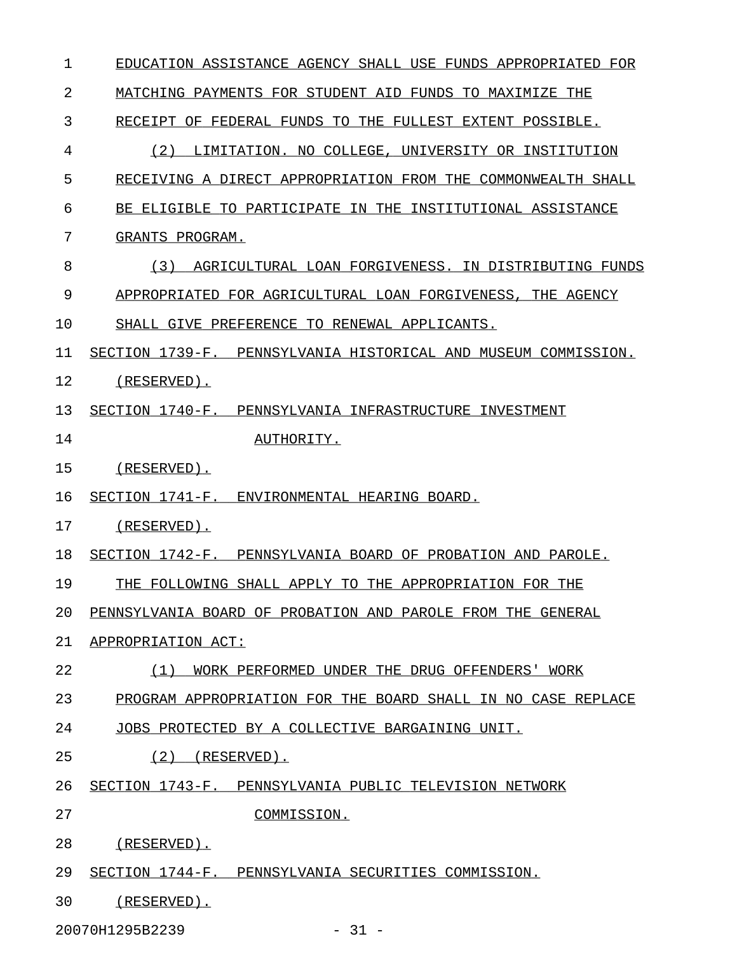| $\mathbf 1$ | EDUCATION ASSISTANCE AGENCY SHALL USE FUNDS APPROPRIATED FOR   |
|-------------|----------------------------------------------------------------|
| 2           | MATCHING PAYMENTS FOR STUDENT AID FUNDS TO MAXIMIZE THE        |
| 3           | RECEIPT OF FEDERAL FUNDS TO THE FULLEST EXTENT POSSIBLE.       |
| 4           | (2)<br>LIMITATION. NO COLLEGE, UNIVERSITY OR INSTITUTION       |
| 5           | RECEIVING A DIRECT APPROPRIATION FROM THE COMMONWEALTH SHALL   |
| 6           | BE ELIGIBLE TO PARTICIPATE IN THE INSTITUTIONAL ASSISTANCE     |
| 7           | GRANTS PROGRAM.                                                |
| 8           | AGRICULTURAL LOAN FORGIVENESS. IN DISTRIBUTING FUNDS<br>(3)    |
| 9           | APPROPRIATED FOR AGRICULTURAL LOAN FORGIVENESS, THE AGENCY     |
| 10          | SHALL GIVE PREFERENCE TO RENEWAL APPLICANTS.                   |
| 11          | SECTION 1739-F. PENNSYLVANIA HISTORICAL AND MUSEUM COMMISSION. |
| 12          | (RESERVED).                                                    |
| 13          | SECTION 1740-F. PENNSYLVANIA INFRASTRUCTURE INVESTMENT         |
| 14          | AUTHORITY.                                                     |
| 15          | (RESERVED).                                                    |
| 16          | SECTION 1741-F. ENVIRONMENTAL HEARING BOARD.                   |
| 17          | (RESERVED).                                                    |
| 18          | SECTION 1742-F. PENNSYLVANIA BOARD OF PROBATION AND PAROLE.    |
| 19          | THE FOLLOWING SHALL APPLY TO THE APPROPRIATION FOR THE         |
| 20          | PENNSYLVANIA BOARD OF PROBATION AND PAROLE FROM THE GENERAL    |
| 21          | APPROPRIATION ACT:                                             |
| 22          | (1)<br>WORK PERFORMED UNDER THE DRUG OFFENDERS' WORK           |
| 23          | PROGRAM APPROPRIATION FOR THE BOARD SHALL IN NO CASE REPLACE   |
| 24          | JOBS PROTECTED BY A COLLECTIVE BARGAINING UNIT.                |
| 25          | (2)<br>$(RESERVED)$ .                                          |
| 26          | SECTION 1743-F. PENNSYLVANIA PUBLIC TELEVISION NETWORK         |
| 27          | COMMISSION.                                                    |
| 28          | (RESERVED).                                                    |
| 29          | SECTION 1744-F. PENNSYLVANIA SECURITIES COMMISSION.            |
| 30          | $(RESERVED)$ .                                                 |

20070H1295B2239 - 31 -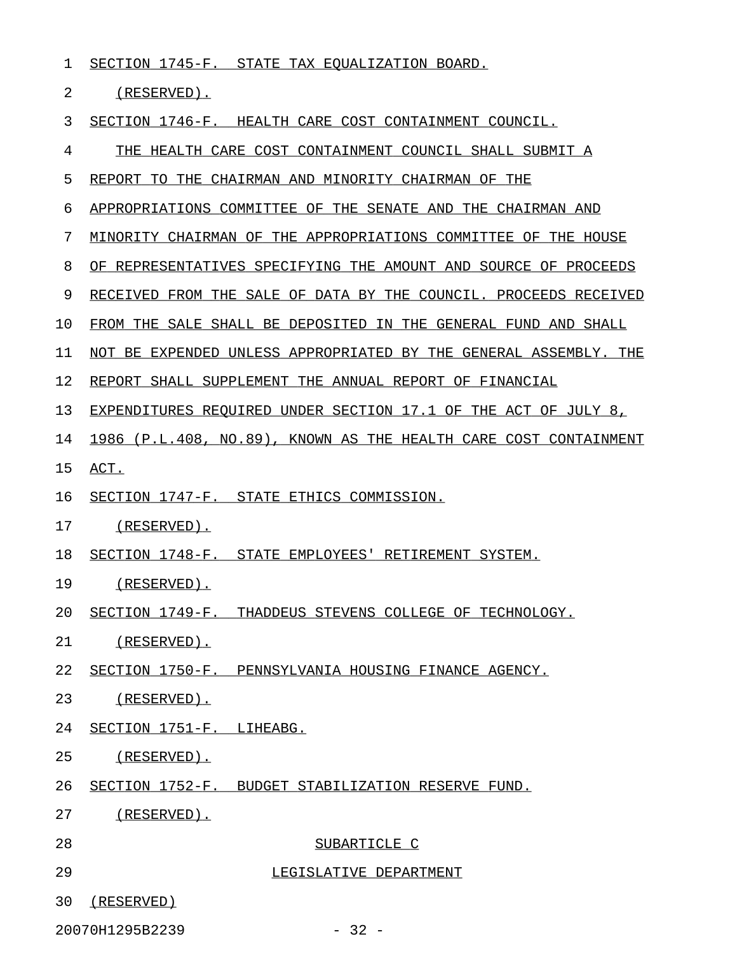1 SECTION 1745-F. STATE TAX EQUALIZATION BOARD.

2 (RESERVED).

3 SECTION 1746-F. HEALTH CARE COST CONTAINMENT COUNCIL.

4 THE HEALTH CARE COST CONTAINMENT COUNCIL SHALL SUBMIT A 5 REPORT TO THE CHAIRMAN AND MINORITY CHAIRMAN OF THE 6 APPROPRIATIONS COMMITTEE OF THE SENATE AND THE CHAIRMAN AND 7 MINORITY CHAIRMAN OF THE APPROPRIATIONS COMMITTEE OF THE HOUSE 8 OF REPRESENTATIVES SPECIFYING THE AMOUNT AND SOURCE OF PROCEEDS 9 RECEIVED FROM THE SALE OF DATA BY THE COUNCIL. PROCEEDS RECEIVED 10 FROM THE SALE SHALL BE DEPOSITED IN THE GENERAL FUND AND SHALL 11 NOT BE EXPENDED UNLESS APPROPRIATED BY THE GENERAL ASSEMBLY. THE 12 REPORT SHALL SUPPLEMENT THE ANNUAL REPORT OF FINANCIAL 13 EXPENDITURES REQUIRED UNDER SECTION 17.1 OF THE ACT OF JULY 8, 14 1986 (P.L.408, NO.89), KNOWN AS THE HEALTH CARE COST CONTAINMENT 15 ACT. 16 SECTION 1747-F. STATE ETHICS COMMISSION. 17 (RESERVED). 18 SECTION 1748-F. STATE EMPLOYEES' RETIREMENT SYSTEM. 19 (RESERVED). 20 SECTION 1749-F. THADDEUS STEVENS COLLEGE OF TECHNOLOGY. 21 (RESERVED). 22 SECTION 1750-F. PENNSYLVANIA HOUSING FINANCE AGENCY. 23 (RESERVED). 24 SECTION 1751-F. LIHEABG. 25 (RESERVED). 26 SECTION 1752-F. BUDGET STABILIZATION RESERVE FUND. 27 (RESERVED). 28 SUBARTICLE C 29 LEGISLATIVE DEPARTMENT 30 (RESERVED) 20070H1295B2239 - 32 -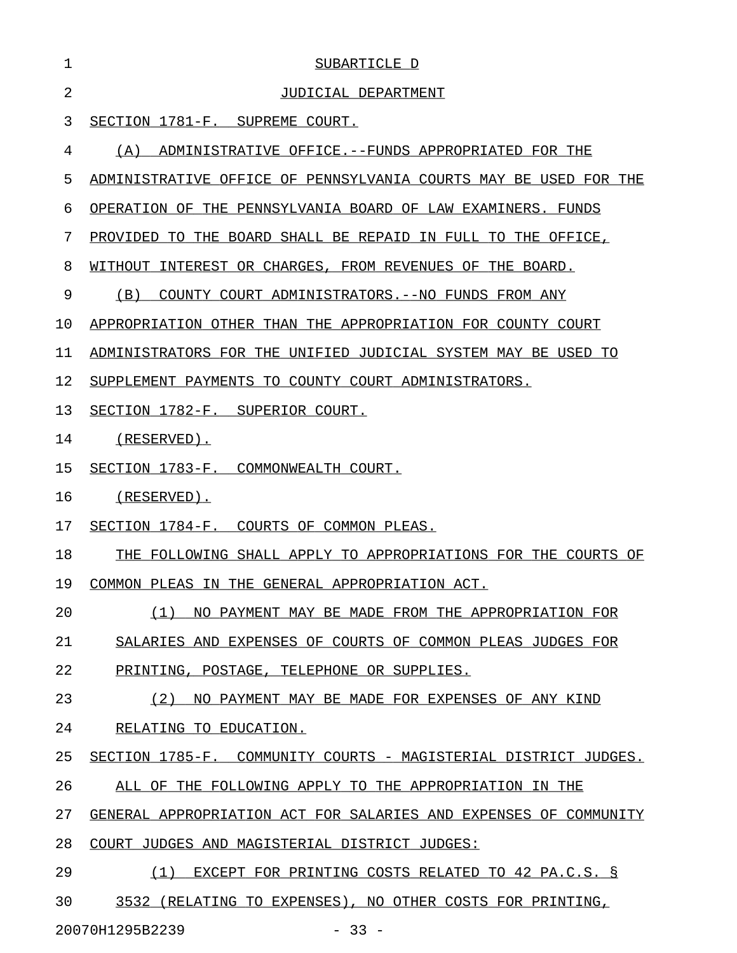| 1              | SUBARTICLE D                                                        |
|----------------|---------------------------------------------------------------------|
| $\overline{2}$ | JUDICIAL DEPARTMENT                                                 |
| 3              | SECTION 1781-F. SUPREME COURT.                                      |
| 4              | (A)<br>ADMINISTRATIVE OFFICE.--FUNDS APPROPRIATED FOR THE           |
| 5              | ADMINISTRATIVE OFFICE OF PENNSYLVANIA COURTS MAY BE USED FOR THE    |
| 6              | OPERATION OF THE PENNSYLVANIA BOARD OF LAW EXAMINERS. FUNDS         |
| 7              | PROVIDED<br>THE BOARD SHALL BE REPAID IN FULL TO THE OFFICE,<br>TO. |
| 8              | WITHOUT<br>INTEREST OR CHARGES, FROM REVENUES OF THE BOARD.         |
| 9              | (B)<br>COUNTY COURT ADMINISTRATORS. -- NO FUNDS FROM ANY            |
| 10             | APPROPRIATION OTHER THAN THE APPROPRIATION FOR COUNTY COURT         |
| 11             | ADMINISTRATORS FOR THE UNIFIED JUDICIAL SYSTEM MAY BE USED TO       |
| 12             | SUPPLEMENT PAYMENTS TO COUNTY COURT ADMINISTRATORS.                 |
| 13             | SECTION 1782-F. SUPERIOR COURT.                                     |
| 14             | $(RESERVED)$ .                                                      |
| 15             | SECTION 1783-F. COMMONWEALTH COURT.                                 |
| 16             | $(RESERVED)$ .                                                      |
| 17             | SECTION 1784-F. COURTS OF COMMON PLEAS.                             |
| 18             | THE FOLLOWING SHALL APPLY TO APPROPRIATIONS FOR THE COURTS OF       |
| 19             | COMMON PLEAS IN THE GENERAL APPROPRIATION ACT.                      |
| 20             | (1) NO PAYMENT MAY BE MADE FROM THE APPROPRIATION FOR               |
| 21             | SALARIES AND EXPENSES OF COURTS OF COMMON PLEAS JUDGES FOR          |
| 22             | PRINTING, POSTAGE, TELEPHONE OR SUPPLIES.                           |
| 23             | (2) NO PAYMENT MAY BE MADE FOR EXPENSES OF ANY KIND                 |
| 24             | RELATING TO EDUCATION.                                              |
| 25             | SECTION 1785-F. COMMUNITY COURTS - MAGISTERIAL DISTRICT JUDGES.     |
| 26             | ALL OF THE FOLLOWING APPLY TO THE APPROPRIATION IN THE              |
| 27             | GENERAL APPROPRIATION ACT FOR SALARIES AND EXPENSES OF COMMUNITY    |
| 28             | COURT JUDGES AND MAGISTERIAL DISTRICT JUDGES:                       |
| 29             | (1) EXCEPT FOR PRINTING COSTS RELATED TO 42 PA.C.S. §               |
| 30             | 3532 (RELATING TO EXPENSES), NO OTHER COSTS FOR PRINTING,           |

20070H1295B2239 - 33 -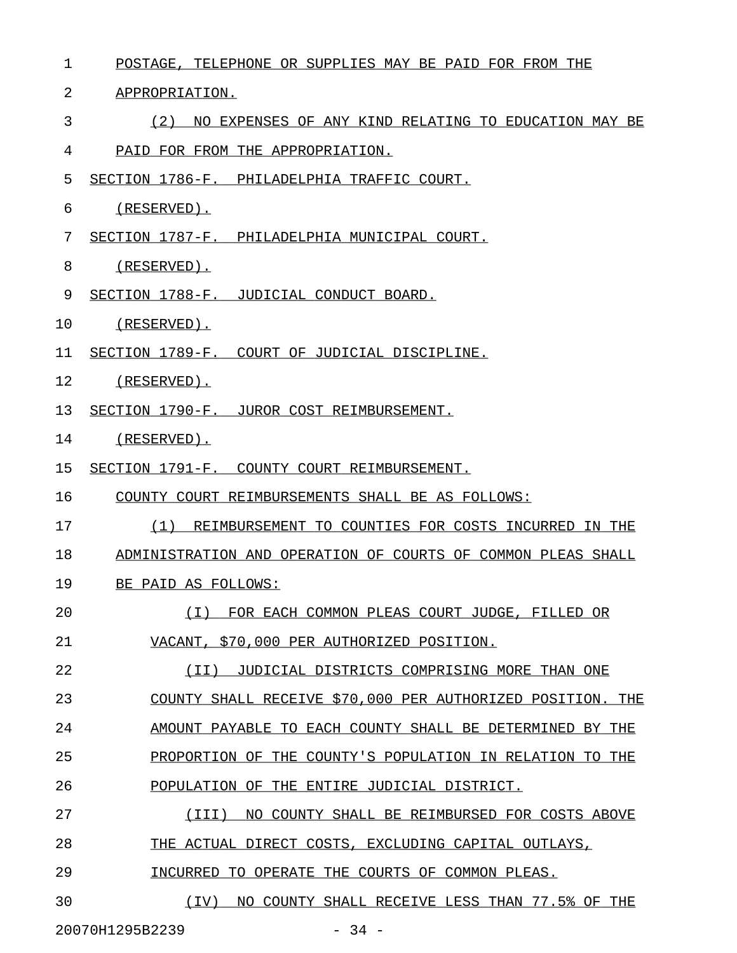| 1  | POSTAGE, TELEPHONE OR SUPPLIES MAY BE PAID FOR FROM THE      |
|----|--------------------------------------------------------------|
| 2  | APPROPRIATION.                                               |
| 3  | (2)<br>NO EXPENSES OF ANY KIND RELATING TO EDUCATION MAY BE  |
| 4  | PAID FOR FROM THE APPROPRIATION.                             |
| 5  | SECTION 1786-F. PHILADELPHIA TRAFFIC COURT.                  |
| 6  | (RESERVED).                                                  |
| 7  | SECTION 1787-F. PHILADELPHIA MUNICIPAL COURT.                |
| 8  | (RESERVED).                                                  |
| 9  | SECTION 1788-F. JUDICIAL CONDUCT BOARD.                      |
| 10 | (RESERVED).                                                  |
| 11 | SECTION 1789-F. COURT OF JUDICIAL DISCIPLINE.                |
| 12 | (RESERVED).                                                  |
| 13 | SECTION 1790-F. JUROR COST REIMBURSEMENT.                    |
| 14 | (RESERVED).                                                  |
| 15 | SECTION 1791-F. COUNTY COURT REIMBURSEMENT.                  |
| 16 | COUNTY COURT REIMBURSEMENTS SHALL BE AS FOLLOWS:             |
| 17 | (1)<br>REIMBURSEMENT TO COUNTIES FOR COSTS INCURRED IN THE   |
| 18 | ADMINISTRATION AND OPERATION OF COURTS OF COMMON PLEAS SHALL |
| 19 | BE PAID AS FOLLOWS:                                          |
| 20 | (I) FOR EACH COMMON PLEAS COURT JUDGE, FILLED OR             |
| 21 | VACANT, \$70,000 PER AUTHORIZED POSITION.                    |
| 22 | JUDICIAL DISTRICTS COMPRISING MORE THAN ONE<br>$(\I{I})$     |
| 23 | COUNTY SHALL RECEIVE \$70,000 PER AUTHORIZED POSITION. THE   |
| 24 | AMOUNT PAYABLE TO EACH COUNTY SHALL BE DETERMINED BY THE     |
| 25 | PROPORTION OF THE COUNTY'S POPULATION IN RELATION TO THE     |
| 26 | POPULATION OF THE ENTIRE JUDICIAL DISTRICT.                  |
| 27 | (III)<br>NO COUNTY SHALL BE REIMBURSED FOR COSTS ABOVE       |
| 28 | THE ACTUAL DIRECT COSTS, EXCLUDING CAPITAL OUTLAYS,          |
| 29 | INCURRED TO OPERATE THE COURTS OF COMMON PLEAS.              |
| 30 | (IV) NO COUNTY SHALL RECEIVE LESS THAN 77.5% OF THE          |
|    | 20070H1295B2239<br>$-34 -$                                   |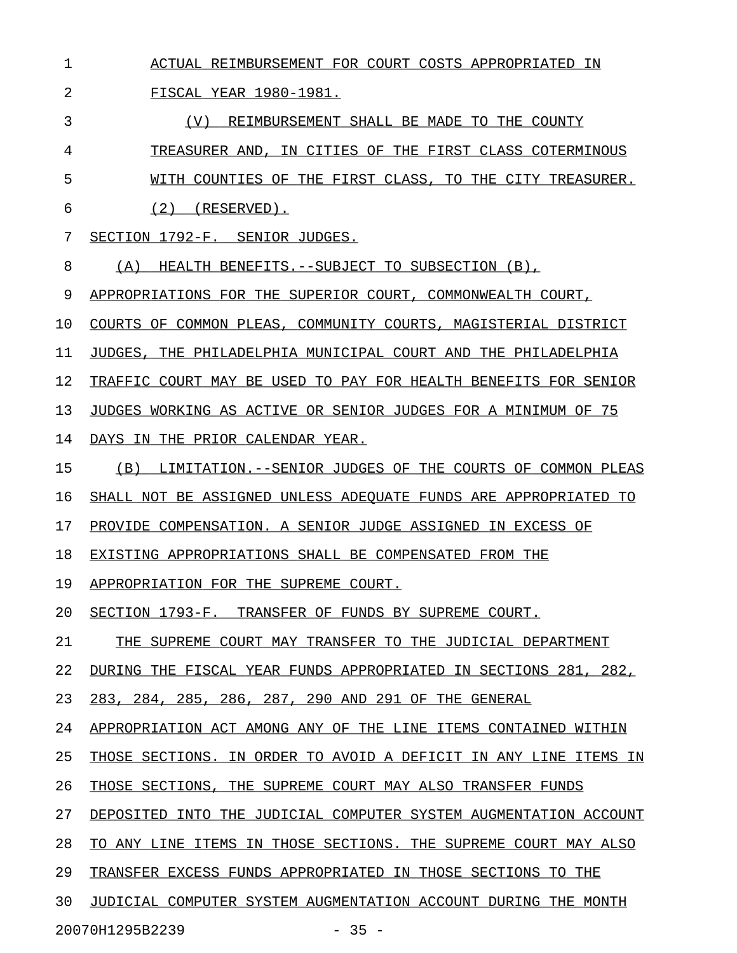| $\mathbf 1$ | ACTUAL REIMBURSEMENT FOR COURT COSTS APPROPRIATED IN                      |
|-------------|---------------------------------------------------------------------------|
| 2           | FISCAL YEAR 1980-1981.                                                    |
| 3           | (V)<br>REIMBURSEMENT SHALL BE MADE TO THE COUNTY                          |
| 4           | TREASURER AND, IN CITIES OF THE FIRST CLASS COTERMINOUS                   |
| 5           | WITH COUNTIES OF THE FIRST CLASS, TO THE CITY TREASURER.                  |
| 6           | $(2)$ (RESERVED).                                                         |
| 7           | SECTION 1792-F. SENIOR JUDGES.                                            |
| 8           | (A)<br>HEALTH BENEFITS. -- SUBJECT TO SUBSECTION (B),                     |
| 9           | APPROPRIATIONS FOR THE SUPERIOR COURT, COMMONWEALTH COURT,                |
| 10          | COURTS OF COMMON PLEAS, COMMUNITY COURTS, MAGISTERIAL DISTRICT            |
| 11          | JUDGES, THE PHILADELPHIA MUNICIPAL COURT AND THE PHILADELPHIA             |
| 12          | TRAFFIC COURT MAY BE USED TO PAY FOR HEALTH BENEFITS FOR SENIOR           |
| 13          | JUDGES WORKING AS ACTIVE OR SENIOR JUDGES FOR A MINIMUM OF 75             |
| 14          | DAYS IN THE PRIOR CALENDAR YEAR.                                          |
| 15          | LIMITATION. -- SENIOR JUDGES OF THE COURTS OF COMMON PLEAS<br>(B)         |
| 16          | SHALL NOT BE ASSIGNED UNLESS ADEQUATE FUNDS ARE APPROPRIATED TO           |
| 17          | PROVIDE COMPENSATION. A SENIOR JUDGE ASSIGNED IN EXCESS OF                |
| 18          | EXISTING APPROPRIATIONS SHALL BE COMPENSATED FROM THE                     |
| 19          | APPROPRIATION FOR THE SUPREME COURT.                                      |
| 20          | SECTION 1793-F.<br>TRANSFER OF FUNDS BY SUPREME COURT.                    |
| 21          | THE SUPREME COURT MAY TRANSFER TO THE JUDICIAL DEPARTMENT                 |
| 22          | DURING THE FISCAL YEAR FUNDS APPROPRIATED IN SECTIONS 281,<br>282,        |
| 23          | 285, 286,<br>287, 290 AND 291 OF THE GENERAL<br>283, 284,                 |
| 24          | APPROPRIATION ACT AMONG ANY OF THE LINE<br>ITEMS CONTAINED<br>WITHIN      |
| 25          | THOSE SECTIONS.<br>IN ORDER TO AVOID A DEFICIT<br>IN ANY LINE<br>ITEMS IN |
| 26          | THE SUPREME COURT MAY ALSO TRANSFER FUNDS<br>THOSE SECTIONS,              |
| 27          | INTO THE JUDICIAL COMPUTER SYSTEM AUGMENTATION ACCOUNT<br>DEPOSITED       |
| 28          | ITEMS<br>IN THOSE SECTIONS. THE SUPREME COURT MAY ALSO<br>TO.<br>ANY LINE |
| 29          | TRANSFER EXCESS FUNDS APPROPRIATED IN THOSE SECTIONS TO THE               |
| 30          | JUDICIAL COMPUTER SYSTEM AUGMENTATION ACCOUNT DURING THE MONTH            |
|             |                                                                           |

20070H1295B2239 - 35 -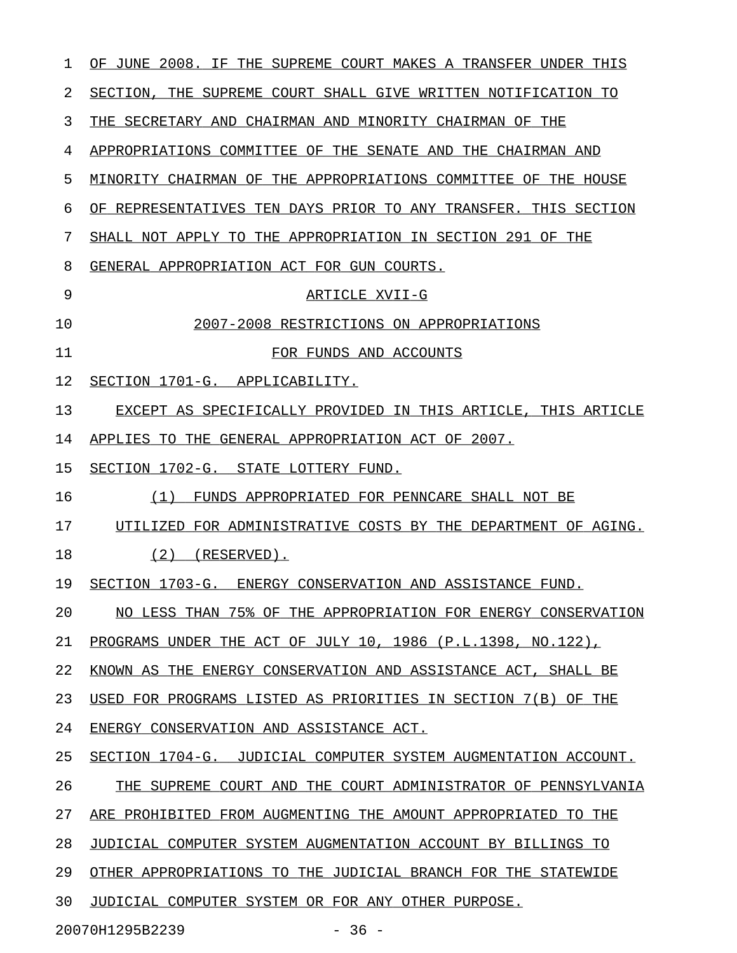| ı  | OF JUNE 2008. IF THE SUPREME COURT MAKES A TRANSFER UNDER THIS  |
|----|-----------------------------------------------------------------|
| 2  | SECTION, THE SUPREME COURT SHALL GIVE WRITTEN NOTIFICATION TO   |
| 3  | THE SECRETARY AND CHAIRMAN AND MINORITY CHAIRMAN OF THE         |
| 4  | APPROPRIATIONS COMMITTEE OF THE SENATE AND THE CHAIRMAN AND     |
| 5  | MINORITY CHAIRMAN OF THE APPROPRIATIONS COMMITTEE OF THE HOUSE  |
| 6  | OF REPRESENTATIVES TEN DAYS PRIOR TO ANY TRANSFER. THIS SECTION |
| 7  | SHALL NOT APPLY TO THE APPROPRIATION IN SECTION 291 OF THE      |
| 8  | GENERAL APPROPRIATION ACT FOR GUN COURTS.                       |
| 9  | ARTICLE XVII-G                                                  |
| 10 | 2007-2008 RESTRICTIONS ON APPROPRIATIONS                        |
| 11 | FOR FUNDS AND ACCOUNTS                                          |
| 12 | SECTION 1701-G. APPLICABILITY.                                  |
| 13 | EXCEPT AS SPECIFICALLY PROVIDED IN THIS ARTICLE, THIS ARTICLE   |
| 14 | APPLIES TO THE GENERAL APPROPRIATION ACT OF 2007.               |
| 15 | SECTION 1702-G. STATE LOTTERY FUND.                             |
| 16 | (1)<br>FUNDS APPROPRIATED FOR PENNCARE SHALL NOT BE             |
| 17 | UTILIZED FOR ADMINISTRATIVE COSTS BY THE DEPARTMENT OF AGING.   |
| 18 | $(2)$ (RESERVED).                                               |
| 19 | SECTION 1703-G. ENERGY CONSERVATION AND ASSISTANCE FUND.        |
| 20 | NO LESS THAN 75% OF THE APPROPRIATION FOR ENERGY CONSERVATION   |
| 21 | PROGRAMS UNDER THE ACT OF JULY 10, 1986 (P.L.1398, NO.122),     |
| 22 | KNOWN AS THE ENERGY CONSERVATION AND ASSISTANCE ACT, SHALL BE   |
| 23 | USED FOR PROGRAMS LISTED AS PRIORITIES IN SECTION 7(B) OF THE   |
| 24 | ENERGY CONSERVATION AND ASSISTANCE ACT.                         |
| 25 | SECTION 1704-G. JUDICIAL COMPUTER SYSTEM AUGMENTATION ACCOUNT.  |
| 26 | THE SUPREME COURT AND THE COURT ADMINISTRATOR OF PENNSYLVANIA   |
| 27 | ARE PROHIBITED FROM AUGMENTING THE AMOUNT APPROPRIATED TO THE   |
| 28 | JUDICIAL COMPUTER SYSTEM AUGMENTATION ACCOUNT BY BILLINGS TO    |
| 29 | OTHER APPROPRIATIONS TO THE JUDICIAL BRANCH FOR THE STATEWIDE   |
| 30 | JUDICIAL COMPUTER SYSTEM OR FOR ANY OTHER PURPOSE.              |
|    | 20070H1295B2239<br>$-36 -$                                      |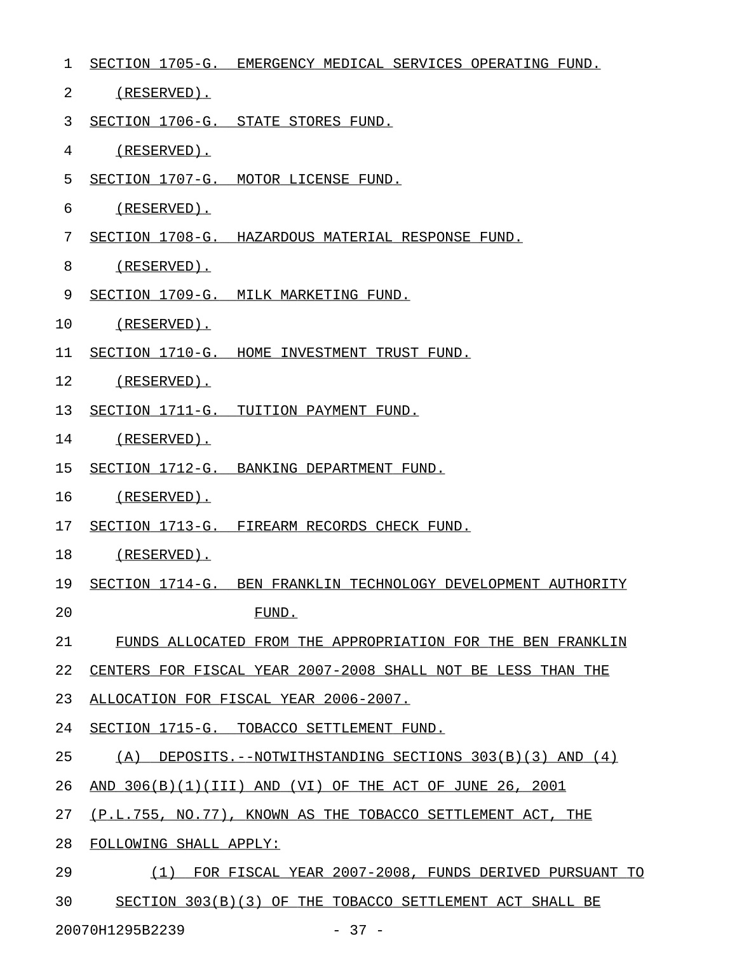| $\mathbf 1$ | SECTION 1705-G. EMERGENCY MEDICAL SERVICES OPERATING FUND.       |
|-------------|------------------------------------------------------------------|
| 2           | (RESERVED).                                                      |
| 3           | SECTION 1706-G. STATE STORES FUND.                               |
| 4           | (RESERVED).                                                      |
| 5           | SECTION 1707-G. MOTOR LICENSE FUND.                              |
| 6           | (RESERVED).                                                      |
| 7           | SECTION 1708-G. HAZARDOUS MATERIAL RESPONSE FUND.                |
| 8           | (RESERVED).                                                      |
| 9           | SECTION 1709-G. MILK MARKETING FUND.                             |
| 10          | (RESERVED).                                                      |
| 11          | SECTION 1710-G. HOME INVESTMENT TRUST FUND.                      |
| 12          | (RESERVED).                                                      |
| 13          | SECTION 1711-G. TUITION PAYMENT FUND.                            |
| 14          | (RESERVED).                                                      |
| 15          | SECTION 1712-G. BANKING DEPARTMENT FUND.                         |
| 16          | (RESERVED).                                                      |
| 17          | SECTION 1713-G. FIREARM RECORDS CHECK FUND.                      |
| 18          | (RESERVED).                                                      |
| 19          | SECTION 1714-G. BEN FRANKLIN TECHNOLOGY DEVELOPMENT AUTHORITY    |
| 20          | FUND.                                                            |
| 21          | FUNDS ALLOCATED FROM THE APPROPRIATION FOR THE BEN FRANKLIN      |
| 22          | CENTERS FOR FISCAL YEAR 2007-2008 SHALL NOT BE LESS THAN THE     |
| 23          | ALLOCATION FOR FISCAL YEAR 2006-2007.                            |
| 24          | SECTION 1715-G. TOBACCO SETTLEMENT FUND.                         |
| 25          | (A)<br>DEPOSITS.--NOTWITHSTANDING SECTIONS $303(B)(3)$ AND $(4)$ |
| 26          | AND 306(B)(1)(III) AND (VI) OF THE ACT OF JUNE 26, 2001          |
| 27          | (P.L.755, NO.77), KNOWN AS THE TOBACCO SETTLEMENT ACT, THE       |
| 28          | FOLLOWING SHALL APPLY:                                           |
| 29          | FOR FISCAL YEAR 2007-2008, FUNDS DERIVED PURSUANT TO<br>(1)      |
| 30          | SECTION 303(B)(3) OF THE TOBACCO SETTLEMENT ACT SHALL BE         |

20070H1295B2239 - 37 -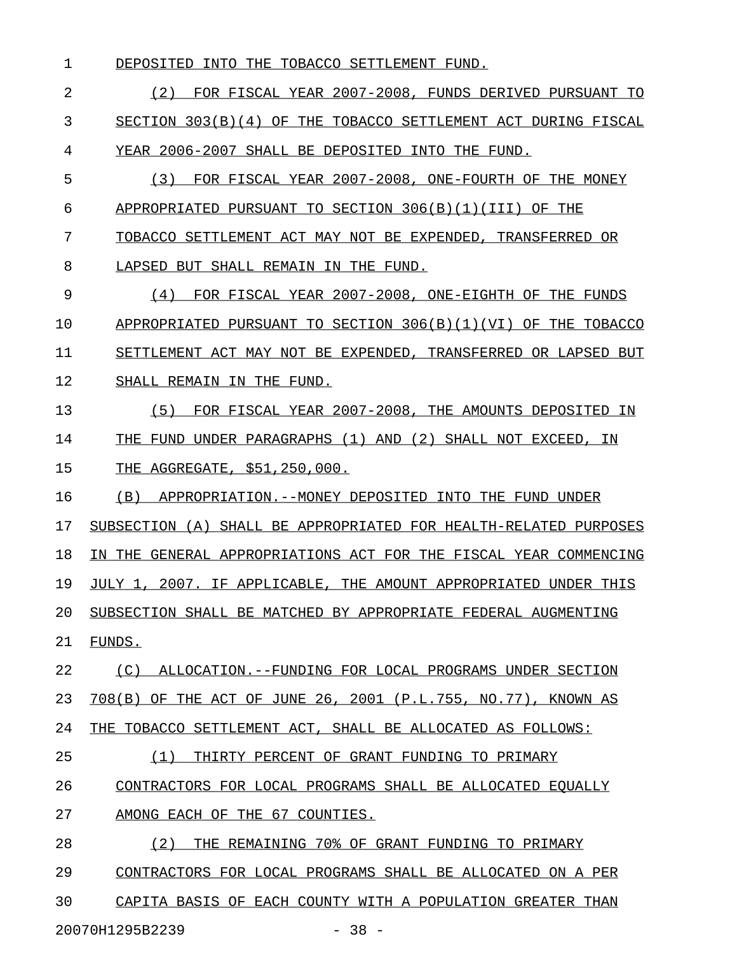1 DEPOSITED INTO THE TOBACCO SETTLEMENT FUND.

2 12 C2) FOR FISCAL YEAR 2007-2008, FUNDS DERIVED PURSUANT TO 3 SECTION 303(B)(4) OF THE TOBACCO SETTLEMENT ACT DURING FISCAL 4 YEAR 2006-2007 SHALL BE DEPOSITED INTO THE FUND.

- 5 (3) FOR FISCAL YEAR 2007-2008, ONE-FOURTH OF THE MONEY 6 APPROPRIATED PURSUANT TO SECTION  $306(B)(1)(III)$  OF THE
- 7 TOBACCO SETTLEMENT ACT MAY NOT BE EXPENDED, TRANSFERRED OR
- 8 LAPSED BUT SHALL REMAIN IN THE FUND.

9 (4) FOR FISCAL YEAR 2007-2008, ONE-EIGHTH OF THE FUNDS \_\_\_\_\_\_\_\_\_\_\_\_\_\_\_\_\_\_\_\_\_\_\_\_\_\_\_\_\_\_\_\_\_\_\_\_\_\_\_\_\_\_\_\_\_\_\_\_\_\_\_\_\_\_\_ 10 APPROPRIATED PURSUANT TO SECTION 306(B)(1)(VI) OF THE TOBACCO 11 SETTLEMENT ACT MAY NOT BE EXPENDED, TRANSFERRED OR LAPSED BUT 12 SHALL REMAIN IN THE FUND.

13  $(5)$  FOR FISCAL YEAR 2007-2008, THE AMOUNTS DEPOSITED IN 14 THE FUND UNDER PARAGRAPHS (1) AND (2) SHALL NOT EXCEED, IN 15 THE AGGREGATE, \$51,250,000.

16 (B) APPROPRIATION.--MONEY DEPOSITED INTO THE FUND UNDER

17 SUBSECTION (A) SHALL BE APPROPRIATED FOR HEALTH-RELATED PURPOSES

18 IN THE GENERAL APPROPRIATIONS ACT FOR THE FISCAL YEAR COMMENCING

19 JULY 1, 2007. IF APPLICABLE, THE AMOUNT APPROPRIATED UNDER THIS

- 20 SUBSECTION SHALL BE MATCHED BY APPROPRIATE FEDERAL AUGMENTING
- 21 FUNDS.

22 (C) ALLOCATION.--FUNDING FOR LOCAL PROGRAMS UNDER SECTION 23 708(B) OF THE ACT OF JUNE 26, 2001 (P.L.755, NO.77), KNOWN AS 24 THE TOBACCO SETTLEMENT ACT, SHALL BE ALLOCATED AS FOLLOWS:

25 (1) THIRTY PERCENT OF GRANT FUNDING TO PRIMARY \_\_\_\_\_\_\_\_\_\_\_\_\_\_\_\_\_\_\_\_\_\_\_\_\_\_\_\_\_\_\_\_\_\_\_\_\_\_\_\_\_\_\_\_\_\_\_

- 26 CONTRACTORS FOR LOCAL PROGRAMS SHALL BE ALLOCATED EQUALLY
- 27 AMONG EACH OF THE 67 COUNTIES.

28 (2) THE REMAINING 70% OF GRANT FUNDING TO PRIMARY 29 CONTRACTORS FOR LOCAL PROGRAMS SHALL BE ALLOCATED ON A PER

30 CAPITA BASIS OF EACH COUNTY WITH A POPULATION GREATER THAN

20070H1295B2239 - 38 -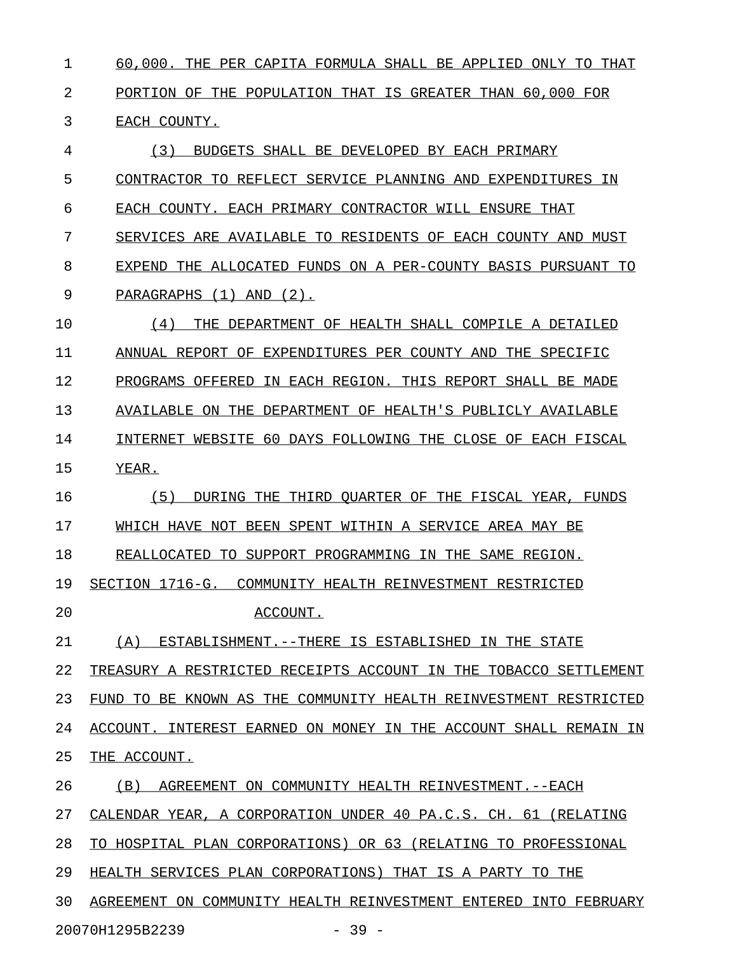1 60,000. THE PER CAPITA FORMULA SHALL BE APPLIED ONLY TO THAT 2 PORTION OF THE POPULATION THAT IS GREATER THAN 60,000 FOR 3 EACH COUNTY.

4 (3) BUDGETS SHALL BE DEVELOPED BY EACH PRIMARY 5 CONTRACTOR TO REFLECT SERVICE PLANNING AND EXPENDITURES IN 6 EACH COUNTY. EACH PRIMARY CONTRACTOR WILL ENSURE THAT 7 SERVICES ARE AVAILABLE TO RESIDENTS OF EACH COUNTY AND MUST 8 EXPEND THE ALLOCATED FUNDS ON A PER-COUNTY BASIS PURSUANT TO 9 PARAGRAPHS (1) AND (2). 10 (4) THE DEPARTMENT OF HEALTH SHALL COMPILE A DETAILED \_\_\_\_\_\_\_\_\_\_\_\_\_\_\_\_\_\_\_\_\_\_\_\_\_\_\_\_\_\_\_\_\_\_\_\_\_\_\_\_\_\_\_\_\_\_\_\_\_\_\_\_\_\_ 11 ANNUAL REPORT OF EXPENDITURES PER COUNTY AND THE SPECIFIC 12 PROGRAMS OFFERED IN EACH REGION. THIS REPORT SHALL BE MADE 13 AVAILABLE ON THE DEPARTMENT OF HEALTH'S PUBLICLY AVAILABLE 14 INTERNET WEBSITE 60 DAYS FOLLOWING THE CLOSE OF EACH FISCAL 15 YEAR. 16 (5) DURING THE THIRD QUARTER OF THE FISCAL YEAR, FUNDS 17 WHICH HAVE NOT BEEN SPENT WITHIN A SERVICE AREA MAY BE 18 REALLOCATED TO SUPPORT PROGRAMMING IN THE SAME REGION. 19 SECTION 1716-G. COMMUNITY HEALTH REINVESTMENT RESTRICTED 20 ACCOUNT. 21 (A) ESTABLISHMENT.--THERE IS ESTABLISHED IN THE STATE 22 TREASURY A RESTRICTED RECEIPTS ACCOUNT IN THE TOBACCO SETTLEMENT 23 FUND TO BE KNOWN AS THE COMMUNITY HEALTH REINVESTMENT RESTRICTED 24 ACCOUNT. INTEREST EARNED ON MONEY IN THE ACCOUNT SHALL REMAIN IN 25 THE ACCOUNT. 26 (B) AGREEMENT ON COMMUNITY HEALTH REINVESTMENT. --EACH 27 CALENDAR YEAR, A CORPORATION UNDER 40 PA.C.S. CH. 61 (RELATING 28 TO HOSPITAL PLAN CORPORATIONS) OR 63 (RELATING TO PROFESSIONAL 29 HEALTH SERVICES PLAN CORPORATIONS) THAT IS A PARTY TO THE 30 AGREEMENT ON COMMUNITY HEALTH REINVESTMENT ENTERED INTO FEBRUARY

20070H1295B2239 - 39 -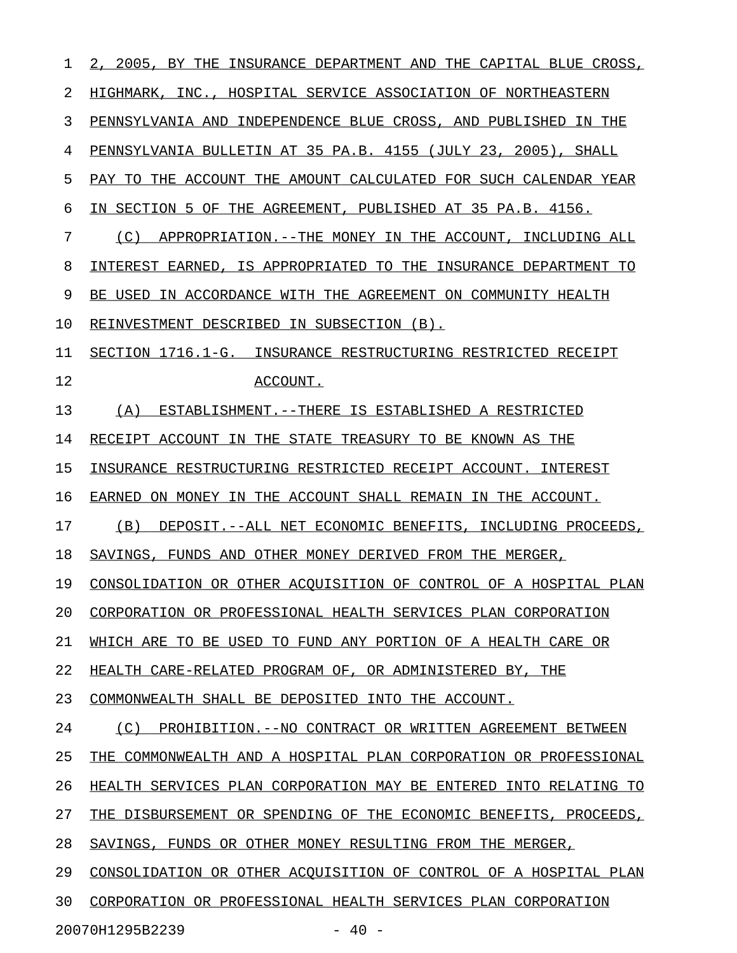| 1  | 2, 2005, BY THE<br>INSURANCE DEPARTMENT AND THE CAPITAL BLUE CROSS, |
|----|---------------------------------------------------------------------|
| 2  | HIGHMARK, INC., HOSPITAL SERVICE ASSOCIATION OF NORTHEASTERN        |
| 3  | PENNSYLVANIA AND INDEPENDENCE BLUE CROSS, AND PUBLISHED IN THE      |
| 4  | PENNSYLVANIA BULLETIN AT 35 PA.B. 4155 (JULY 23, 2005), SHALL       |
| 5  | PAY TO THE ACCOUNT THE AMOUNT CALCULATED FOR SUCH CALENDAR YEAR     |
| 6  | IN SECTION 5 OF THE AGREEMENT, PUBLISHED AT 35 PA.B. 4156.          |
| 7  | (C)<br>APPROPRIATION. -- THE MONEY IN THE ACCOUNT, INCLUDING ALL    |
| 8  | INTEREST EARNED, IS APPROPRIATED TO THE INSURANCE DEPARTMENT TO     |
| 9  | BE USED IN ACCORDANCE WITH THE AGREEMENT ON COMMUNITY HEALTH        |
| 10 | REINVESTMENT DESCRIBED IN SUBSECTION (B).                           |
| 11 | SECTION 1716.1-G. INSURANCE RESTRUCTURING RESTRICTED RECEIPT        |
| 12 | ACCOUNT.                                                            |
| 13 | (A)<br>ESTABLISHMENT. -- THERE IS ESTABLISHED A RESTRICTED          |
| 14 | RECEIPT ACCOUNT IN THE STATE TREASURY TO BE KNOWN AS THE            |
| 15 | INSURANCE RESTRUCTURING RESTRICTED RECEIPT ACCOUNT. INTEREST        |
| 16 | EARNED ON MONEY IN THE ACCOUNT SHALL REMAIN IN THE ACCOUNT.         |
| 17 | (B)<br>DEPOSIT.--ALL NET ECONOMIC BENEFITS, INCLUDING PROCEEDS,     |
| 18 | SAVINGS, FUNDS AND OTHER MONEY DERIVED FROM THE MERGER,             |
| 19 | CONSOLIDATION OR OTHER ACOUISITION OF CONTROL OF A HOSPITAL PLAN    |
| 20 | CORPORATION OR PROFESSIONAL HEALTH SERVICES PLAN CORPORATION        |
| 21 | WHICH ARE TO BE USED TO FUND ANY PORTION OF A HEALTH CARE OR        |
| 22 | HEALTH CARE-RELATED PROGRAM OF, OR ADMINISTERED BY, THE             |
| 23 | COMMONWEALTH SHALL BE DEPOSITED INTO THE ACCOUNT.                   |
| 24 | (C)<br>PROHIBITION. -- NO CONTRACT OR WRITTEN AGREEMENT BETWEEN     |
| 25 | THE COMMONWEALTH AND A HOSPITAL PLAN CORPORATION OR PROFESSIONAL    |
| 26 | HEALTH SERVICES PLAN CORPORATION MAY BE ENTERED INTO RELATING TO    |
| 27 | THE DISBURSEMENT OR SPENDING OF THE ECONOMIC BENEFITS, PROCEEDS,    |
| 28 | SAVINGS, FUNDS OR OTHER MONEY RESULTING FROM THE MERGER,            |
| 29 | CONSOLIDATION OR OTHER ACOUISITION OF CONTROL OF A HOSPITAL PLAN    |
| 30 | CORPORATION OR PROFESSIONAL HEALTH SERVICES PLAN CORPORATION        |
|    | $-40 -$<br>20070H1295B2239                                          |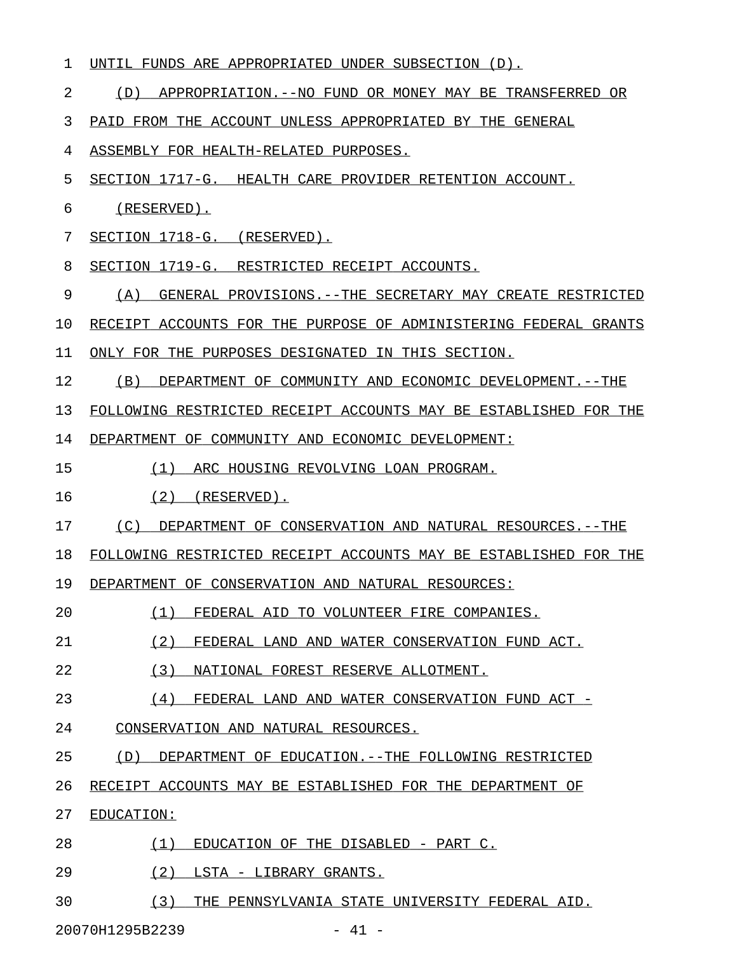| 1  | UNTIL FUNDS ARE APPROPRIATED UNDER SUBSECTION (D).                |
|----|-------------------------------------------------------------------|
| 2  | APPROPRIATION.--NO FUND OR MONEY MAY BE TRANSFERRED OR<br>(D)     |
| 3  | PAID FROM THE ACCOUNT UNLESS APPROPRIATED BY THE GENERAL          |
| 4  | ASSEMBLY FOR HEALTH-RELATED PURPOSES.                             |
| 5  | SECTION 1717-G. HEALTH CARE PROVIDER RETENTION ACCOUNT.           |
| 6  | (RESERVED).                                                       |
| 7  | SECTION 1718-G. (RESERVED).                                       |
| 8  | SECTION 1719-G. RESTRICTED RECEIPT ACCOUNTS.                      |
| 9  | (A)<br>GENERAL PROVISIONS. -- THE SECRETARY MAY CREATE RESTRICTED |
| 10 | RECEIPT ACCOUNTS FOR THE PURPOSE OF ADMINISTERING FEDERAL GRANTS  |
| 11 | ONLY FOR THE PURPOSES DESIGNATED IN THIS SECTION.                 |
| 12 | DEPARTMENT OF COMMUNITY AND ECONOMIC DEVELOPMENT. --THE<br>(B)    |
| 13 | FOLLOWING RESTRICTED RECEIPT ACCOUNTS MAY BE ESTABLISHED FOR THE  |
| 14 | DEPARTMENT OF COMMUNITY AND ECONOMIC DEVELOPMENT:                 |
| 15 | (1)<br>ARC HOUSING REVOLVING LOAN PROGRAM.                        |
| 16 | $(2)$ (RESERVED).                                                 |
| 17 | (C)<br>DEPARTMENT OF CONSERVATION AND NATURAL RESOURCES. --THE    |
| 18 | FOLLOWING RESTRICTED RECEIPT ACCOUNTS MAY BE ESTABLISHED FOR THE  |
| 19 | DEPARTMENT OF CONSERVATION AND NATURAL RESOURCES:                 |
| 20 | (1)<br>FEDERAL AID TO VOLUNTEER FIRE COMPANIES.                   |
| 21 | (2)<br>FEDERAL LAND AND WATER CONSERVATION FUND ACT.              |
| 22 | (3)<br>NATIONAL FOREST RESERVE ALLOTMENT.                         |
| 23 | (4)<br>FEDERAL LAND AND WATER CONSERVATION FUND ACT -             |
| 24 | CONSERVATION AND NATURAL RESOURCES.                               |
| 25 | DEPARTMENT OF EDUCATION. --THE FOLLOWING RESTRICTED<br>(D)        |
| 26 | RECEIPT ACCOUNTS MAY BE ESTABLISHED FOR THE DEPARTMENT OF         |
| 27 | EDUCATION:                                                        |
| 28 | (1)<br>EDUCATION OF THE DISABLED - PART C.                        |
| 29 | (2)<br>LSTA - LIBRARY GRANTS.                                     |
| 30 | (3)<br>THE PENNSYLVANIA STATE UNIVERSITY FEDERAL AID.             |

20070H1295B2239 - 41 -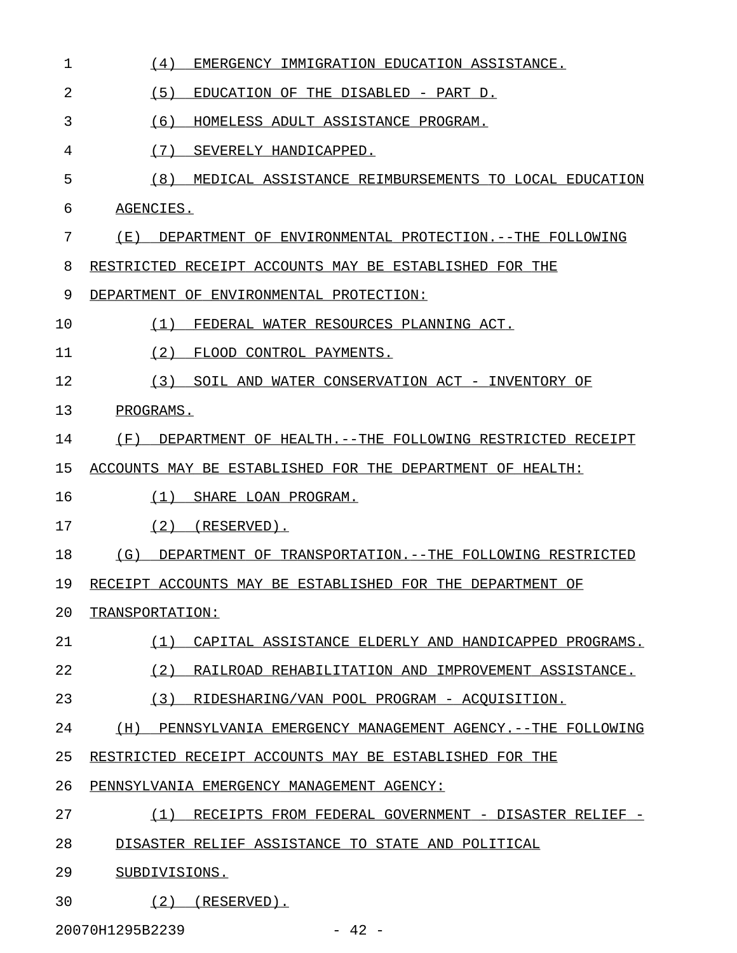| $\mathbf 1$ | (4)<br>EMERGENCY IMMIGRATION EDUCATION ASSISTANCE.               |
|-------------|------------------------------------------------------------------|
| 2           | (5)<br>EDUCATION OF THE DISABLED - PART D.                       |
| 3           | (6)<br>HOMELESS ADULT ASSISTANCE PROGRAM.                        |
| 4           | (7)<br>SEVERELY HANDICAPPED.                                     |
| 5           | (8)<br>MEDICAL ASSISTANCE REIMBURSEMENTS TO LOCAL EDUCATION      |
| 6           | AGENCIES.                                                        |
| 7           | ( E )<br>DEPARTMENT OF ENVIRONMENTAL PROTECTION. --THE FOLLOWING |
| 8           | RESTRICTED RECEIPT ACCOUNTS MAY BE ESTABLISHED FOR THE           |
| 9           | DEPARTMENT OF ENVIRONMENTAL PROTECTION:                          |
| 10          | (1)<br>FEDERAL WATER RESOURCES PLANNING ACT.                     |
| 11          | (2)<br>FLOOD CONTROL PAYMENTS.                                   |
| 12          | (3)<br>SOIL AND WATER CONSERVATION ACT - INVENTORY OF            |
| 13          | PROGRAMS.                                                        |
| 14          | (F)<br>DEPARTMENT OF HEALTH. --THE FOLLOWING RESTRICTED RECEIPT  |
| 15          | ACCOUNTS MAY BE ESTABLISHED FOR THE DEPARTMENT OF HEALTH:        |
| 16          | (1)<br>SHARE LOAN PROGRAM.                                       |
| 17          | (2)<br>(RESERVED).                                               |
| 18          | (G)<br>DEPARTMENT OF TRANSPORTATION. --THE FOLLOWING RESTRICTED  |
| 19          | RECEIPT ACCOUNTS MAY BE ESTABLISHED FOR THE DEPARTMENT OF        |
| 20          | TRANSPORTATION:                                                  |
| 21          | (1)<br>CAPITAL ASSISTANCE ELDERLY AND HANDICAPPED PROGRAMS.      |
| 22          | (2)<br>RAILROAD REHABILITATION AND IMPROVEMENT ASSISTANCE.       |
| 23          | (3)<br>RIDESHARING/VAN POOL PROGRAM - ACQUISITION.               |
| 24          | PENNSYLVANIA EMERGENCY MANAGEMENT AGENCY. --THE FOLLOWING<br>(H) |
| 25          | RESTRICTED RECEIPT ACCOUNTS MAY BE ESTABLISHED FOR THE           |
| 26          | PENNSYLVANIA EMERGENCY MANAGEMENT AGENCY:                        |
| 27          | (1)<br>RECEIPTS FROM FEDERAL GOVERNMENT - DISASTER RELIEF -      |
| 28          | DISASTER RELIEF ASSISTANCE TO STATE AND POLITICAL                |
| 29          | SUBDIVISIONS.                                                    |
| 30          | (2)<br>(RESERVED).                                               |

20070H1295B2239 - 42 -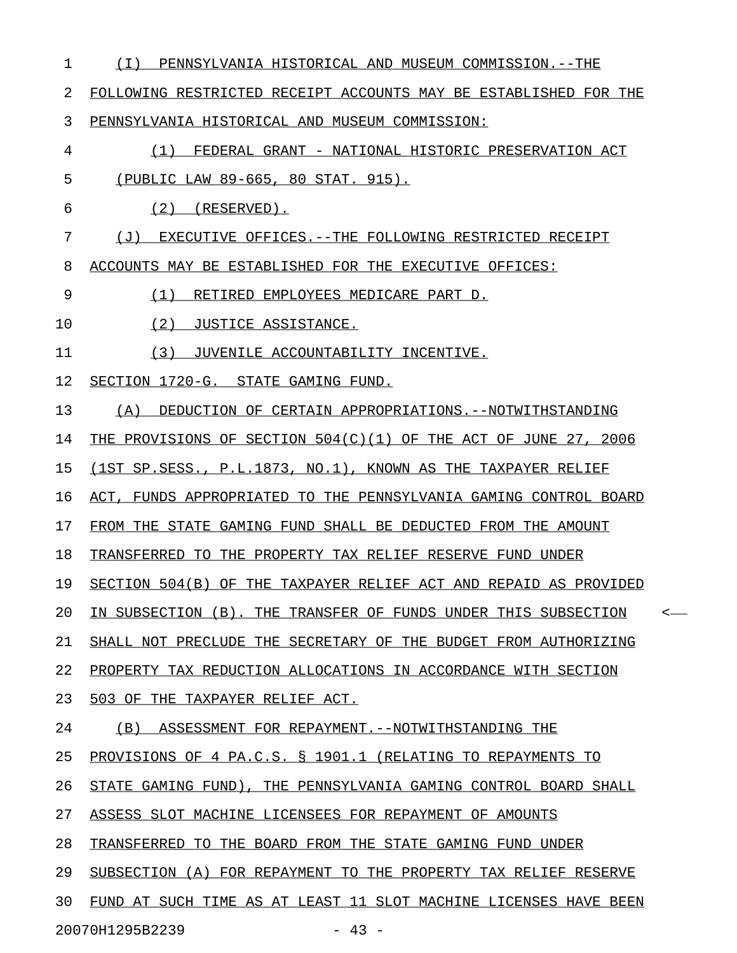| 1  | PENNSYLVANIA HISTORICAL AND MUSEUM COMMISSION. --THE<br>( I )             |
|----|---------------------------------------------------------------------------|
| 2  | FOLLOWING RESTRICTED RECEIPT ACCOUNTS MAY BE ESTABLISHED FOR THE          |
| 3  | PENNSYLVANIA HISTORICAL AND MUSEUM COMMISSION:                            |
| 4  | FEDERAL GRANT - NATIONAL HISTORIC PRESERVATION ACT<br>(1)                 |
| 5  | (PUBLIC LAW 89-665, 80 STAT. 915).                                        |
| 6  | $(2)$ (RESERVED).                                                         |
| 7  | EXECUTIVE OFFICES. -- THE FOLLOWING RESTRICTED RECEIPT<br>( J )           |
| 8  | ACCOUNTS MAY BE ESTABLISHED FOR THE EXECUTIVE OFFICES:                    |
| 9  | (1)<br>RETIRED EMPLOYEES MEDICARE PART D.                                 |
| 10 | (2)<br>JUSTICE ASSISTANCE.                                                |
| 11 | (3)<br>JUVENILE ACCOUNTABILITY INCENTIVE.                                 |
| 12 | SECTION 1720-G. STATE GAMING FUND.                                        |
| 13 | DEDUCTION OF CERTAIN APPROPRIATIONS.--NOTWITHSTANDING<br>(A)              |
| 14 | THE PROVISIONS OF SECTION 504(C)(1) OF THE ACT OF JUNE 27, 2006           |
| 15 | (1ST SP.SESS., P.L.1873, NO.1), KNOWN AS THE TAXPAYER RELIEF              |
| 16 | ACT, FUNDS APPROPRIATED TO THE PENNSYLVANIA GAMING CONTROL BOARD          |
| 17 | FROM THE STATE GAMING FUND SHALL BE DEDUCTED FROM THE AMOUNT              |
| 18 | TRANSFERRED TO THE PROPERTY TAX RELIEF RESERVE FUND UNDER                 |
| 19 | SECTION 504(B) OF THE TAXPAYER RELIEF ACT AND REPAID AS PROVIDED          |
| 20 | IN SUBSECTION (B). THE TRANSFER OF FUNDS UNDER THIS SUBSECTION<br>$\,<\,$ |
| 21 | SHALL NOT PRECLUDE THE SECRETARY OF THE BUDGET FROM AUTHORIZING           |
| 22 | PROPERTY TAX REDUCTION ALLOCATIONS IN ACCORDANCE WITH SECTION             |
| 23 | 503 OF THE TAXPAYER RELIEF ACT.                                           |
| 24 | (B) ASSESSMENT FOR REPAYMENT.--NOTWITHSTANDING THE                        |
| 25 | PROVISIONS OF 4 PA.C.S. § 1901.1 (RELATING TO REPAYMENTS TO               |
| 26 | STATE GAMING FUND), THE PENNSYLVANIA GAMING CONTROL BOARD SHALL           |
| 27 | ASSESS SLOT MACHINE LICENSEES FOR REPAYMENT OF AMOUNTS                    |
| 28 | TRANSFERRED TO THE BOARD FROM THE STATE GAMING FUND UNDER                 |
| 29 | SUBSECTION (A) FOR REPAYMENT TO THE PROPERTY TAX RELIEF RESERVE           |
| 30 | FUND AT SUCH TIME AS AT LEAST 11 SLOT MACHINE LICENSES HAVE BEEN          |
|    | 20070H1295B2239<br>$-43 -$                                                |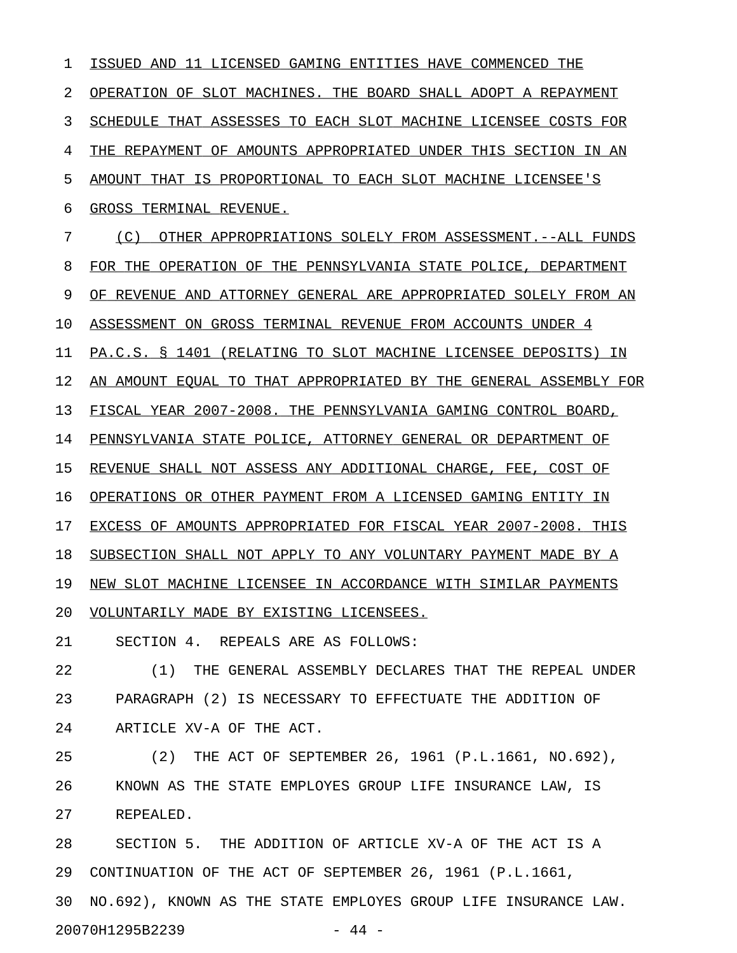1 ISSUED AND 11 LICENSED GAMING ENTITIES HAVE COMMENCED THE 2 OPERATION OF SLOT MACHINES. THE BOARD SHALL ADOPT A REPAYMENT 3 SCHEDULE THAT ASSESSES TO EACH SLOT MACHINE LICENSEE COSTS FOR 4 THE REPAYMENT OF AMOUNTS APPROPRIATED UNDER THIS SECTION IN AN 5 AMOUNT THAT IS PROPORTIONAL TO EACH SLOT MACHINE LICENSEE'S 6 GROSS TERMINAL REVENUE. 7 (C) OTHER APPROPRIATIONS SOLELY FROM ASSESSMENT.--ALL FUNDS 8 FOR THE OPERATION OF THE PENNSYLVANIA STATE POLICE, DEPARTMENT 9 OF REVENUE AND ATTORNEY GENERAL ARE APPROPRIATED SOLELY FROM AN 10 ASSESSMENT ON GROSS TERMINAL REVENUE FROM ACCOUNTS UNDER 4 11 PA.C.S. § 1401 (RELATING TO SLOT MACHINE LICENSEE DEPOSITS) IN 12 AN AMOUNT EQUAL TO THAT APPROPRIATED BY THE GENERAL ASSEMBLY FOR 13 FISCAL YEAR 2007-2008. THE PENNSYLVANIA GAMING CONTROL BOARD, 14 PENNSYLVANIA STATE POLICE, ATTORNEY GENERAL OR DEPARTMENT OF 15 REVENUE SHALL NOT ASSESS ANY ADDITIONAL CHARGE, FEE, COST OF 16 OPERATIONS OR OTHER PAYMENT FROM A LICENSED GAMING ENTITY IN 17 EXCESS OF AMOUNTS APPROPRIATED FOR FISCAL YEAR 2007-2008. THIS 18 SUBSECTION SHALL NOT APPLY TO ANY VOLUNTARY PAYMENT MADE BY A 19 NEW SLOT MACHINE LICENSEE IN ACCORDANCE WITH SIMILAR PAYMENTS 20 VOLUNTARILY MADE BY EXISTING LICENSEES. 21 SECTION 4. REPEALS ARE AS FOLLOWS: 22 (1) THE GENERAL ASSEMBLY DECLARES THAT THE REPEAL UNDER 23 PARAGRAPH (2) IS NECESSARY TO EFFECTUATE THE ADDITION OF 24 ARTICLE XV-A OF THE ACT. 25 (2) THE ACT OF SEPTEMBER 26, 1961 (P.L.1661, NO.692), 26 KNOWN AS THE STATE EMPLOYES GROUP LIFE INSURANCE LAW, IS 27 REPEALED. 28 SECTION 5. THE ADDITION OF ARTICLE XV-A OF THE ACT IS A 29 CONTINUATION OF THE ACT OF SEPTEMBER 26, 1961 (P.L.1661, 30 NO.692), KNOWN AS THE STATE EMPLOYES GROUP LIFE INSURANCE LAW. 20070H1295B2239 - 44 -